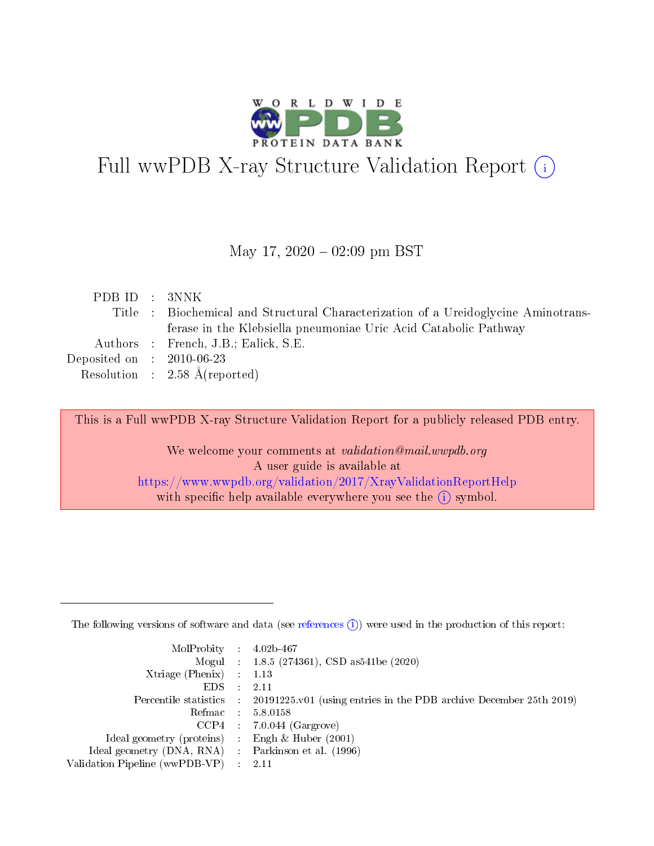

# Full wwPDB X-ray Structure Validation Report (i)

May 17,  $2020 - 02:09$  pm BST

| PDB ID : 3NNK               |                                                                                    |
|-----------------------------|------------------------------------------------------------------------------------|
|                             | Title : Biochemical and Structural Characterization of a Ureidoglycine Aminotrans- |
|                             | ferase in the Klebsiella pneumoniae Uric Acid Catabolic Pathway                    |
|                             | Authors : French, J.B.; Ealick, S.E.                                               |
| Deposited on : $2010-06-23$ |                                                                                    |
|                             | Resolution : $2.58 \text{ Å}$ (reported)                                           |
|                             |                                                                                    |

This is a Full wwPDB X-ray Structure Validation Report for a publicly released PDB entry.

We welcome your comments at validation@mail.wwpdb.org A user guide is available at <https://www.wwpdb.org/validation/2017/XrayValidationReportHelp> with specific help available everywhere you see the  $(i)$  symbol.

The following versions of software and data (see [references](https://www.wwpdb.org/validation/2017/XrayValidationReportHelp#references)  $(1)$ ) were used in the production of this report:

| $MolProbability$ : 4.02b-467                        |                                                                                            |
|-----------------------------------------------------|--------------------------------------------------------------------------------------------|
|                                                     | Mogul : $1.8.5$ (274361), CSD as 541be (2020)                                              |
| Xtriage (Phenix) $: 1.13$                           |                                                                                            |
| EDS                                                 | -2.11                                                                                      |
|                                                     | Percentile statistics : 20191225.v01 (using entries in the PDB archive December 25th 2019) |
| Refmac 58.0158                                      |                                                                                            |
|                                                     | $CCP4$ 7.0.044 (Gargrove)                                                                  |
| Ideal geometry (proteins) : Engh $\&$ Huber (2001)  |                                                                                            |
| Ideal geometry (DNA, RNA) : Parkinson et al. (1996) |                                                                                            |
| Validation Pipeline (wwPDB-VP) : 2.11               |                                                                                            |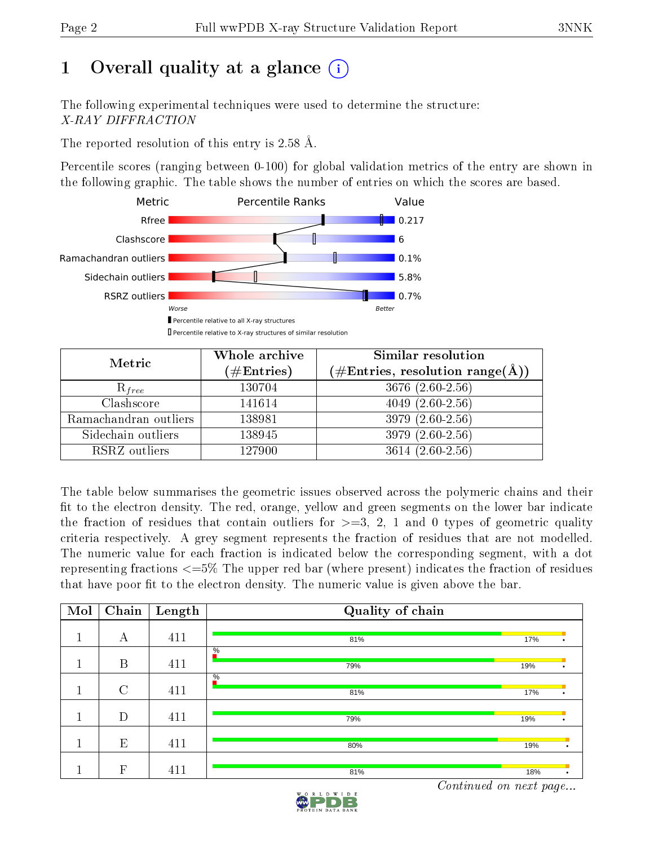# 1 [O](https://www.wwpdb.org/validation/2017/XrayValidationReportHelp#overall_quality)verall quality at a glance  $(i)$

The following experimental techniques were used to determine the structure: X-RAY DIFFRACTION

The reported resolution of this entry is 2.58 Å.

Percentile scores (ranging between 0-100) for global validation metrics of the entry are shown in the following graphic. The table shows the number of entries on which the scores are based.



| Metric                | Whole archive<br>$(\#\text{Entries})$ | Similar resolution<br>$(\#\text{Entries},\,\text{resolution}\,\,\text{range}(\textup{\AA}))$ |
|-----------------------|---------------------------------------|----------------------------------------------------------------------------------------------|
| $R_{free}$            | 130704                                | $3676$ $(2.60-2.56)$                                                                         |
| Clashscore            | 141614                                | $4049(2.60-2.56)$                                                                            |
| Ramachandran outliers | 138981                                | $3979(2.60-2.56)$                                                                            |
| Sidechain outliers    | 138945                                | 3979 (2.60-2.56)                                                                             |
| RSRZ outliers         | 127900                                | $3614(2.60-2.56)$                                                                            |

The table below summarises the geometric issues observed across the polymeric chains and their fit to the electron density. The red, orange, yellow and green segments on the lower bar indicate the fraction of residues that contain outliers for  $>=3, 2, 1$  and 0 types of geometric quality criteria respectively. A grey segment represents the fraction of residues that are not modelled. The numeric value for each fraction is indicated below the corresponding segment, with a dot representing fractions  $\epsilon=5\%$  The upper red bar (where present) indicates the fraction of residues that have poor fit to the electron density. The numeric value is given above the bar.

| Mol | Chain         | Length | Quality of chain     |     |           |
|-----|---------------|--------|----------------------|-----|-----------|
|     | А             | 411    | 81%                  | 17% |           |
|     | B             | 411    | $\frac{0}{6}$<br>79% | 19% |           |
|     | $\mathcal{C}$ | 411    | $\frac{0}{6}$<br>81% | 17% |           |
|     | D             | 411    | 79%                  | 19% |           |
|     | E             | 411    | 80%                  | 19% | $\bullet$ |
|     | F             | 411    | 81%                  | 18% | $\bullet$ |

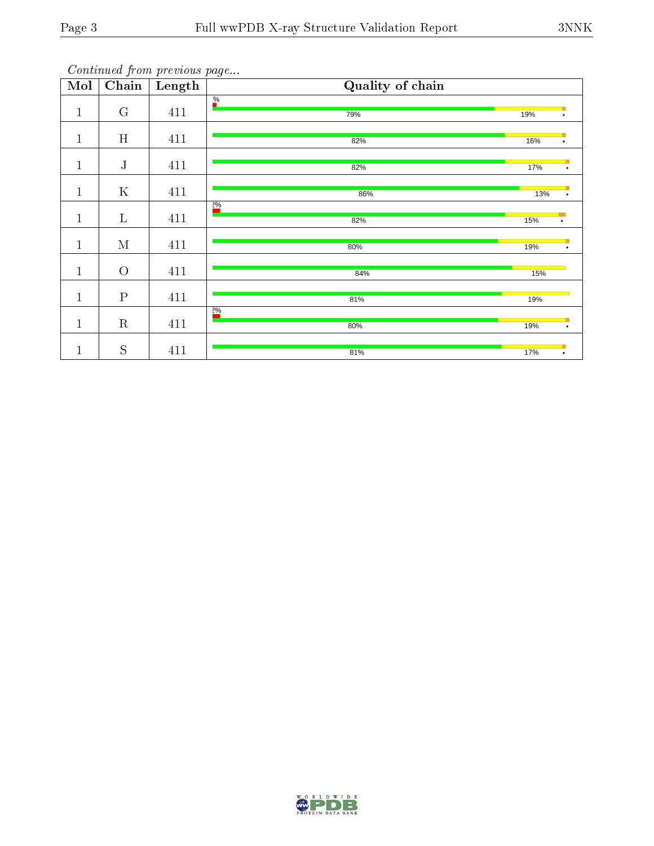| $\overline{\text{Mol}}$ | Chain          | continuou promonous pago<br>Length | Quality of chain       |     |           |
|-------------------------|----------------|------------------------------------|------------------------|-----|-----------|
| $\mathbf{1}$            | G              | 411                                | $\frac{\%}{\ }$<br>79% | 19% | $\bullet$ |
| $\mathbf{1}$            | H              | 411                                | 82%                    | 16% | $\bullet$ |
| $\mathbf{1}$            | $\mathbf{J}$   | 411                                | 82%                    | 17% | $\bullet$ |
| $\mathbf{1}$            | $\mathbf K$    | 411                                | 86%                    | 13% |           |
| $\mathbf{1}$            | $\mathbf L$    | 411                                | $\frac{20}{6}$<br>82%  | 15% | ٠         |
| $\mathbf{1}$            | $\mathbf M$    | 411                                | 80%                    | 19% | $\bullet$ |
| $\mathbf{1}$            | $\overline{O}$ | 411                                | 84%                    | 15% |           |
| $\mathbf{1}$            | $\rm P$        | 411                                | 81%                    | 19% |           |
| $\mathbf{1}$            | $\mathbf R$    | 411                                | 2%<br>80%              | 19% | $\bullet$ |
| $\mathbf 1$             | $\mathbf S$    | 411                                | 81%                    | 17% | $\bullet$ |

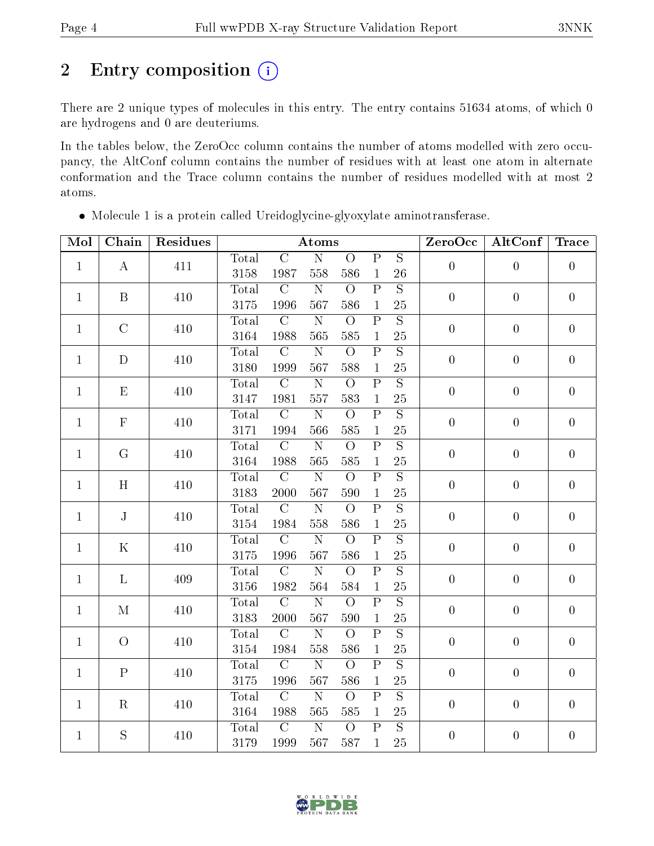# 2 Entry composition (i)

There are 2 unique types of molecules in this entry. The entry contains 51634 atoms, of which 0 are hydrogens and 0 are deuteriums.

In the tables below, the ZeroOcc column contains the number of atoms modelled with zero occupancy, the AltConf column contains the number of residues with at least one atom in alternate conformation and the Trace column contains the number of residues modelled with at most 2 atoms.

| Mol          | Chain          | Residues | Atoms         |                        |                              |                       |                                         | ZeroOcc              | AltConf          | <b>Trace</b>     |                  |
|--------------|----------------|----------|---------------|------------------------|------------------------------|-----------------------|-----------------------------------------|----------------------|------------------|------------------|------------------|
| $\mathbf{1}$ |                |          | Total         | $\overline{C}$         | $\overline{\rm N}$           | $\overline{O}$        | $\overline{\mathrm{P}}$                 | $\overline{S}$       | $\overline{0}$   | $\overline{0}$   | $\overline{0}$   |
|              | $\bf{A}$       | 411      | 3158          | 1987                   | 558                          | 586                   | $\mathbf{1}$                            | 26                   |                  |                  |                  |
| $\mathbf{1}$ | $\, {\bf B}$   | 410      | Total         | $\mathcal{C}$          | ${\bf N}$                    | $\bigcirc$            | $\overline{P}$                          | $\overline{S}$       | $\boldsymbol{0}$ | $\boldsymbol{0}$ | $\overline{0}$   |
|              |                |          | 3175          | 1996                   | 567                          | 586                   | $\mathbf{1}$                            | 25                   |                  |                  |                  |
| $\mathbf{1}$ | $\mathcal{C}$  | 410      | Total         | $\overline{C}$         | $\overline{\text{N}}$        | $\overline{O}$        | $\overline{\mathrm{P}}$                 | $\overline{S}$       | $\overline{0}$   | $\overline{0}$   | $\boldsymbol{0}$ |
|              |                |          | 3164          | 1988                   | 565                          | 585                   | $\mathbf{1}$                            | $25\,$               |                  |                  |                  |
| $\mathbf{1}$ | $\mathbf D$    | 410      | Total         | $\overline{C}$         | ${\bf N}$                    | $\overline{O}$        | $\overline{\mathrm{P}}$                 | $\overline{S}$       | $\boldsymbol{0}$ | $\boldsymbol{0}$ | $\boldsymbol{0}$ |
|              |                |          | 3180          | 1999                   | 567                          | 588                   | $\mathbf{1}$                            | 25                   |                  |                  |                  |
| $\mathbf{1}$ | E              | 410      | Total         | $\overline{C}$         | $\overline{\text{N}}$        | $\overline{O}$        | $\overline{\mathrm{P}}$                 | $\overline{S}$       | $\overline{0}$   | $\overline{0}$   | $\overline{0}$   |
|              |                |          | 3147          | 1981                   | 557                          | 583                   | $\mathbf{1}$                            | 25                   |                  |                  |                  |
| $\mathbf{1}$ | $\mathbf F$    | 410      | Total         | $\overline{C}$         | $\overline{N}$               | $\overline{O}$        | $\overline{P}$                          | $\overline{S}$       | $\boldsymbol{0}$ | $\boldsymbol{0}$ | $\boldsymbol{0}$ |
|              |                |          | 3171          | 1994                   | 566                          | 585                   | $\mathbf{1}$                            | 25                   |                  |                  |                  |
| $\mathbf{1}$ | G              | 410      | <b>Total</b>  | $\overline{C}$         | $\overline{\text{N}}$        | $\overline{O}$        | $\overline{\mathrm{P}}$                 | $\overline{S}$       | $\overline{0}$   | $\overline{0}$   | $\overline{0}$   |
|              |                |          | 3164          | 1988                   | 565                          | 585                   | $\mathbf{1}$                            | 25                   |                  |                  |                  |
| $\mathbf{1}$ | H              | 410      | Total         | $\overline{C}$         | $\overline{\rm N}$           | $\overline{O}$        | $\overline{\mathrm{P}}$                 | $\overline{S}$       | $\boldsymbol{0}$ | $\overline{0}$   | $\boldsymbol{0}$ |
|              |                |          | 3183          | 2000                   | 567                          | 590                   | $\mathbf{1}$                            | $25\,$               |                  |                  |                  |
| $\mathbf{1}$ | J              | 410      | Total         | $\overline{C}$         | $\overline{\text{N}}$        | $\overline{O}$        | $\overline{\mathrm{P}}$                 | $\overline{S}$       | $\overline{0}$   | $\overline{0}$   | $\boldsymbol{0}$ |
|              |                |          | 3154          | 1984                   | 558                          | 586                   | $\mathbf{1}$                            | 25                   |                  |                  |                  |
| $\mathbf{1}$ | $\mathbf K$    | 410      | Total         | $\overline{C}$         | $\overline{\text{N}}$        | $\overline{O}$        | $\overline{\mathrm{P}}$                 | $\overline{S}$       | $\boldsymbol{0}$ | $\overline{0}$   | $\boldsymbol{0}$ |
|              |                |          | 3175          | 1996                   | 567                          | 586                   | $\mathbf{1}$                            | $25\,$               |                  |                  |                  |
| $\mathbf{1}$ | $\mathbf{L}$   | 409      | Total         | $\overline{C}$         | $\overline{\rm N}$           | $\overline{O}$        | $\overline{\mathrm{P}}$                 | $\overline{S}$       | $\boldsymbol{0}$ | $\boldsymbol{0}$ | $\boldsymbol{0}$ |
|              |                |          | 3156          | 1982                   | 564                          | 584                   | $\mathbf 1$                             | 25                   |                  |                  |                  |
| $\mathbf{1}$ | $\mathbf{M}$   | 410      | Total         | $\overline{C}$         | $\overline{\text{N}}$        | $\overline{O}$        | $\overline{\text{P}}$                   | $\overline{S}$       | $\overline{0}$   | $\boldsymbol{0}$ | $\overline{0}$   |
|              |                |          | 3183          | 2000<br>$\overline{C}$ | 567                          | 590<br>$\Omega$       | $\mathbf{1}$<br>$\overline{P}$          | 25<br>$\overline{S}$ |                  |                  |                  |
| $\mathbf{1}$ | $\overline{O}$ | 410      | Total         | 1984                   | $\overline{\rm N}$           |                       |                                         | 25                   | $\boldsymbol{0}$ | $\overline{0}$   | $\overline{0}$   |
|              |                |          | 3154          | $\overline{C}$         | 558<br>$\overline{\text{N}}$ | 586<br>$\overline{O}$ | $\mathbf{1}$<br>$\overline{\mathrm{P}}$ | $\overline{S}$       |                  |                  |                  |
| $\mathbf{1}$ | $\mathbf P$    | 410      | Total         | 1996                   | 567                          |                       |                                         | 25                   | $\overline{0}$   | $\overline{0}$   | $\overline{0}$   |
|              |                |          | 3175          | $\overline{C}$         | $\overline{\rm N}$           | 586<br>$\Omega$       | $\mathbf{1}$<br>$\overline{P}$          | $\overline{S}$       |                  |                  |                  |
| $\mathbf{1}$ | R              | 410      | Total<br>3164 |                        |                              |                       |                                         | 25                   | $\boldsymbol{0}$ | $\boldsymbol{0}$ | $\boldsymbol{0}$ |
|              |                |          |               | 1988<br>$\overline{C}$ | 565<br>$\overline{\text{N}}$ | 585<br>$\overline{O}$ | $\,1\,$<br>$\overline{\mathrm{P}}$      | $\overline{S}$       |                  |                  |                  |
| $\mathbf{1}$ | S              | 410      | Total         |                        |                              |                       |                                         |                      | $\overline{0}$   | $\overline{0}$   | $\overline{0}$   |
|              |                |          | 3179          | 1999                   | 567                          | 587                   | $\mathbf{1}$                            | $25\,$               |                  |                  |                  |

Molecule 1 is a protein called Ureidoglycine-glyoxylate aminotransferase.

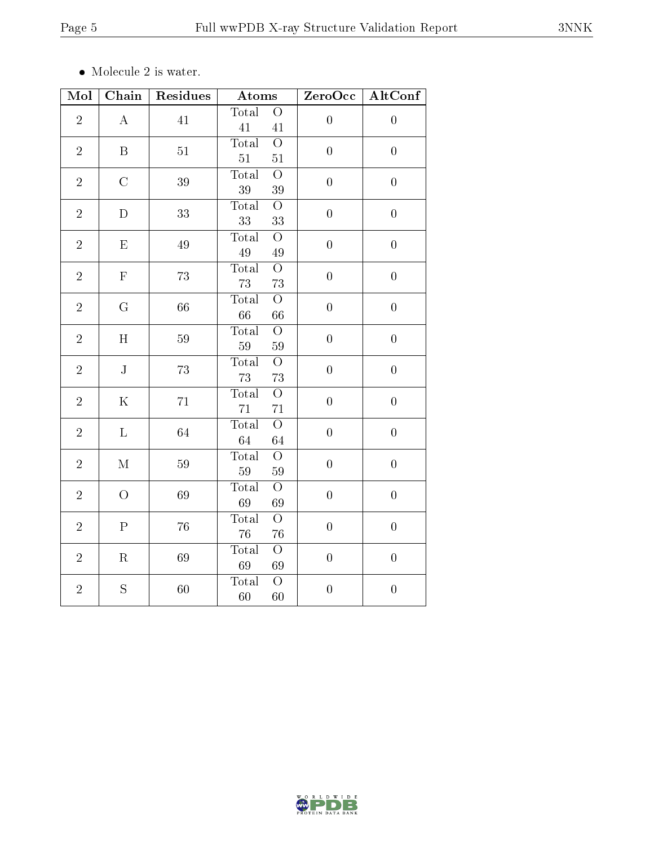$\bullet\,$  Molecule 2 is water.

| Mol            | Chain              | Residues | <b>Atoms</b>                            | ZeroOcc          | AltConf          |
|----------------|--------------------|----------|-----------------------------------------|------------------|------------------|
| $\overline{2}$ | $\bf{A}$           | 41       | Total<br>$\bigcirc$<br>41<br>41         | $\boldsymbol{0}$ | $\boldsymbol{0}$ |
| $\overline{2}$ | $\mathbf B$        | 51       | Total<br>$\overline{O}$<br>51<br>$51\,$ | $\overline{0}$   | $\boldsymbol{0}$ |
| $\overline{2}$ | $\mathcal{C}$      | 39       | $\overline{O}$<br>Total<br>39<br>39     | $\overline{0}$   | $\boldsymbol{0}$ |
| $\overline{2}$ | $\overline{D}$     | 33       | Total<br>$\bigcirc$<br>33<br>33         | $\boldsymbol{0}$ | $\boldsymbol{0}$ |
| $\overline{2}$ | $\mathbf{E}% _{0}$ | $49\,$   | Total<br>$\bigcirc$<br>$49\,$<br>49     | $\boldsymbol{0}$ | $\boldsymbol{0}$ |
| $\overline{2}$ | $\mathbf F$        | 73       | Total<br>$\overline{O}$<br>73<br>73     | $\boldsymbol{0}$ | $\boldsymbol{0}$ |
| $\overline{2}$ | $G\,$              | 66       | Total<br>$\bigcirc$<br>66<br>66         | $\boldsymbol{0}$ | $\boldsymbol{0}$ |
| $\overline{2}$ | H                  | 59       | $\overline{O}$<br>Total<br>59<br>$59\,$ | $\boldsymbol{0}$ | $\boldsymbol{0}$ |
| $\overline{2}$ | ${\bf J}$          | 73       | Total<br>$\overline{O}$<br>73<br>73     | $\overline{0}$   | $\boldsymbol{0}$ |
| $\overline{2}$ | $\mathbf K$        | 71       | $\overline{O}$<br>Total<br>71<br>71     | $\overline{0}$   | $\boldsymbol{0}$ |
| $\overline{2}$ | $\mathbf L$        | 64       | $\overline{O}$<br>Total<br>64<br>64     | $\boldsymbol{0}$ | $\boldsymbol{0}$ |
| $\overline{2}$ | $\mathbf M$        | $59\,$   | $\overline{O}$<br>Total<br>59<br>59     | $\boldsymbol{0}$ | $\boldsymbol{0}$ |
| $\overline{2}$ | $\overline{O}$     | 69       | $\overline{O}$<br>Total<br>69<br>69     | $\overline{0}$   | $\boldsymbol{0}$ |
| $\overline{2}$ | ${\bf P}$          | 76       | $\overline{O}$<br>Total<br>76<br>76     | $\boldsymbol{0}$ | $\boldsymbol{0}$ |
| $\overline{2}$ | $\mathbf R$        | 69       | Total<br>$\bigcirc$<br>69<br>69         | $\boldsymbol{0}$ | $\boldsymbol{0}$ |
| $\overline{2}$ | S                  | 60       | $\overline{O}$<br>Total<br>60<br>60     | $\overline{0}$   | $\boldsymbol{0}$ |

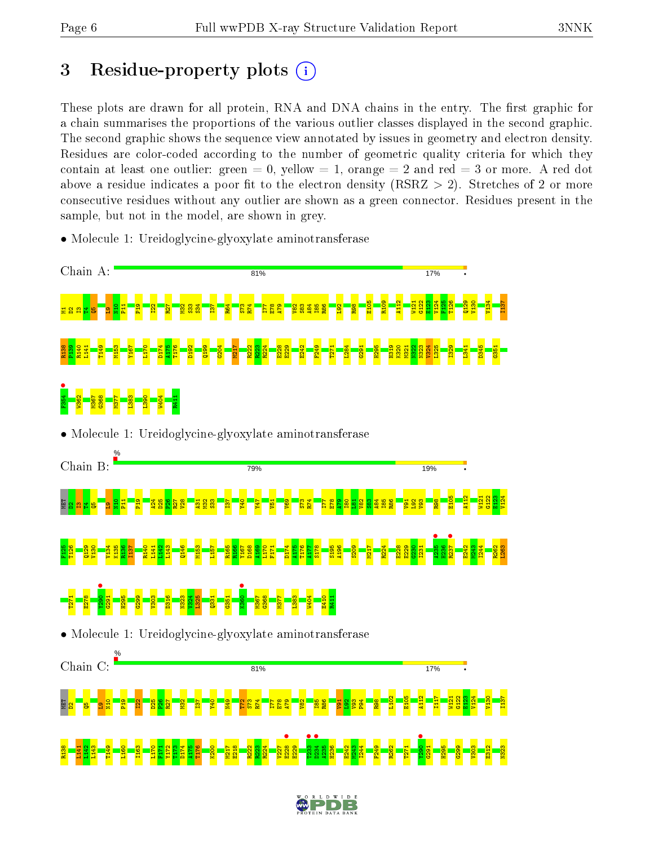# 3 Residue-property plots  $(i)$

These plots are drawn for all protein, RNA and DNA chains in the entry. The first graphic for a chain summarises the proportions of the various outlier classes displayed in the second graphic. The second graphic shows the sequence view annotated by issues in geometry and electron density. Residues are color-coded according to the number of geometric quality criteria for which they contain at least one outlier: green  $= 0$ , yellow  $= 1$ , orange  $= 2$  and red  $= 3$  or more. A red dot above a residue indicates a poor fit to the electron density (RSRZ  $> 2$ ). Stretches of 2 or more consecutive residues without any outlier are shown as a green connector. Residues present in the sample, but not in the model, are shown in grey.

- Chain A: 81% 17% E105 R109 A112 W121 G122 E123 V124 F125 T126 Q129 V130 V134 I137  $\frac{1}{2}$  $\overline{\textbf{h}}$ P19  $\frac{22}{2}$  $\overline{27}$ M32  $\frac{33}{2}$  $53<sub>+</sub>$  $\overline{\overline{\overline{\overline{3}}}}$ R64 S73 R74 I77 E78 A79 V82  $\frac{3}{2}$ A84 I85 R86  $\frac{192}{2}$ R98 M1D2I3T4Q5L9 D174 G204 R224 L284 V324 R138 P139 R140 L141 T149 M153 Y167 L170 A175 T176 D192 Q199 M217 R222 R223 E228 E229 E242 F249 T271  $\frac{1}{2}$ H295 H319 K320 M321 N322 N323 L325 I329 L341 D345 G351 F354 • W362 M367 G368 M377 L383 L390 W404 R411 • Molecule 1: Ureidoglycine-glyoxylate aminotransferase Chain B: 79% 19% E105 A112 W121  $\frac{122}{2}$ E123 V124 MET <mark>a a</mark> a <mark>a </mark>  $\frac{1}{2}$  $\Xi^+$  $\frac{1}{2}$  $\frac{24}{2}$ D25  $\frac{8}{2}$  $\overline{27}$  $\frac{8}{2}$  $\frac{1}{2}$  $\frac{2}{2}$  $\frac{3}{2}$  $\overline{137}$ Y40 Y47  $\overline{5}$  $\frac{8}{2}$ S73 R74 I77 E78  $\frac{8}{4}$ I80  $\frac{1}{2}$  $\frac{82}{2}$  $\frac{3}{8}$  $\frac{4}{8}$ I85  $\frac{86}{2}$  $\frac{1}{9}$  $\frac{2}{3}$  $\frac{8}{2}$  $\frac{8}{2}$  $\frac{1}{2}$ **e**<br>R237 V134 D174 R224 I244 F125 T126  $\frac{129}{2}$ V130 K135 R136 I137 R140 L141  $\frac{142}{2}$ L143 Q146 M153 L157 R165 R166 Y167 D168 A169 L170 F171 A175 T176 A177 S178 S195 A196 S209 M217 E228 E229  $\frac{6}{23}$ I231 H236 E242 M243 R262 L263  $\frac{1}{2}$ **•** • • • • T271 E278 G291 H295  $\frac{629}{2}$ V303 D316 N323 V324 L325  $\frac{331}{2}$  $\frac{1}{25}$ M367 G368 M377 L383 W404 E410 R411 • Molecule 1: Ureidoglycine-glyoxylate aminotransferase Chain C: 81% 17% L102 E105 A112 I117 W121 G122 E123 V124 V130 I137 .<br>떨<mark>음 - 종 - 윤 달</mark> P19  $\frac{22}{2}$ D25  $\frac{8}{2}$  $\overline{27}$  $\frac{2}{2}$  $\overline{\overline{137}}$ Y40 N49  $\mathbb{Z}^2$ S73 R74 I77 E78 A79  $\frac{2}{8}$  $\frac{185}{2}$ R86  $\frac{1}{9}$  $\frac{2}{2}$ V93 P94 R98  $\frac{8}{28}$  $\frac{8}{23}$ D234 •  $\frac{1}{2}$ D174 R224 I244 R138 L141  $\frac{142}{2}$ L143 T149 L160 I163 L170 F171 Y172 T173 A175 T176  $\frac{8}{2}$ M217 E218 R222 R223 V227 E229  $\frac{25}{2}$ H236 E242 ହ୍ୟ $\overline{a}$ F249 R262 T271 G291 H295 G299 V303 E312 N323
- Molecule 1: Ureidoglycine-glyoxylate aminotransferase

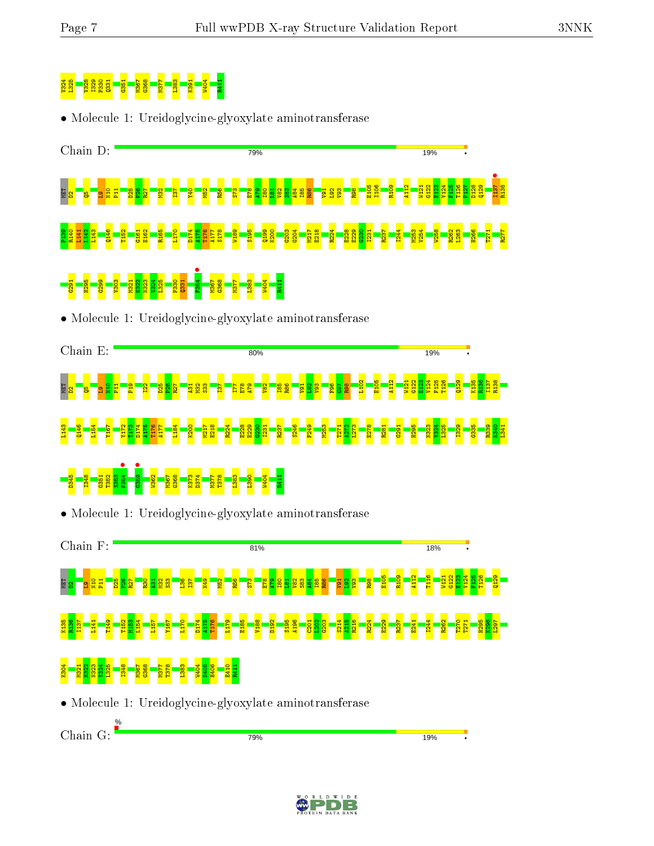Chain G:

# V324 L325 V328 I329 P330 Q331 G351 M367 G368 M377 L383 K391 W404 R411

• Molecule 1: Ureidoglycine-glyoxylate aminotransferase



• Molecule 1: Ureidoglycine-glyoxylate aminotransferase





19<sub>%</sub>

79%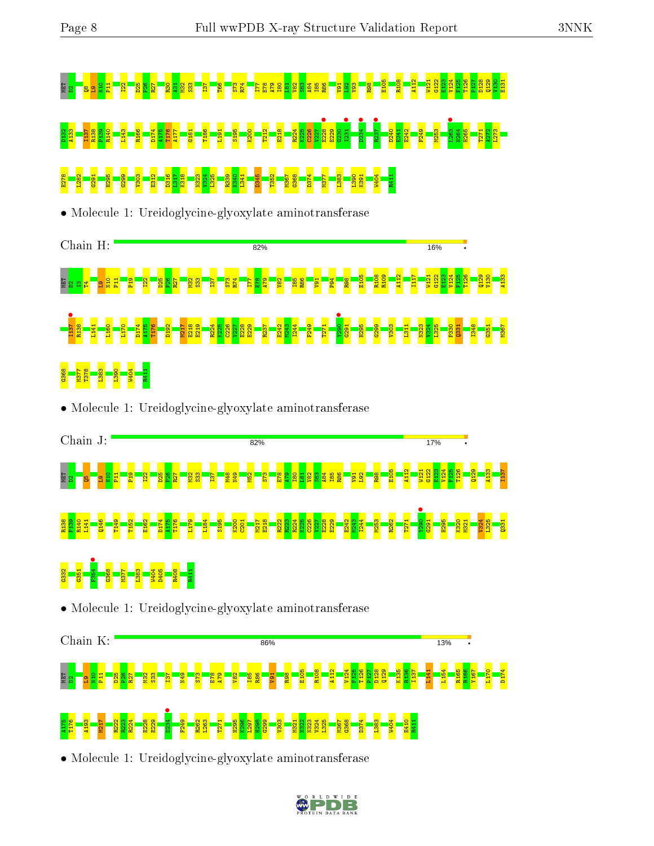# MET D20 P1 E8 R2<sup>8</sup> P22 B25 R89 E<mark>6 E9 E0 T</mark>64 E108 S23 B38 383 B2 B22 B2 B22 B22 B22 E123 B38 B38 B38 R88 E12<br>H22 B22 E12 B22 E23 E23 E23 B22 E123 E123 E123 B28 B28 B28 B28 B28 B22 B2 B22 B12 D132 <mark>B23 A133 I137 R140 L143 R140 L143 R143 R143 R143 P176 P176 P176 P176 P176 P</mark><br>8 R225 C226 E218 E212 E218 E218 E220 E220 E228 B28 B28 B28 B28 B28 E282 B28 E229 E229 E229 E229 E229 E229 E22<br>8 R226 E228 F271 E221 E221 E2 E2<mark>8 E3 E3 E3 E3 E3 E3 E312 B338 E334 E3 E3 E3 E3 E3 E3 E3 E3 E3 E3 E3</mark><br>8 E3 E3 E3 E3 E3 E3 E3 E313 E333 R390 R290 R41 B4 E3 E3 E3 E3 E3 E3 E3 E3 E3 E3

• Molecule 1: Ureidoglycine-glyoxylate aminotransferase



• Molecule 1: Ureidoglycine-glyoxylate aminotransferase





### A175 T176 A193 M217 R222 R223 R224 E228 E229  $D234$   $\bullet$ F249 R262 L263 T271 H295 K296 L297 H298  $\frac{629}{2}$ V303 M321 N322 N323 V324 L325 M367 G368 D374 L383 W404 E410 R411

• Molecule 1: Ureidoglycine-glyoxylate aminotransferase

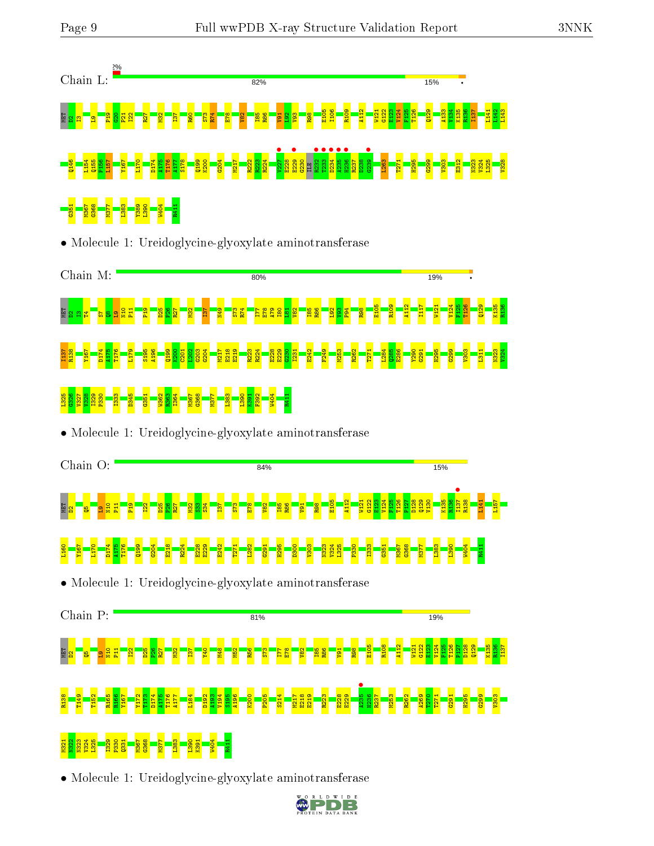

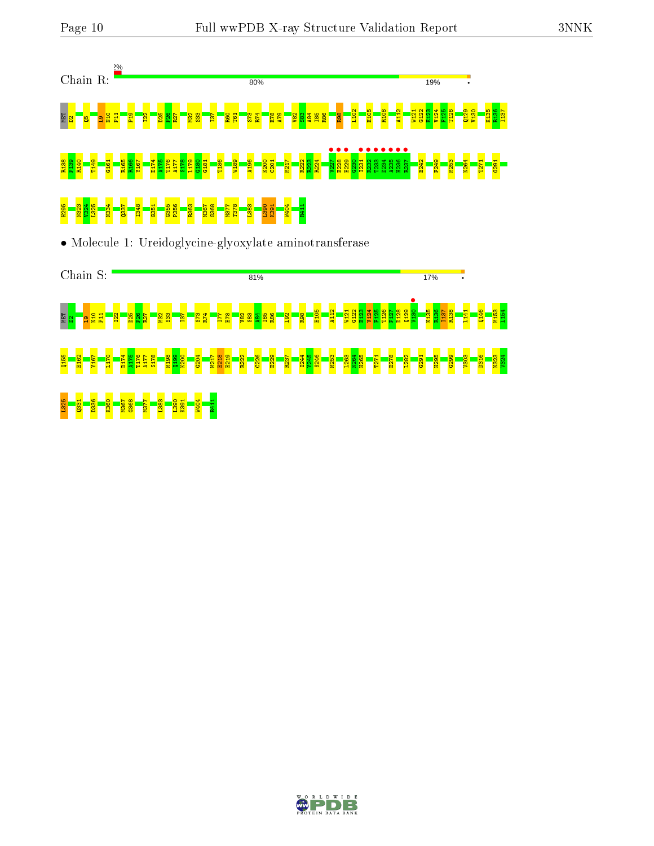

• Molecule 1: Ureidoglycine-glyoxylate aminotransferase



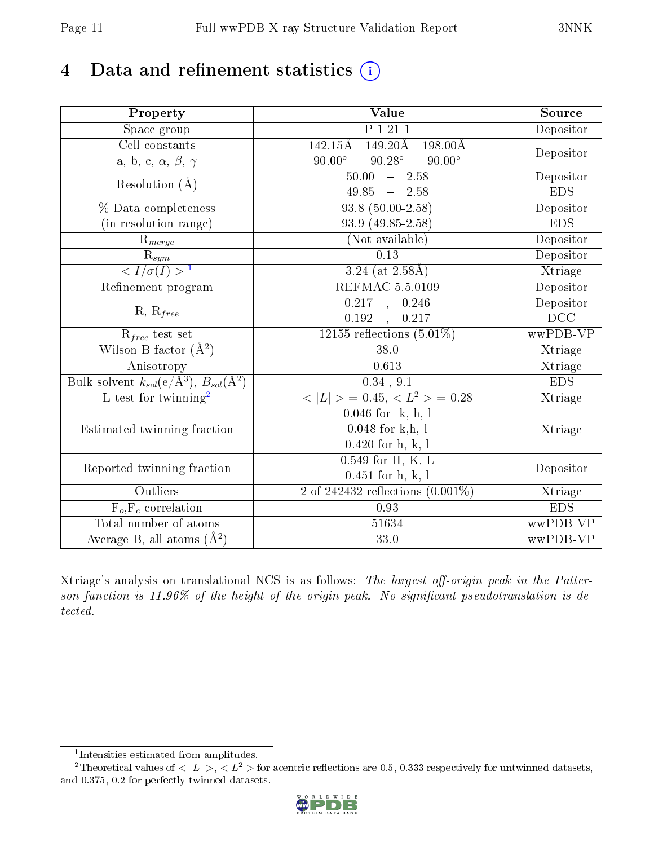# 4 Data and refinement statistics  $(i)$

| Property                                                         | Value                                                                                                  | Source                  |
|------------------------------------------------------------------|--------------------------------------------------------------------------------------------------------|-------------------------|
| $\overline{\text{Space}}$ group                                  | P1211                                                                                                  | Depositor               |
| Cell constants<br>a, b, c, $\alpha,\,\beta,\,\gamma$             | $142.15\text{\AA}$<br>$198.00\text{\AA}$<br>149.20Å<br>$90.00^\circ$<br>$90.28^\circ$<br>$90.00^\circ$ | Depositor               |
| Resolution $(A)$                                                 | 50.00<br>$-2.58$<br>$49.85 - 2.58$                                                                     | Depositor<br><b>EDS</b> |
| % Data completeness                                              | $93.8(50.00-2.58)$                                                                                     | Depositor               |
| (in resolution range)                                            | 93.9 (49.85-2.58)                                                                                      | <b>EDS</b>              |
| $R_{merge}$                                                      | (Not available)                                                                                        | Depositor               |
| $rac{R_{sym}}{< I/\sigma(I) > 1}$                                | 0.13                                                                                                   | Depositor               |
|                                                                  | 3.24 (at $2.58\text{\AA})$                                                                             | Xtriage                 |
| Refinement program                                               | <b>REFMAC 5.5.0109</b>                                                                                 | Depositor               |
| $R, R_{free}$                                                    | $0.217$ , $0.246$<br>0.192<br>0.217                                                                    | Depositor<br>DCC        |
| $R_{free}$ test set                                              | $12155$ reflections $(5.01\%)$                                                                         | wwPDB-VP                |
| Wilson B-factor $(A^2)$                                          | 38.0                                                                                                   | Xtriage                 |
| Anisotropy                                                       | 0.613                                                                                                  | Xtriage                 |
| Bulk solvent $k_{sol}(\text{e}/\text{Å}^3), B_{sol}(\text{Å}^2)$ | 0.34, 9.1                                                                                              | EDS                     |
| $L$ -test for twinning <sup>2</sup>                              | $< L >$ = 0.45, $< L2$ > = 0.28                                                                        | Xtriage                 |
| Estimated twinning fraction                                      | $0.046$ for $-k,-h,-1$<br>$0.048$ for k,h,-l<br>$0.420$ for $h, -k, -l$                                | Xtriage                 |
| Reported twinning fraction                                       | $0.549$ for H, K, L<br>$0.451$ for $h,-k,-l$                                                           | Depositor               |
| Outliers                                                         | 2 of 242432 reflections $(0.001\%)$                                                                    | Xtriage                 |
| $\overline{F_o, F_c}$ correlation                                | 0.93                                                                                                   | <b>EDS</b>              |
| Total number of atoms                                            | 51634                                                                                                  | wwPDB-VP                |
| Average B, all atoms $(A^2)$                                     | 33.0                                                                                                   | wwPDB-VP                |

Xtriage's analysis on translational NCS is as follows: The largest off-origin peak in the Patterson function is  $11.96\%$  of the height of the origin peak. No significant pseudotranslation is detected.

<sup>&</sup>lt;sup>2</sup>Theoretical values of  $\langle |L| \rangle$ ,  $\langle L^2 \rangle$  for acentric reflections are 0.5, 0.333 respectively for untwinned datasets, and 0.375, 0.2 for perfectly twinned datasets.



<span id="page-10-1"></span><span id="page-10-0"></span><sup>1</sup> Intensities estimated from amplitudes.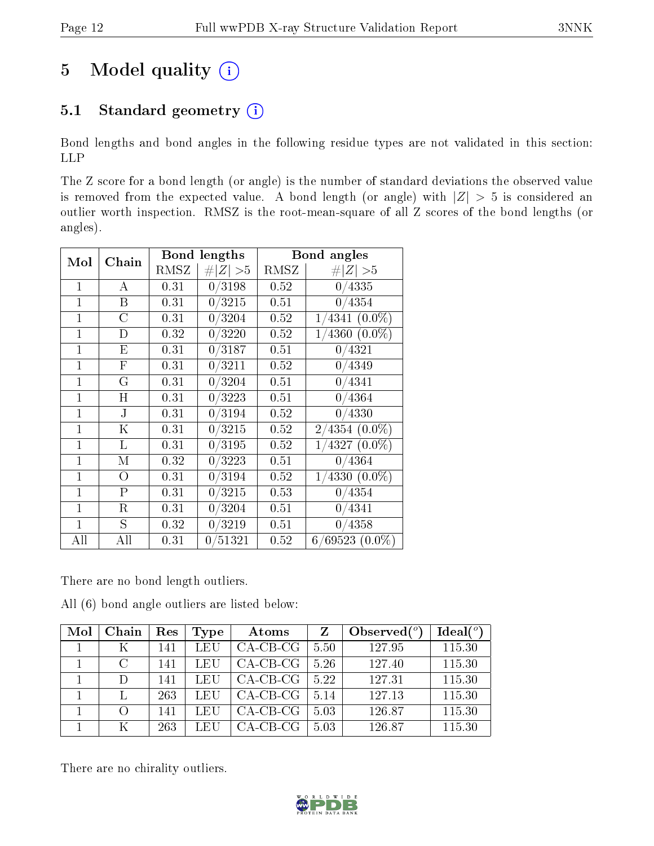# 5 Model quality  $(i)$

# 5.1 Standard geometry (i)

Bond lengths and bond angles in the following residue types are not validated in this section: LLP

The Z score for a bond length (or angle) is the number of standard deviations the observed value is removed from the expected value. A bond length (or angle) with  $|Z| > 5$  is considered an outlier worth inspection. RMSZ is the root-mean-square of all Z scores of the bond lengths (or angles).

| Mol            | Chain        |      | Bond lengths     | Bond angles |                    |  |
|----------------|--------------|------|------------------|-------------|--------------------|--|
|                |              | RMSZ | # $ Z  > 5$      | RMSZ        | # $ Z  > 5$        |  |
| 1              | A            | 0.31 | 0/3198           | 0.52        | 0/4335             |  |
| $\mathbf{1}$   | B            | 0.31 | $\frac{0}{3215}$ | 0.51        | 0/4354             |  |
| $\mathbf{1}$   | С            | 0.31 | 0/3204           | 0.52        | $1/4341$ $(0.0\%)$ |  |
| $\mathbf{1}$   | D            | 0.32 | 0/3220           | 0.52        | $1/4360$ $(0.0\%)$ |  |
| $\mathbf{1}$   | Ε            | 0.31 | 0/3187           | 0.51        | 0/4321             |  |
| $\mathbf{1}$   | $\mathbf{F}$ | 0.31 | 0/3211           | 0.52        | 0/4349             |  |
| $\overline{1}$ | G            | 0.31 | 0/3204           | 0.51        | 0/4341             |  |
| $\mathbf{1}$   | Η            | 0.31 | 0/3223           | 0.51        | 0/4364             |  |
| $\mathbf{1}$   | J            | 0.31 | 0/3194           | 0.52        | 0/4330             |  |
| $\mathbf{1}$   | Κ            | 0.31 | 0/3215           | 0.52        | $2/4354$ $(0.0\%)$ |  |
| $\mathbf{1}$   | L            | 0.31 | 0/3195           | 0.52        | $1/4327(0.0\%)$    |  |
| $\mathbf{1}$   | М            | 0.32 | 0/3223           | 0.51        | 0/4364             |  |
| $\mathbf{1}$   | $\Omega$     | 0.31 | 0/3194           | 0.52        | $1/4330(0.0\%)$    |  |
| $\mathbf{1}$   | $\mathbf P$  | 0.31 | 0/3215           | 0.53        | 0/4354             |  |
| $\mathbf{1}$   | $\mathbf R$  | 0.31 | 0/3204           | 0.51        | 0/4341             |  |
| $\overline{1}$ | S            | 0.32 | 0/3219           | 0.51        | 0/4358             |  |
| All            | All          | 0.31 | 0/51321          | 0.52        | $6/69523(0.0\%)$   |  |

There are no bond length outliers.

|  |  |  |  | All (6) bond angle outliers are listed below: |  |  |  |
|--|--|--|--|-----------------------------------------------|--|--|--|
|--|--|--|--|-----------------------------------------------|--|--|--|

| Mol | Chain  | Res | <b>Type</b> | Atoms      |      | Observed $(^\circ)$ | Ideal(°) |
|-----|--------|-----|-------------|------------|------|---------------------|----------|
|     |        | 141 | LEU         | $CA-CB-CG$ | 5.50 | 127.95              | 115.30   |
|     | $\cap$ | 141 | LEU         | $CA-CB-CG$ | 5.26 | 127.40              | 115.30   |
|     |        | 141 | LEU         | $CA-CB-CG$ | 5.22 | 127.31              | 115.30   |
|     |        | 263 | LEU         | $CA-CB-CG$ | 5.14 | 127.13              | 115.30   |
|     |        | 141 | LEU         | $CA-CB-CG$ | 5.03 | 126.87              | 115.30   |
|     |        | 263 | LEU         | CA-CB-CG   | 5.03 | 126.87              | 115.30   |

There are no chirality outliers.

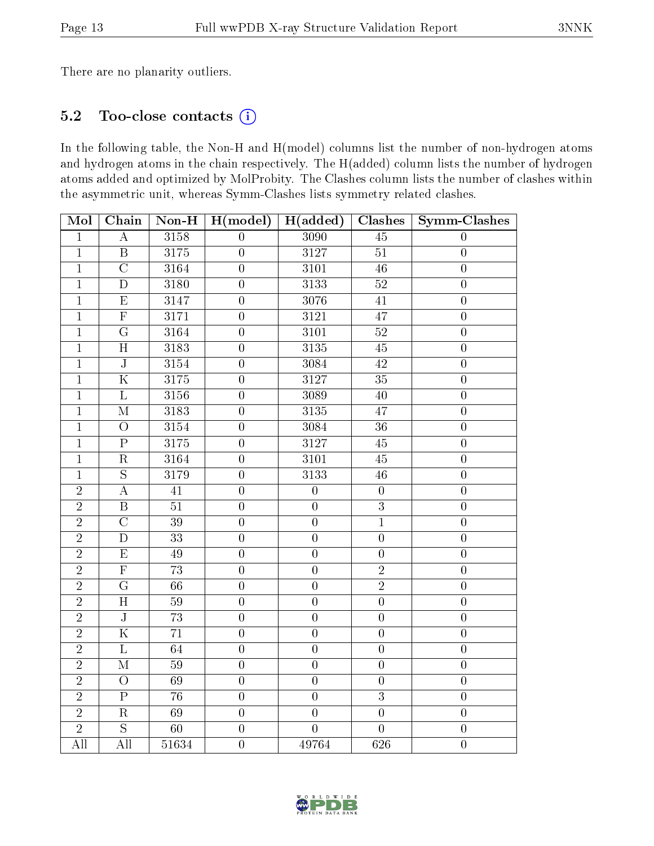There are no planarity outliers.

# 5.2 Too-close contacts (i)

In the following table, the Non-H and H(model) columns list the number of non-hydrogen atoms and hydrogen atoms in the chain respectively. The H(added) column lists the number of hydrogen atoms added and optimized by MolProbity. The Clashes column lists the number of clashes within the asymmetric unit, whereas Symm-Clashes lists symmetry related clashes.

| Mol            | Chain                   | $\overline{\text{Non-H}}$    | $H(m\overline{odel})$ | H(added)          | Clashes          | Symm-Clashes     |
|----------------|-------------------------|------------------------------|-----------------------|-------------------|------------------|------------------|
| $\mathbf 1$    | $\boldsymbol{A}$        | 3158                         | $\overline{0}$        | 3090              | 45               | $\theta$         |
| $\overline{1}$ | $\overline{B}$          | $\overline{3175}$            | $\overline{0}$        | $\overline{3127}$ | $\overline{51}$  | $\overline{0}$   |
| $\mathbf{1}$   | $\overline{\rm C}$      | 3164                         | $\overline{0}$        | 3101              | $\overline{46}$  | $\boldsymbol{0}$ |
| $\overline{1}$ | $\overline{D}$          | 3180                         | $\overline{0}$        | 3133              | $\overline{52}$  | $\boldsymbol{0}$ |
| $\overline{1}$ | $\overline{E}$          | 3147                         | $\overline{0}$        | 3076              | $41\,$           | $\boldsymbol{0}$ |
| $\overline{1}$ | $\overline{\mathrm{F}}$ | $\overline{3}1\overline{7}1$ | $\boldsymbol{0}$      | 3121              | 47               | $\boldsymbol{0}$ |
| $\mathbf{1}$   | G                       | 3164                         | $\boldsymbol{0}$      | 3101              | $52\,$           | $\boldsymbol{0}$ |
| $\mathbf{1}$   | $\overline{\mathrm{H}}$ | 3183                         | $\overline{0}$        | 3135              | $\overline{45}$  | $\overline{0}$   |
| $\overline{1}$ | $\overline{\text{J}}$   | 3154                         | $\overline{0}$        | 3084              | $\overline{42}$  | $\overline{0}$   |
| $\overline{1}$ | $\overline{\mathrm{K}}$ | 3175                         | $\overline{0}$        | 3127              | $\overline{35}$  | $\overline{0}$   |
| $\overline{1}$ | $\overline{\text{L}}$   | 3156                         | $\overline{0}$        | 3089              | 40               | $\boldsymbol{0}$ |
| $\mathbf{1}$   | $\mathbf{M}$            | 3183                         | $\boldsymbol{0}$      | 3135              | 47               | $\boldsymbol{0}$ |
| $\overline{1}$ | $\overline{O}$          | 3154                         | $\overline{0}$        | 3084              | $\overline{36}$  | $\overline{0}$   |
| $\overline{1}$ | $\overline{P}$          | 3175                         | $\overline{0}$        | 3127              | $45\,$           | $\overline{0}$   |
| $\overline{1}$ | $\overline{\mathrm{R}}$ | 3164                         | $\overline{0}$        | 3101              | $\overline{45}$  | $\overline{0}$   |
| $\mathbf{1}$   | $\overline{S}$          | 3179                         | $\boldsymbol{0}$      | 3133              | $46\,$           | $\boldsymbol{0}$ |
| $\overline{2}$ | $\overline{A}$          | $41\,$                       | $\overline{0}$        | $\boldsymbol{0}$  | $\boldsymbol{0}$ | $\boldsymbol{0}$ |
| $\overline{2}$ | $\overline{B}$          | $\overline{51}$              | $\overline{0}$        | $\overline{0}$    | $\overline{3}$   | $\overline{0}$   |
| $\overline{2}$ | $\overline{\rm C}$      | $\overline{39}$              | $\overline{0}$        | $\overline{0}$    | $\overline{1}$   | $\overline{0}$   |
| $\overline{2}$ | $\overline{D}$          | $\overline{33}$              | $\overline{0}$        | $\overline{0}$    | $\overline{0}$   | $\overline{0}$   |
| $\overline{2}$ | $\overline{E}$          | $\overline{49}$              | $\boldsymbol{0}$      | $\boldsymbol{0}$  | $\boldsymbol{0}$ | $\boldsymbol{0}$ |
| $\overline{2}$ | $\overline{\mathrm{F}}$ | $\overline{73}$              | $\boldsymbol{0}$      | $\boldsymbol{0}$  | $\overline{2}$   | $\boldsymbol{0}$ |
| $\overline{2}$ | $\overline{G}$          | 66                           | $\overline{0}$        | $\overline{0}$    | $\overline{2}$   | $\overline{0}$   |
| $\overline{2}$ | $\overline{\rm H}$      | $\overline{59}$              | $\overline{0}$        | $\overline{0}$    | $\overline{0}$   | $\overline{0}$   |
| $\overline{2}$ | $\overline{\mathbf{J}}$ | 73                           | $\boldsymbol{0}$      | $\boldsymbol{0}$  | $\boldsymbol{0}$ | $\boldsymbol{0}$ |
| $\overline{2}$ | $\overline{\mathrm{K}}$ | 71                           | $\boldsymbol{0}$      | $\boldsymbol{0}$  | $\boldsymbol{0}$ | $\boldsymbol{0}$ |
| $\overline{2}$ | $\overline{\mathrm{L}}$ | 64                           | $\boldsymbol{0}$      | $\boldsymbol{0}$  | $\overline{0}$   | $\overline{0}$   |
| $\overline{2}$ | $\mathbf{M}$            | $\overline{59}$              | $\boldsymbol{0}$      | $\boldsymbol{0}$  | $\boldsymbol{0}$ | $\boldsymbol{0}$ |
| $\overline{2}$ | $\overline{O}$          | $\overline{69}$              | $\overline{0}$        | $\overline{0}$    | $\overline{0}$   | $\overline{0}$   |
| $\overline{2}$ | $\overline{\mathrm{P}}$ | $\overline{76}$              | $\boldsymbol{0}$      | $\overline{0}$    | $\overline{3}$   | $\overline{0}$   |
| $\overline{2}$ | $\overline{\mathrm{R}}$ | $\overline{69}$              | $\boldsymbol{0}$      | $\boldsymbol{0}$  | $\overline{0}$   | $\boldsymbol{0}$ |
| $\overline{2}$ | $\overline{S}$          | 60                           | $\boldsymbol{0}$      | $\overline{0}$    | $\overline{0}$   | $\overline{0}$   |
| All            | $\overline{All}$        | $\overline{51634}$           | $\boldsymbol{0}$      | 49764             | $\overline{626}$ | $\boldsymbol{0}$ |

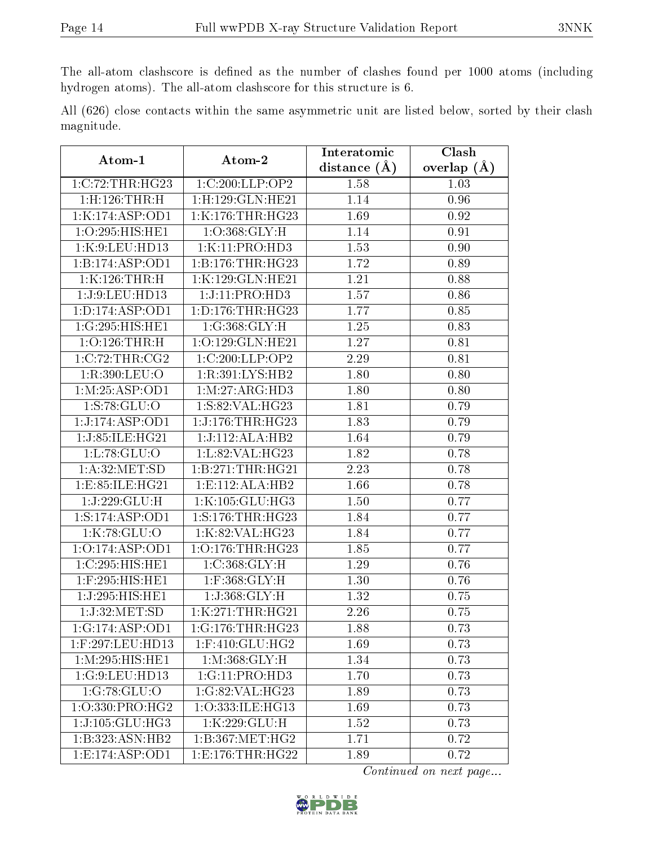The all-atom clashscore is defined as the number of clashes found per 1000 atoms (including hydrogen atoms). The all-atom clashscore for this structure is 6.

All (626) close contacts within the same asymmetric unit are listed below, sorted by their clash magnitude.

| Atom-1              | Atom-2               | Interatomic    | Clash         |
|---------------------|----------------------|----------------|---------------|
|                     |                      | distance $(A)$ | overlap $(A)$ |
| 1:C:72:THR:HG23     | 1:C:200:LLP:OP2      | 1.58           | 1.03          |
| 1:H:126:THR:H       | 1:H:129:GLN:HE21     | 1.14           | 0.96          |
| 1:K:174:ASP:OD1     | 1:K:176:THR:HG23     | 1.69           | 0.92          |
| 1:O:295:HIS:HE1     | 1:O:368:GLY:H        | 1.14           | 0.91          |
| 1:K:9:LEU:HD13      | 1:K:11:PRO:HD3       | 1.53           | 0.90          |
| 1:B:174:ASP:OD1     | 1:B:176:THR:HG23     | 1.72           | 0.89          |
| 1:K:126:THR:H       | 1:K:129:GLN:HE21     | 1.21           | 0.88          |
| 1:J:9:LEU:HDI3      | 1:J:11:PRO:HD3       | 1.57           | 0.86          |
| 1: D: 174: ASP: OD1 | 1: D: 176: THR: HG23 | 1.77           | 0.85          |
| 1:G:295:HIS:HE1     | 1:G:368:GLY:H        | 1.25           | 0.83          |
| 1:O:126:THR:H       | 1:O:129:GLN:HE21     | 1.27           | 0.81          |
| 1:C:72:THR:CG2      | 1:C:200:LLP:OP2      | 2.29           | 0.81          |
| 1:R:390:LEU:O       | 1:R:391:LYS:HB2      | 1.80           | 0.80          |
| 1:M:25:ASP:OD1      | 1: M: 27: ARG: HD3   | 1.80           | 0.80          |
| 1: S: 78: GLU:O     | 1:S:82:VAL:HG23      | 1.81           | 0.79          |
| 1:J:174:ASP:OD1     | 1:J:176:THR:HG23     | 1.83           | 0.79          |
| 1:J:85:ILE:HG21     | 1:J:112:ALA:HB2      | <b>1.64</b>    | 0.79          |
| 1: L: 78: GLU:O     | 1:L:82:VAL:HG23      | 1.82           | 0.78          |
| 1: A:32: MET:SD     | 1:B:271:THR:HG21     | 2.23           | 0.78          |
| 1:E:85:ILE:HG21     | 1:E:112:ALA:HB2      | 1.66           | 0.78          |
| 1:J:229:GLU:H       | 1:K:105:GLU:HG3      | 1.50           | 0.77          |
| 1:S:174:ASP:OD1     | 1:S:176:THR:HG23     | 1.84           | 0.77          |
| 1:K:78:GLU:O        | 1:K:82:VAL:HG23      | 1.84           | 0.77          |
| 1:O:174:ASP:OD1     | 1:O:176:THR:HG23     | 1.85           | 0.77          |
| 1:C:295:HIS:HE1     | 1: C:368: GLY:H      | 1.29           | 0.76          |
| 1:F:295:HIS:HE1     | $1:$ F:368:GLY:H     | 1.30           | 0.76          |
| 1:J:295:HIS:HE1     | 1:J:368:GLY:H        | 1.32           | 0.75          |
| 1:J:32:MET:SD       | 1:K:271:THR:HG21     | 2.26           | 0.75          |
| 1:G:174:ASP:OD1     | 1:G:176:THR:HG23     | 1.88           | 0.73          |
| 1:F:297:LEU:HD13    | $1:$ F:410:GLU:HG2   | 1.69           | 0.73          |
| 1:M:295:HIS:HE1     | 1: M:368: GLY:H      | 1.34           | 0.73          |
| 1:G:9:LEU:HD13      | $1: G: 11: PRO: HD3$ | 1.70           | 0.73          |
| 1:G:78:GLU:O        | 1:G:82:VAL:HG23      | 1.89           | 0.73          |
| 1:O:330:PRO:HG2     | 1:O:333:ILE:HG13     | 1.69           | 0.73          |
| 1:J:105:GLU:HG3     | 1:K:229:GLU:H        | 1.52           | 0.73          |
| 1:B:323:ASN:HB2     | 1:B:367:MET:HG2      | 1.71           | 0.72          |
| 1:E:174:ASP:OD1     | 1:E:176:THR:HG22     | 1.89           | 0.72          |

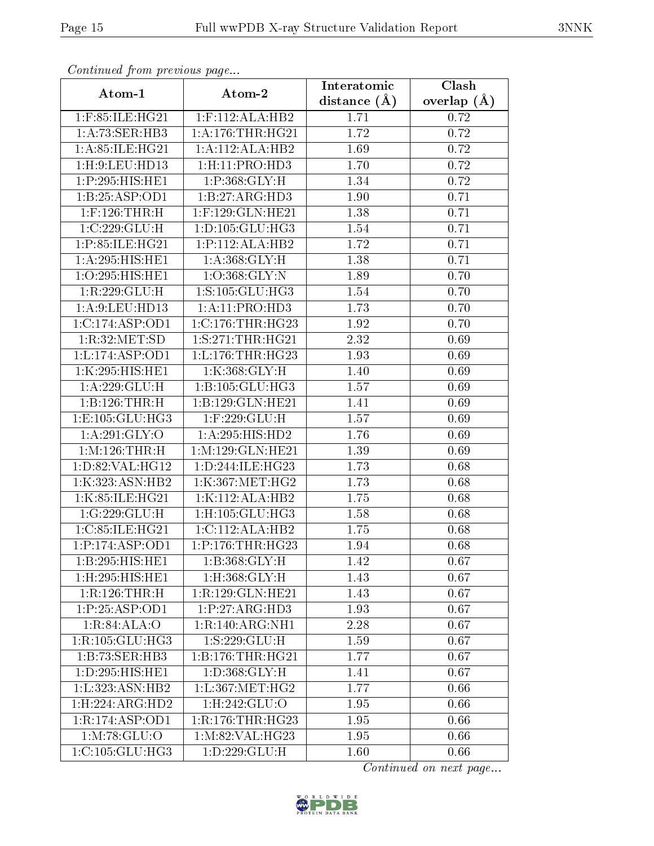| Contentaca prome providuo pago |                            | Interatomic    | Clash         |
|--------------------------------|----------------------------|----------------|---------------|
| Atom-1                         | Atom-2                     | distance $(A)$ | overlap $(A)$ |
| 1:F:85:ILE:HG21                | $1:$ F:112:ALA:HB2         | 1.71           | 0.72          |
| 1:A:73:SER:HB3                 | 1: A:176:THR:HG21          | 1.72           | 0.72          |
| 1:A:85:ILE:HG21                | 1:A:112:ALA:HB2            | 1.69           | 0.72          |
| 1: H:9: LEU: HD13              | 1: H:11: PRO:HD3           | 1.70           | 0.72          |
| 1:P:295:HIS:HE1                | 1:P:368:GLY:H              | 1.34           | 0.72          |
| 1:B:25:ASP:OD1                 | 1:B:27:ARG:HD3             | 1.90           | 0.71          |
| $1:$ F:126:THR:H               | 1:F:129:GLN:HE21           | 1.38           | 0.71          |
| 1:C:229:GLU:H                  | 1: D: 105: GLU: HG3        | 1.54           | 0.71          |
| 1:P:85:ILE:HG21                | 1:P:112:ALA:HB2            | 1.72           | 0.71          |
| 1:A:295:HIS:HE1                | 1: A: 368: GLY: H          | 1.38           | 0.71          |
| 1:O:295:HIS:HE1                | 1:O:368:GLY:N              | 1.89           | 0.70          |
| 1:R:229:GLU:H                  | 1:S:105:GLU:HG3            | 1.54           | 0.70          |
| 1:A:9:LEU:HD13                 | 1:A:11:PRO:HD3             | 1.73           | 0.70          |
| 1:C:174:ASP:OD1                | $1:C:176$ : THR: HG23      | 1.92           | 0.70          |
| 1:R:32:MET:SD                  | 1:S:271:THR:HG21           | 2.32           | 0.69          |
| 1: L: 174: ASP: OD1            | 1: L: 176: THR: HG23       | 1.93           | 0.69          |
| 1:K:295:HIS:HE1                | 1:K:368:GLY:H              | 1.40           | 0.69          |
| 1:A:229:GLU:H                  | 1:B:105:GLU:HG3            | 1.57           | 0.69          |
| 1:B:126:THR:H                  | 1:B:129:GLN:HE21           | 1.41           | 0.69          |
| 1:E:105:GLU:HG3                | 1:F:229:GLU:H              | 1.57           | 0.69          |
| 1:A:291:GLY:O                  | 1:A:295:HIS:HD2            | 1.76           | 0.69          |
| 1:M:126:THR:H                  | 1:M:129:GLN:HE21           | 1.39           | 0.69          |
| 1: D:82: VAL:HG12              | 1:D:244:ILE:HG23           | 1.73           | 0.68          |
| 1:K:323:ASN:HB2                | 1:K:367:MET:HG2            | 1.73           | 0.68          |
| 1:K:85:ILE:HG21                | 1:K:112:ALA:HB2            | 1.75           | 0.68          |
| 1:G:229:GLU:H                  | $1:$ H $:105:$ GLU $:$ HG3 | 1.58           | 0.68          |
| 1:C:85:ILE:HG21                | 1:C:112:ALA:HB2            | 1.75           | 0.68          |
| 1:P:174:ASP:OD1                | 1:P:176:THR:HG23           | 1.94           | 0.68          |
| 1:B:295:HIS:HE1                | 1:B:368:GLY:H              | 1.42           | 0.67          |
| 1:H:295:HIS:HE1                | 1:H:368:GLY:H              | 1.43           | 0.67          |
| 1:R:126:THR:H                  | 1:R:129:GLN:HE21           | 1.43           | 0.67          |
| 1:P:25:ASP:OD1                 | 1:P:27:ARG:HD3             | 1.93           | 0.67          |
| 1:R:84:ALA:O                   | 1:R:140:ARG:NH1            | 2.28           | 0.67          |
| 1:R:105:GLU:HG3                | $1:S:229:\overline{GLU:H}$ | 1.59           | 0.67          |
| 1:B:73:SER:HB3                 | 1:B:176:THR:HG21           | 1.77           | 0.67          |
| 1:D:295:HIS:HE1                | 1:D:368:GLY:H              | 1.41           | 0.67          |
| 1:L:323:ASN:HB2                | 1: L: 367: MET:HG2         | 1.77           | 0.66          |
| 1: H: 224: ARG: HD2            | 1:H:242:GLU:O              | 1.95           | 0.66          |
| 1:R:174:ASP:OD1                | 1:R:176:THR:HG23           | 1.95           | 0.66          |
| 1: M: 78: GLU:O                | 1: M:82: VAL:HG23          | 1.95           | 0.66          |
| 1:C:105:GLU:HG3                | 1:D:229:GLU:H              | 1.60           | 0.66          |

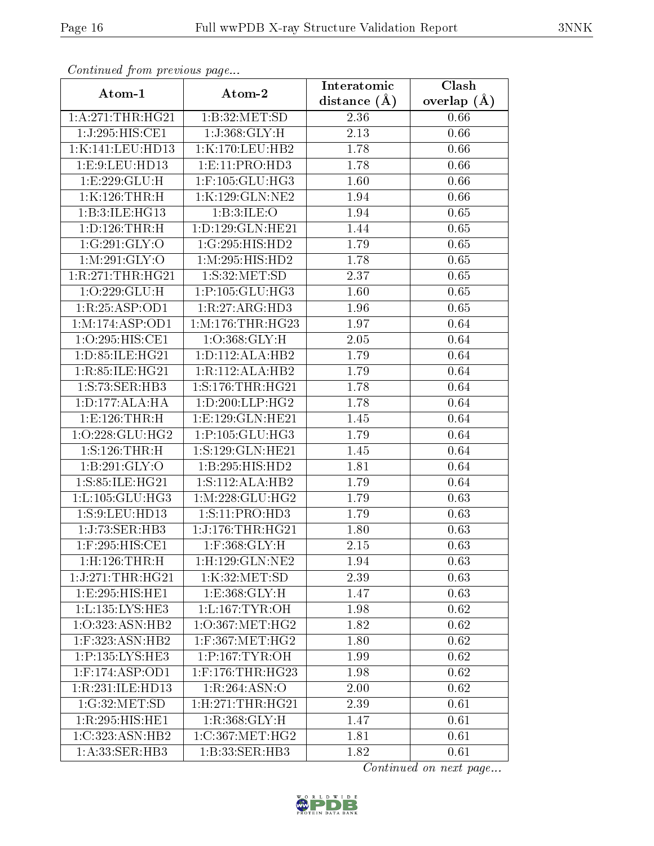| Continuation providus page |                                | Interatomic      | Clash         |
|----------------------------|--------------------------------|------------------|---------------|
| Atom-1                     | Atom-2                         | distance $(\AA)$ | overlap $(A)$ |
| 1: A:271:THR:HG21          | 1:B:32:MET:SD                  | $2.36\,$         | 0.66          |
| 1:J:295:HIS:CE1            | 1:J:368:GLY:H                  | 2.13             | 0.66          |
| 1:K:141:LEU:HD13           | 1:K:170:LEU:HB2                | 1.78             | 0.66          |
| 1:E:9:LEU:HD13             | 1: E: 11: PRO: HD3             | 1.78             | 0.66          |
| 1:E:229:GLU:H              | 1:F:105:GLU:HG3                | 1.60             | 0.66          |
| 1:K:126:THR:H              | 1:K:129:GLN:NE2                | 1.94             | 0.66          |
| 1:B:3:ILE:HG13             | 1:B:3:ILE:O                    | 1.94             | 0.65          |
| 1: D: 126: THR:H           | 1:D:129:GLN:HE21               | 1.44             | 0.65          |
| 1:G:291:GLY:O              | 1:G:295:HIS:HD2                | 1.79             | 0.65          |
| 1: M:291: GLY:O            | 1: M: 295: HIS: HD2            | 1.78             | 0.65          |
| 1:R:271:THR:HG21           | 1: S:32: MET:SD                | 2.37             | 0.65          |
| 1:O:229:GLU:H              | 1:P:105:GLU:HG3                | 1.60             | 0.65          |
| 1:R:25:ASP:OD1             | 1:R:27:ARG:HD3                 | 1.96             | 0.65          |
| 1:M:174:ASP:OD1            | 1: M: 176: THR: HG23           | 1.97             | 0.64          |
| 1:O:295:HIS:CE1            | 1:O:368:GLY:H                  | 2.05             | 0.64          |
| 1: D: 85: ILE: HG21        | 1: D: 112: ALA: HB2            | 1.79             | 0.64          |
| 1:R:85:ILE:HG21            | 1:R:112:ALA:HB2                | 1.79             | 0.64          |
| 1: S: 73: SER: HB3         | 1: S: 176: THR: HG21           | 1.78             | 0.64          |
| 1:D:177:ALA:HA             | 1: D: 200: LLP: HG2            | 1.78             | 0.64          |
| 1:E:126:THR:H              | 1:E:129:GLN:HE21               | 1.45             | 0.64          |
| 1:O:228:GLU:HG2            | 1:P:105:GLU:HG3                | 1.79             | 0.64          |
| 1: S: 126: THR:H           | 1:S:129:GLN:HE21               | 1.45             | 0.64          |
| 1:B:291:GLY:O              | 1:B:295:HIS:HD2                | 1.81             | 0.64          |
| 1:S:85:ILE:HG21            | 1: S: 112: ALA: HB2            | 1.79             | 0.64          |
| 1: L: 105: GLU: HG3        | 1: M: 228: GLU: HG2            | $1.79\,$         | 0.63          |
| 1:S:9:LEU:HD13             | 1:S:11:PRO:HD3                 | 1.79             | 0.63          |
| 1:J:73:SER:HB3             | 1:J:176:THR:HG21               | 1.80             | 0.63          |
| $1:$ F:295:HIS:CE1         | $1:$ F:368: $GLY:$ H           | 2.15             | 0.63          |
| $1:$ H $:126:$ THR $:$ H   | 1:H:129:GLN:NE2                | 1.94             | 0.63          |
| 1:J:271:THR:HG21           | 1:K:32:MET:SD                  | 2.39             | 0.63          |
| 1:E:295:HIS:HE1            | 1: E: 368: GLY: H              | 1.47             | 0.63          |
| 1:L:135:LYS:HE3            | 1: L: 167: TYR: OH             | 1.98             | 0.62          |
| 1:0:323:ASN:HB2            | $1:O:367$ : MET: HG2           | 1.82             | 0.62          |
| 1:F:323:ASN:HB2            | 1:F:367:MET:HG2                | 1.80             | 0.62          |
| 1:P:135:LYS:HE3            | 1:P:167:TYR:OH                 | 1.99             | 0.62          |
| $1:$ F:174:ASP:OD1         | $1:$ F:176:THR:HG23            | 1.98             | 0.62          |
| 1:R:231:ILE:HD13           | 1:R:264:ASN:O                  | 2.00             | 0.62          |
| 1:G:32:MET:SD              | $1:$ H $:271:$ THR $:$ H $G21$ | 2.39             | 0.61          |
| 1:R:295:HIS:HE1            | 1:R:368:GLY:H                  | 1.47             | 0.61          |
| 1:C:323:ASN:HB2            | 1:C:367:MET:HG2                | 1.81             | 0.61          |
| 1:A:33:SER:HB3             | 1:B:33:SER:HB3                 | 1.82             | 0.61          |

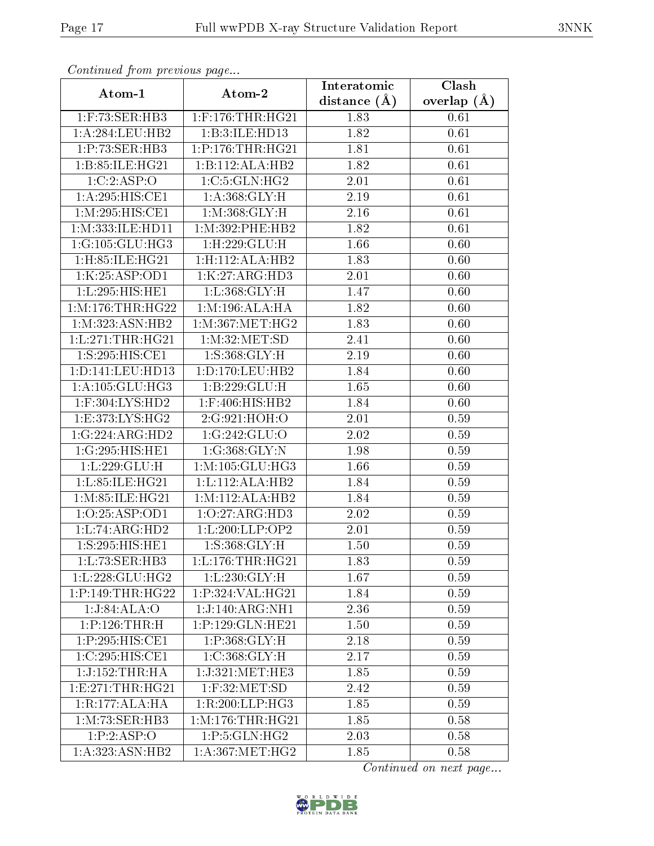| Continuea from previous page  |                      | Interatomic    | Clash           |
|-------------------------------|----------------------|----------------|-----------------|
| Atom-1                        | Atom-2               | distance $(A)$ | overlap $(\AA)$ |
| 1:F:73:SER:HB3                | $1:$ F:176:THR:HG21  | 1.83           | 0.61            |
| 1:A:284:LEU:HB2               | 1:B:3:ILE:HD13       | 1.82           | 0.61            |
| 1:P:73:SER:HB3                | 1:P:176:THR:HG21     | 1.81           | 0.61            |
| 1: B:85: ILE: HG21            | 1:B:112:ALA:HB2      | 1.82           | 0.61            |
| 1:C:2:ASP:O                   | 1:C:5:GLN:HG2        | 2.01           | 0.61            |
| 1:A:295:HIS:CE1               | 1: A: 368: GLY: H    | 2.19           | 0.61            |
| 1: M: 295: HIS: CE1           | 1: M: 368: GLY: H    | 2.16           | 0.61            |
| 1:M:333:ILE:HD11              | 1: M: 392: PHE: HB2  | 1.82           | 0.61            |
| 1:G:105:GLU:HG3               | 1:H:229:GLU:H        | 1.66           | 0.60            |
| $1:$ H $:85:$ ILE $:$ H $G21$ | 1:H:112:ALA:HB2      | 1.83           | 0.60            |
| 1:K:25:ASP:OD1                | 1:K:27:ARG:HD3       | 2.01           | 0.60            |
| 1:L:295:HIS:HE1               | 1:L:368:GLY:H        | 1.47           | 0.60            |
| 1: M: 176: THR: HG22          | 1:M:196:ALA:HA       | 1.82           | 0.60            |
| 1: M: 323: ASN: HB2           | 1: M:367:MET:HG2     | 1.83           | 0.60            |
| 1:L:271:THR:HG21              | 1: M:32:MET:SD       | 2.41           | 0.60            |
| 1:S:295:HIS:CE1               | 1: S: 368: GLY: H    | 2.19           | 0.60            |
| 1:D:141:LEU:HD13              | 1: D: 170: LEU: HB2  | 1.84           | 0.60            |
| 1: A: 105: GLU: HG3           | 1:B:229:GLU:H        | 1.65           | 0.60            |
| 1:F:304:LYS:HD2               | 1:F:406:HIS:HB2      | 1.84           | 0.60            |
| 1: E:373: LYS: HG2            | 2:G:921:HOH:O        | 2.01           | 0.59            |
| 1:G:224:ARG:HD2               | 1:G:242:GLU:O        | $2.02\,$       | 0.59            |
| 1:G:295:HIS:HE1               | 1:G:368:GLY:N        | 1.98           | 0.59            |
| 1:L:229:GLU:H                 | 1: M: 105: GLU: HG3  | 1.66           | 0.59            |
| 1:L:85:ILE:HG21               | 1: L: 112: ALA: HB2  | 1.84           | 0.59            |
| 1: M: 85: ILE: HG21           | 1:M:112:ALA:HB2      | 1.84           | 0.59            |
| 1:0:25:ASP:OD1                | 1:0:27:ARG:HD3       | 2.02           | 0.59            |
| 1:L:74:ARG:HD2                | 1: L: 200: LLP: OP2  | 2.01           | 0.59            |
| 1:S:295:HIS:HE1               | 1: S: 368: GLY: H    | 1.50           | 0.59            |
| 1:L:73:SER:HB3                | 1:L:176:THR:HG21     | 1.83           | 0.59            |
| 1: L: 228: GLU: HG2           | 1:L:230:GLY:H        | 1.67           | 0.59            |
| 1:P:149:THR:HG22              | 1: P: 324: VAL: HG21 | 1.84           | 0.59            |
| 1:J:84:ALA:O                  | 1:J:140:ARG:NH1      | 2.36           | 0.59            |
| 1:P:126:THR:H                 | 1:P:129:GLN:HE21     | 1.50           | 0.59            |
| 1:P:295:HIS:CE1               | 1:P:368:GLY:H        | 2.18           | 0.59            |
| 1:C:295:HIS:CE1               | 1:C:368:GLY:H        | 2.17           | 0.59            |
| 1:J:152:THR:HA                | 1:J:321:MET:HE3      | 1.85           | 0.59            |
| 1: E: 271: THR: HG21          | $1:$ F:32:MET:SD     | 2.42           | 0.59            |
| 1:R:177:ALA:HA                | 1:R:200:LLP:HG3      | 1.85           | 0.59            |
| 1: M: 73: SER: HB3            | 1: M: 176: THR: HG21 | 1.85           | 0.58            |
| 1:P:2:ASP:O                   | 1: P: 5: GLN: HG2    | 2.03           | 0.58            |
| 1:A:323:ASN:HB2               | 1: A: 367: MET:HG2   | 1.85           | 0.58            |

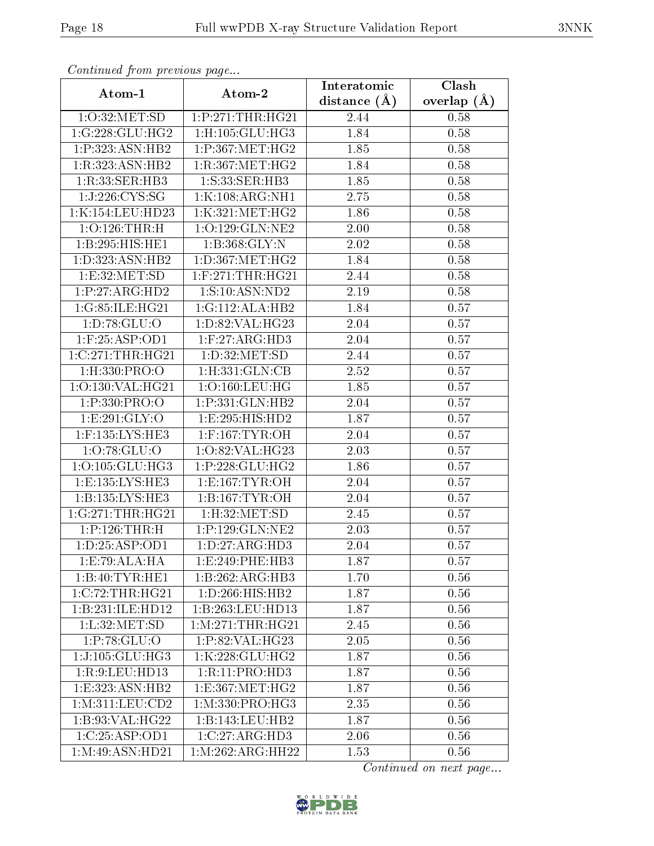| Continuea from previous page |                               | Interatomic    | Clash           |
|------------------------------|-------------------------------|----------------|-----------------|
| Atom-1                       | Atom-2                        | distance $(A)$ | overlap $(\AA)$ |
| 1:O:32:MET:SD                | 1:P:271:THR:HG21              | 2.44           | 0.58            |
| 1:G:228:GLU:HG2              | $1:$ H $:105:$ GLU $:$ HG3    | 1.84           | 0.58            |
| 1:P:323:ASN:HB2              | 1:P:367:MET:HG2               | 1.85           | 0.58            |
| 1:R:323:ASN:HB2              | 1:R:367:MET:HG2               | 1.84           | 0.58            |
| 1:R:33:SER:HB3               | 1:S:33:SER:HB3                | 1.85           | 0.58            |
| 1:J:226:CYS:SG               | 1:K:108:ARG:NH1               | 2.75           | 0.58            |
| 1:K:154:LEU:HD23             | 1:K:321:MET:HG2               | 1.86           | 0.58            |
| $1:O:126$ : THR: H           | 1:O:129:GLN:NE2               | 2.00           | 0.58            |
| 1:B:295:HIS:HE1              | 1:B:368:GLY:N                 | 2.02           | 0.58            |
| 1:D:323:ASN:HB2              | 1: D: 367: MET: HG2           | 1.84           | 0.58            |
| 1:E:32:MET:SD                | $1:$ F:271:THR:HG21           | 2.44           | 0.58            |
| 1:P:27:ARG:HD2               | 1:S:10:ASN:ND2                | 2.19           | 0.58            |
| 1:G:85:ILE:HG21              | 1:G:112:ALA:HB2               | 1.84           | 0.57            |
| 1: D:78: GLU:O               | 1:D:82:VAL:HG23               | 2.04           | 0.57            |
| 1: F:25: ASP:OD1             | 1: F:27: ARG:HD3              | 2.04           | 0.57            |
| 1:C:271:THR:HG21             | 1:D:32:MET:SD                 | 2.44           | 0.57            |
| 1:H:330:PRO:O                | 1:H:331:GLN:CB                | 2.52           | 0.57            |
| 1:O:130:VAL:HG21             | 1:O:160:LEU:HG                | 1.85           | 0.57            |
| $1: P: 330: PRO:$ O          | 1:P:331:GLN:HB2               | 2.04           | 0.57            |
| 1:E:291:GLY:O                | 1:E:295:HIS:HD2               | 1.87           | 0.57            |
| 1:F:135:LYS:HE3              | $1:$ F:167:TYR:OH             | 2.04           | 0.57            |
| 1:0:78:GLU:O                 | 1:O:82:VAL:HG23               | 2.03           | 0.57            |
| 1:O:105:GLU:HG3              | 1:P:228:GLU:HG2               | 1.86           | 0.57            |
| 1:E:135:LYS:HE3              | 1: E: 167: TYR: OH            | 2.04           | 0.57            |
| 1:B:135:LYS:HE3              | 1:B:167:TYR:OH                | 2.04           | 0.57            |
| 1:G:271:THR:HG21             | 1: H: 32: MET: SD             | 2.45           | 0.57            |
| 1:P:126:THR:H                | 1:P:129:GLN:NE2               | 2.03           | 0.57            |
| 1: D: 25: ASP: OD1           | 1: D: 27: ARG: HD3            | 2.04           | 0.57            |
| 1:E:79:ALA:HA                | 1: E:249: PHE:HB3             | 1.87           | 0.57            |
| 1:B:40:TYR:HE1               | 1:B:262:ARG:HB3               | 1.70           | 0.56            |
| 1:C:72:THR:HG21              | 1: D:266: HIS: HB2            | 1.87           | 0.56            |
| 1:B:231:ILE:HD12             | 1:B:263:LEU:HD13              | 1.87           | 0.56            |
| 1: L:32: MET:SD              | 1: M:271:THR:HG21             | 2.45           | 0.56            |
| 1:P:78:GLU:O                 | 1:P:82:VAL:HG23               | 2.05           | 0.56            |
| $1:J:105:GLU:H\overline{G3}$ | 1:K:228:GLU:HG2               | 1.87           | 0.56            |
| 1:R:9:LEU:HDI3               | 1:R:11:PRO:HD3                | 1.87           | 0.56            |
| 1:E:323:ASN:HB2              | 1: E: 367: MET: HG2           | 1.87           | 0.56            |
| 1: M:311: LEU: CD2           | 1:M:330:PRO:HG3               | 2.35           | 0.56            |
| 1:B:93:VAL:HG22              | 1:B:143:LEU:HB2               | 1.87           | 0.56            |
| 1:C:25:ASP:OD1               | 1:C:27:ARG:H <sub>D3</sub>    | 2.06           | 0.56            |
| 1: M:49: ASN: HD21           | $1:M:262:ARG:\overline{HH22}$ | 1.53           | 0.56            |

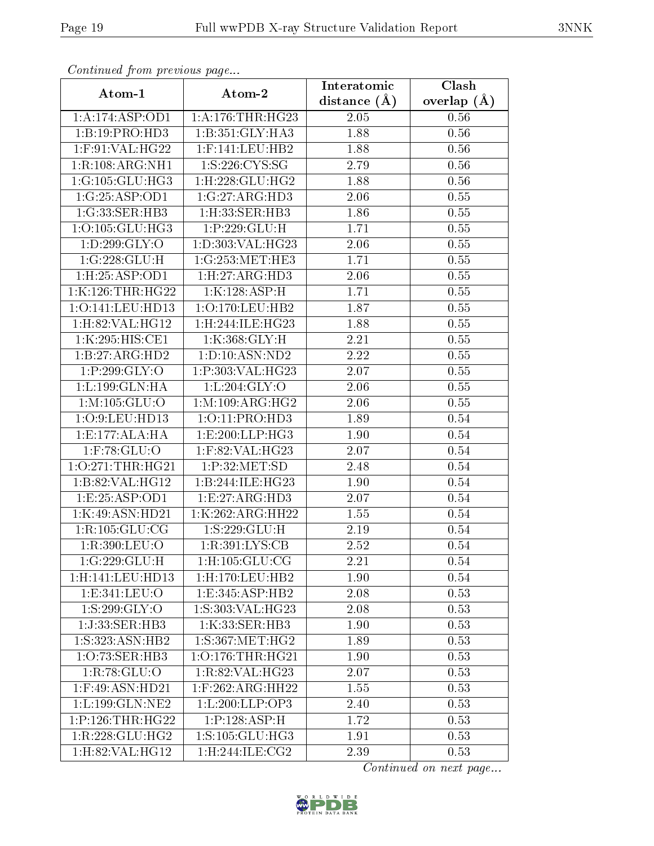| Continual from previous page |                                         | Interatomic    | Clash         |
|------------------------------|-----------------------------------------|----------------|---------------|
| Atom-1                       | Atom-2                                  | distance $(A)$ | overlap $(A)$ |
| 1:A:174:ASP:OD1              | 1: A:176:THR:HG23                       | 2.05           | 0.56          |
| 1:B:19:PRO:HD3               | 1:B:351:GLY:HA3                         | 1.88           | 0.56          |
| $1:$ F:91:VAL:HG22           | $1:$ F:141:LEU:HB2                      | 1.88           | 0.56          |
| 1:R:108:ARG:NH1              | 1: S:226: CYS:SG                        | 2.79           | 0.56          |
| 1:G:105:GLU:HG3              | $1:$ H $:228:$ GLU $:$ HG2              | 1.88           | 0.56          |
| 1:G:25:ASP:OD1               | 1:G:27:ARG:HD3                          | 2.06           | 0.55          |
| 1:G:33:SER:HB3               | 1:H:33:SER:HB3                          | 1.86           | $0.55\,$      |
| 1:O:105:GLU:HG3              | $1:\!\overline{P}:\!229:\!\text{GLU:H}$ | 1.71           | 0.55          |
| 1: D: 299: GLY: O            | 1:D:303:VAL:HG23                        | 2.06           | $0.55\,$      |
| 1:G:228:GLU:H                | 1:G:253:MET:HE3                         | 1.71           | 0.55          |
| 1:H:25:ASP:OD1               | 1: H: 27: ARG: HD3                      | 2.06           | $0.55\,$      |
| 1:K:126:THR:HG22             | 1:K:128:ASP:H                           | 1.71           | 0.55          |
| 1:O:141:LEU:HD13             | 1:O:170:LEU:HB2                         | 1.87           | $0.55\,$      |
| 1: H:82: VAL:HGI2            | 1:H:244:ILE:HG23                        | 1.88           | $0.55\,$      |
| 1:K:295:HIS:CE1              | 1:K:368:GLY:H                           | 2.21           | $0.55\,$      |
| 1:B:27:ARG:HD2               | 1: D: 10: ASN: ND2                      | 2.22           | 0.55          |
| 1:P:299:GLY:O                | 1:P:303:VAL:HG23                        | 2.07           | 0.55          |
| 1:L:199:GLN:HA               | 1: L:204: GLY:O                         | 2.06           | 0.55          |
| 1: M: 105: GLU:O             | 1: M: 109: ARG: HG2                     | 2.06           | 0.55          |
| 1:O:9:LEU:HD13               | 1:O:11:PRO:HD3                          | 1.89           | 0.54          |
| 1:E:177:ALA:HA               | 1:E:200:LLP:HG3                         | 1.90           | 0.54          |
| $1:$ F:78:GLU:O              | 1:F:82:VAL:HG23                         | 2.07           | 0.54          |
| 1:O:271:THR:HG21             | 1:P:32:MET:SD                           | 2.48           | 0.54          |
| 1:B:82:VAL:HG12              | 1:B:244:ILE:HG23                        | 1.90           | 0.54          |
| 1: E: 25: ASP: OD1           | 1:E:27:ARG:HD3                          | 2.07           | 0.54          |
| 1:K:49:ASN:HD21              | 1:K:262:ARG:HH22                        | 1.55           | 0.54          |
| 1:R:105:GLU:CG               | 1:S:229:GLU:H                           | 2.19           | 0.54          |
| 1:R:390:LEU:O                | 1:R:391:LYS:CB                          | 2.52           | 0.54          |
| 1:G:229:GLU:H                | $1:$ H $:105:$ GLU $:$ CG               | 2.21           | 0.54          |
| 1:H:141:LEU:HD13             | 1:H:170:LEU:HB2                         | 1.90           | 0.54          |
| 1: E: 341: LEU: O            | 1:E:345:ASP:HB2                         | 2.08           | 0.53          |
| 1:S:299:GLY:O                | 1:S:303:VAL:HG23                        | 2.08           | 0.53          |
| 1:J:33:SER:HB3               | 1:K:33:SER:HB3                          | 1.90           | 0.53          |
| 1:S:323:ASN:HB2              | 1:S:367:MET:HG2                         | 1.89           | 0.53          |
| 1:O:73:SER:HB3               | $1:0:176$ : THR: HG21                   | 1.90           | 0.53          |
| 1:R:78:GLU:O                 | 1:R:82:VAL:HG23                         | 2.07           | 0.53          |
| $1:$ F:49:ASN:HD21           | $1:$ F:262:ARG:HH22                     | 1.55           | 0.53          |
| 1:L:199:GLN:NE2              | 1:L:200:LLP:OP3                         | 2.40           | 0.53          |
| 1:P:126:THR:HG22             | 1:P:128:ASP:H                           | 1.72           | 0.53          |
| 1:R:228:GLU:HG2              | 1:S:105:GLU:HG3                         | 1.91           | 0.53          |
| $1:$ H:82:VAL:HG12           | 1:H:244:ILE:CG2                         | 2.39           | 0.53          |

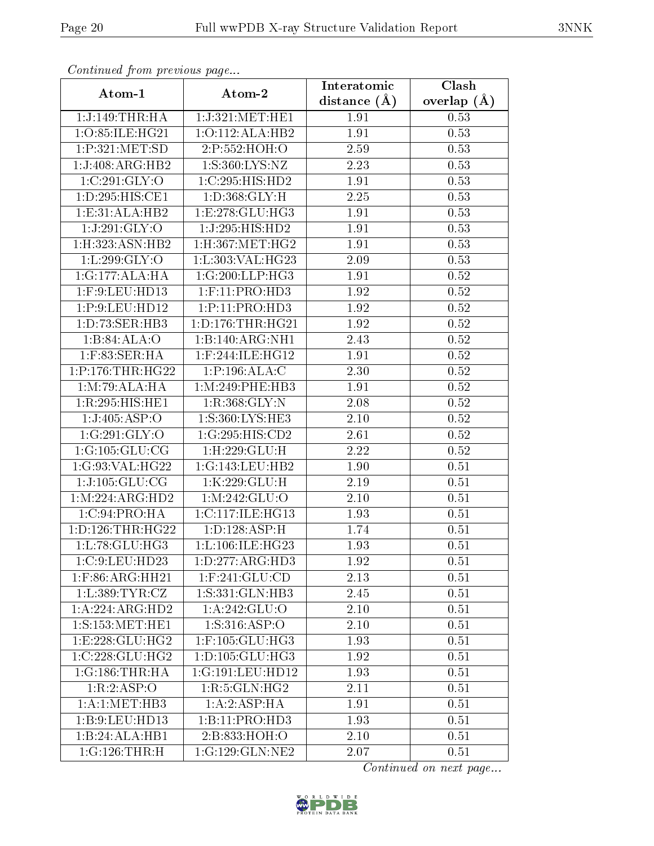| Atom-1               |                                    | Interatomic    | Clash         |
|----------------------|------------------------------------|----------------|---------------|
|                      | Atom-2                             | distance $(A)$ | overlap $(A)$ |
| 1:J:149:THR:HA       | 1:J:321:MET:HE1                    | 1.91           | 0.53          |
| 1:O:85:ILE:HG21      | 1:O:112:ALA:HB2                    | 1.91           | 0.53          |
| 1:P:321:MET:SD       | $2:\!\overline{P}:\!552:\!HOH:\!O$ | 2.59           | 0.53          |
| 1:J:408:ARG:HB2      | 1:S:360:LYS:NZ                     | 2.23           | 0.53          |
| 1:C:291:GLY:O        | 1:C:295:HIS:HD2                    | 1.91           | 0.53          |
| 1: D: 295: HIS: CE1  | 1: D: 368: GLY: H                  | 2.25           | 0.53          |
| 1:E:31:ALA:HB2       | 1: E: 278: GLU: HG3                | 1.91           | 0.53          |
| 1:J:291:GLY:O        | 1:J:295:HIS:HD2                    | 1.91           | 0.53          |
| 1:H:323:ASN:HB2      | $1:$ H $:367:$ MET $:$ H $G2$      | 1.91           | 0.53          |
| 1:L:299:GLY:O        | 1:L:303:VAL:HG23                   | 2.09           | 0.53          |
| 1:G:177:ALA:HA       | 1:G:200:LLP:HG3                    | 1.91           | 0.52          |
| $1:$ F:9:LEU:HD $13$ | $1:$ F:11:PRO:HD3                  | 1.92           | 0.52          |
| 1:P:9:LEU:HD12       | 1: P: 11: PRO: HD3                 | 1.92           | 0.52          |
| 1:D:73:SER:HB3       | 1: D: 176: THR: HG21               | 1.92           | 0.52          |
| 1:B:84:ALA:O         | 1:B:140:ARG:NH1                    | 2.43           | 0.52          |
| $1:$ F:83:SER:HA     | $1:$ F:244:ILE:HG12                | 1.91           | 0.52          |
| 1:P:176:THR:HG22     | 1: P: 196: ALA: C                  | 2.30           | 0.52          |
| 1:M:79:ALA:HA        | 1:M:249:PHE:HB3                    | 1.91           | 0.52          |
| 1:R:295:HIS:HE1      | 1:R:368:GLY:N                      | 2.08           | 0.52          |
| 1:J:405:ASP:O        | 1:S:360:LYS:HE3                    | $2.10\,$       | 0.52          |
| 1:G:291:GLY:O        | 1:G:295:HIS:CD2                    | 2.61           | 0.52          |
| 1:G:105:GLU:CG       | $1:$ H $:229:$ GLU $:$ H           | 2.22           | 0.52          |
| 1:G:93:VAL:HG22      | 1:G:143:LEU:HB2                    | 1.90           | 0.51          |
| 1:J:105:GLU:CG       | 1:K:229:GLU:H                      | 2.19           | 0.51          |
| 1: M:224: ARG:HD2    | 1:M:242:GLU:O                      | 2.10           | 0.51          |
| 1:C:94:PRO:HA        | 1:C:117:ILE:HG13                   | 1.93           | 0.51          |
| 1: D: 126: THR: HG22 | 1: D: 128: ASP:H                   | 1.74           | 0.51          |
| 1:L:78:GLU:HG3       | 1: L: 106: ILE: HG23               | 1.93           | 0.51          |
| 1:C:9:LEU:HD23       | 1: D: 277: ARG: HD3                | 1.92           | 0.51          |
| $1:$ F:86:ARG:HH21   | $1:$ F:241:GLU:CD                  | 2.13           | 0.51          |
| 1: L:389: TYR: CZ    | 1:S:331:GLN:HB3                    | 2.45           | $0.51\,$      |
| 1:A:224:ARG:HD2      | 1:A:242:GLU:O                      | 2.10           | 0.51          |
| 1: S: 153:MET:HE1    | 1: S: 316: ASP:O                   | 2.10           | 0.51          |
| 1:E:228:GLU:HG2      | $1:$ F:105:GLU:HG3                 | 1.93           | 0.51          |
| $1:C:228:$ GLU:HG2   | 1: D: 105: GLU: HG3                | 1.92           | 0.51          |
| 1:G:186:THR:HA       | 1:G:191:LEU:HD12                   | 1.93           | 0.51          |
| 1:R:2:ASP:O          | 1:R:5:GLN:HG2                      | 2.11           | 0.51          |
| 1:A:1:MET:HB3        | 1:A:2:ASP:HA                       | 1.91           | 0.51          |
| 1:B:9:LEU:HD13       | 1:B:11:PRO:HD3                     | 1.93           | 0.51          |
| 1:B:24:ALA:HB1       | 2:B:833:HOH:O                      | 2.10           | 0.51          |
| 1:G:126:THR:H        | 1:G:129:GLN:NE2                    | 2.07           | 0.51          |

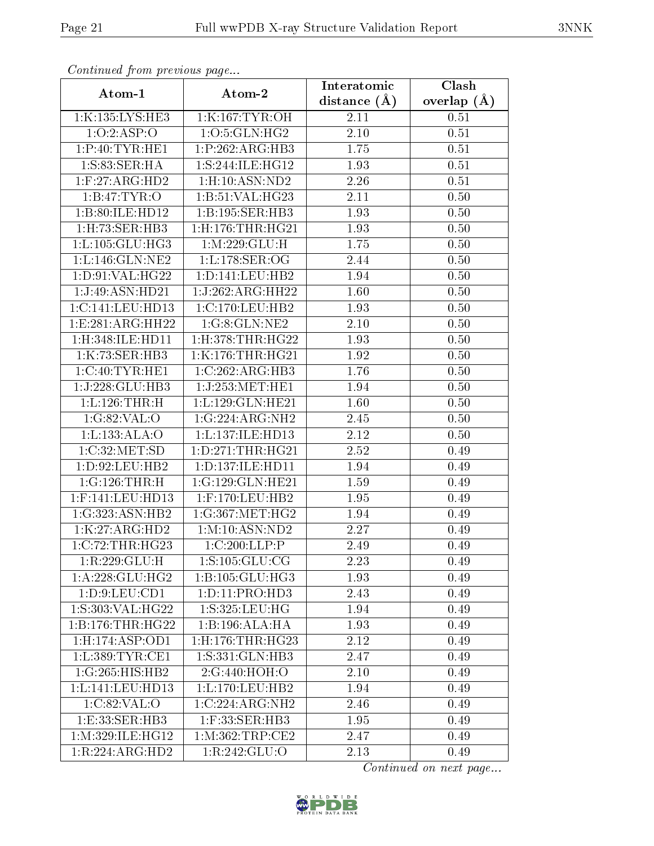| Continual from previous page |                                | Interatomic    | Clash         |
|------------------------------|--------------------------------|----------------|---------------|
| Atom-1                       | Atom-2                         | distance $(A)$ | overlap $(A)$ |
| 1:K:135:LYS:HE3              | 1:K:167:TYR:OH                 | 2.11           | 0.51          |
| 1:0:2:ASP:O                  | 1:O:5:GLN:HG2                  | $2.10\,$       | 0.51          |
| 1: P:40: TYR: HE1            | 1:P:262:ARG:HB3                | 1.75           | 0.51          |
| 1: S:83: SER:HA              | 1: S:244: ILE: HG12            | 1.93           | 0.51          |
| $1:$ F:27:ARG:HD2            | $1:$ H $:10:$ ASN $:$ ND $2$   | 2.26           | 0.51          |
| 1:B:47:TYR:O                 | 1:B:51:VAL:HG23                | 2.11           | 0.50          |
| 1:B:80:ILE:HD12              | 1:B:195:SER:HB3                | 1.93           | 0.50          |
| 1: H: 73: SER: HB3           | $1:$ H $:176:$ THR $:$ H $G21$ | 1.93           | 0.50          |
| 1: L: 105: GLU: HG3          | 1: M: 229: GLU: H              | 1.75           | 0.50          |
| 1:L:146:GLN:NE2              | 1: L: 178: SER: OG             | 2.44           | 0.50          |
| 1: D:91: VAL:HG22            | 1: D: 141: LEU: HB2            | 1.94           | 0.50          |
| 1:J:49:ASN:HD21              | 1:J:262:ARG:HH22               | 1.60           | 0.50          |
| 1:C:141:LEU:HD13             | 1:C:170:LEU:HB2                | 1.93           | 0.50          |
| 1: E: 281: ARG: HH22         | 1:G:8:GLN:NE2                  | 2.10           | $0.50\,$      |
| $1:$ H:348:ILE:HD11          | $1:$ H $:378:$ THR $:$ H $G22$ | 1.93           | 0.50          |
| 1:K:73:SER:HB3               | 1:K:176:THR:HG21               | 1.92           | 0.50          |
| 1:C:40:TYR:HE1               | 1:C:262:ARG:HB3                | 1.76           | 0.50          |
| $1:J:228:GLU:H\overline{B3}$ | 1:J:253:MET:HE1                | 1.94           | 0.50          |
| 1: L: 126: THR:H             | 1: L: 129: GLN: HE21           | 1.60           | 0.50          |
| 1:G:82:VAL:O                 | 1:G:224:ARG:NH2                | 2.45           | 0.50          |
| 1:L:133:ALA:O                | 1:L:137:ILE:HD13               | 2.12           | 0.50          |
| 1:C:32:MET:SD                | 1: D: 271: THR: HG21           | 2.52           | 0.49          |
| 1: D:92: LEU: HB2            | 1: D: 137: ILE: HD11           | 1.94           | 0.49          |
| 1:G:126:THR:H                | 1:G:129:GLN:HE21               | 1.59           | 0.49          |
| 1:F:141:LEU:HD13             | $1:$ F:170:LEU:HB2             | 1.95           | 0.49          |
| 1:G:323:ASN:HB2              | 1:G:367:MET:HG2                | 1.94           | 0.49          |
| 1:K:27:ARG:HD2               | 1:M:10:ASN:ND2                 | 2.27           | 0.49          |
| 1:C:72:THR:HG23              | 1:C:200:LLP:P                  | 2.49           | 0.49          |
| 1:R:229:GLU:H                | 1:S:105:GLU:CG                 | 2.23           | 0.49          |
| 1:A:228:GLU:HG2              | 1:B:105:GLU:HG3                | 1.93           | 0.49          |
| 1: D: 9: LEU: CD1            | 1: D: 11: PRO: HD3             | 2.43           | 0.49          |
| 1: S: 303: VAL:HG22          | 1:S:325:LEU:HG                 | 1.94           | 0.49          |
| 1:B:176:THR:HG22             | 1:B:196:ALA:HA                 | 1.93           | 0.49          |
| 1:H:174:ASP:OD1              | $1:$ H $:176:$ THR $:$ H $G23$ | 2.12           | 0.49          |
| 1: L: 389: TYR: CE1          | 1:S:331:GLN:HB3                | 2.47           | 0.49          |
| 1:G:265:HIS:HB2              | 2:G:440:HOH:O                  | 2.10           | 0.49          |
| 1:L:141:LEU:HD13             | 1: L: 170: LEU: HB2            | 1.94           | 0.49          |
| 1:C:82:VAL:O                 | 1:C:224:ARG:NH2                | 2.46           | 0.49          |
| 1:E:33:SER:HB3               | $1:$ F:33:SER:HB3              | 1.95           | 0.49          |
| 1: M: 329: ILE: HG12         | 1: M:362:TRP:CE2               | 2.47           | 0.49          |
| 1:R:224:ARG:HD2              | 1:R:242:GLU:O                  | 2.13           | 0.49          |

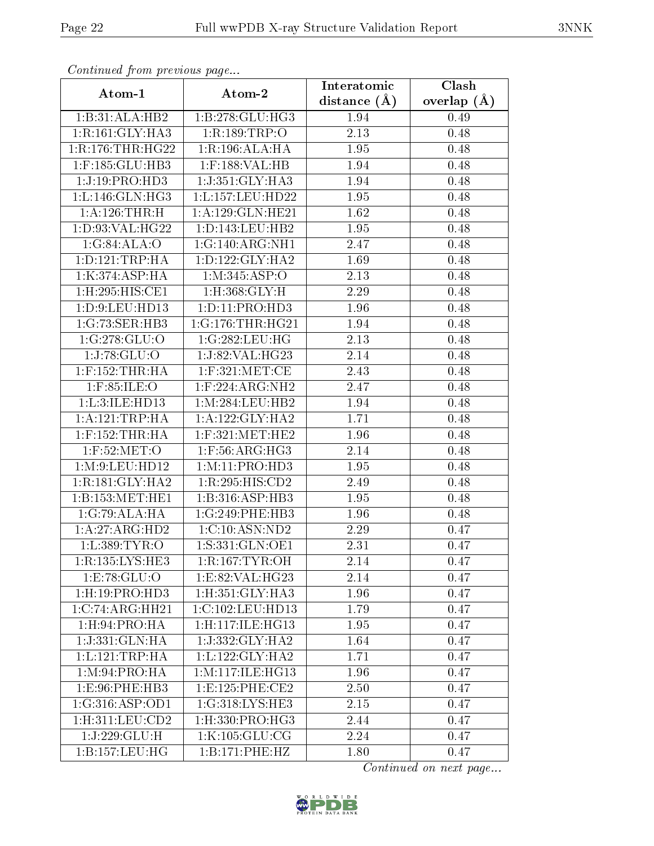| Continueu from previous page |                      | Interatomic    | Clash           |
|------------------------------|----------------------|----------------|-----------------|
| Atom-1                       | Atom-2               | distance $(A)$ | overlap $(\AA)$ |
| 1:B:31:ALA:HB2               | 1:B:278:GLU:HG3      | 1.94           | 0.49            |
| 1:R:161:GLY:HA3              | 1:R:189:TRP:O        | 2.13           | 0.48            |
| 1:R:176:THR:HG22             | 1:R:196:ALA:HA       | 1.95           | 0.48            |
| $1:$ F:185: $GLU$ :HB3       | $1:$ F:188:VAL:HB    | 1.94           | 0.48            |
| 1:J:19:PRO:HD3               | 1:J:351:GLY:HA3      | 1.94           | 0.48            |
| 1: L: 146: GLN: HG3          | 1:L:157:LEU:HD22     | 1.95           | 0.48            |
| 1:A:126:THR:H                | 1:A:129:GLN:HE21     | 1.62           | 0.48            |
| 1: D:93: VAL:HG22            | 1: D: 143: LEU: HB2  | 1.95           | 0.48            |
| 1:G:84:ALA:O                 | 1:G:140:ARG:NH1      | 2.47           | 0.48            |
| 1: D: 121: TRP: HA           | 1: D: 122: GLY: HA2  | 1.69           | 0.48            |
| 1:K:374:ASP:HA               | 1: M:345: ASP:O      | 2.13           | 0.48            |
| 1:H:295:HIS:CE1              | 1:H:368:GLY:H        | 2.29           | 0.48            |
| 1: D: 9: LEU: HD13           | 1:D:11:PRO:HD3       | 1.96           | 0.48            |
| 1:G:73:SER:HB3               | 1:G:176:THR:HG21     | 1.94           | 0.48            |
| 1:G:278:GLU:O                | 1:G:282:LEU:HG       | 2.13           | 0.48            |
| $\overline{1:}J:78:GLU:O$    | 1:J:82:VAL:HG23      | 2.14           | 0.48            |
| $1:$ F:152:THR:HA            | $1:$ F:321:MET:CE    | 2.43           | 0.48            |
| $1:$ F:85:ILE:O              | $1:$ F:224:ARG:NH2   | 2.47           | 0.48            |
| 1:L:3:ILE:HD13               | 1:M:284:LEU:HB2      | 1.94           | 0.48            |
| 1: A:121:TRP:HA              | 1:A:122:GLY:HA2      | 1.71           | 0.48            |
| $1:$ F:152:THR:HA            | $1:$ F:321:MET:HE2   | 1.96           | 0.48            |
| $1:$ F:52:MET:O              | $1:$ F:56:ARG:HG3    | 2.14           | 0.48            |
| 1: M:9: LEU: HD12            | 1:M:11:PRO:HD3       | 1.95           | 0.48            |
| 1:R:181:GLY:HA2              | 1:R:295:HIS:CD2      | 2.49           | 0.48            |
| 1:B:153:MET:HE1              | 1:B:316:ASP:HB3      | 1.95           | 0.48            |
| 1:G:79:ALA:HA                | 1:G:249:PHE:HB3      | 1.96           | 0.48            |
| 1:A:27:ARG:HD2               | 1:C:10:ASN:ND2       | 2.29           | 0.47            |
| 1:L:389:TYR:O                | 1:S:331:GLN:OE1      | 2.31           | 0.47            |
| 1:R:135:LYS:HE3              | 1:R:167:TYR:OH       | 2.14           | 0.47            |
| 1:E:78:GLU:O                 | 1:E:82:VAL:HG23      | 2.14           | 0.47            |
| $1:$ H $:19:$ PRO $:$ HD $3$ | 1:H:351:GLY:HA3      | 1.96           | 0.47            |
| $1:C:74:A\overline{RG:HH21}$ | 1:C:102:LEU:HD13     | 1.79           | 0.47            |
| 1: H:94: PRO:HA              | 1:H:117:ILE:HG13     | 1.95           | 0.47            |
| 1:J:331:GLN:HA               | 1:J:332:GLY:HA2      | 1.64           | 0.47            |
| 1: L: 121: TRP: HA           | 1:L:122:GLY:HA2      | 1.71           | 0.47            |
| 1: M:94: PRO:HA              | 1: M: 117: ILE: HG13 | 1.96           | 0.47            |
| 1:E:96:PHE:HB3               | 1: E: 125: PHE: CE2  | 2.50           | 0.47            |
| 1:G:316:ASP:OD1              | 1:G:318:LYS:HE3      | 2.15           | 0.47            |
| 1: H:311: LEU: CD2           | 1:H:330:PRO:HG3      | 2.44           | 0.47            |
| 1:J:229:GLU:H                | 1:K:105:GLU:CG       | 2.24           | 0.47            |
| 1: B: 157: LEU: HG           | 1:B:171:PHE:HZ       | 1.80           | 0.47            |

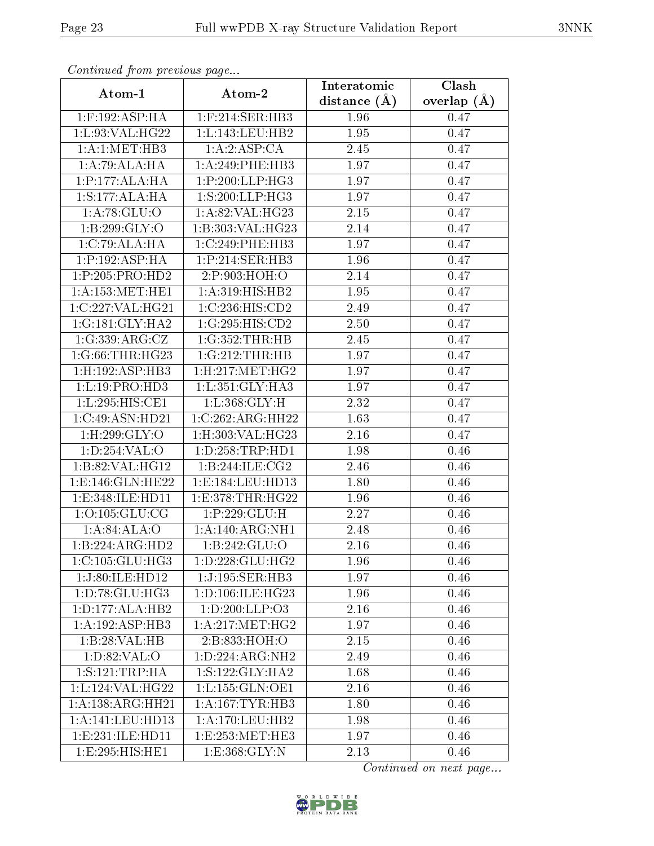| Continuation providus page   |                      | Interatomic       | Clash         |
|------------------------------|----------------------|-------------------|---------------|
| Atom-1                       | Atom-2               | distance $(A)$    | overlap $(A)$ |
| $1:$ F:192:ASP:HA            | $1:$ F:214:SER:HB3   | 1.96              | 0.47          |
| 1:L:93:VAL:HG22              | 1: L: 143: LEU: HB2  | 1.95              | 0.47          |
| 1: A:1: MET:HB3              | $1:A:2:A$ SP:CA      | 2.45              | 0.47          |
| 1:A:79:ALA:HA                | 1:A:249:PHE:HB3      | 1.97              | 0.47          |
| 1:P:177:ALA:HA               | 1:P:200:LLP:HG3      | 1.97              | 0.47          |
| 1:S:177:ALA:HA               | 1: S:200:LLP:HG3     | 1.97              | 0.47          |
| 1: A:78: GLU:O               | 1:A:82:VAL:HG23      | 2.15              | 0.47          |
| 1:B:299:GLY:O                | 1:B:303:VAL:HG23     | 2.14              | 0.47          |
| 1:C:79:ALA:HA                | 1:C:249:PHE:HB3      | 1.97              | 0.47          |
| 1:P:192:ASP:HA               | 1:P:214:SER:HB3      | 1.96              | 0.47          |
| 1:P:205:PRO:HD2              | 2:P:903:HOH:O        | 2.14              | 0.47          |
| 1: A: 153:MET:HE1            | 1:A:319:HIS:HB2      | 1.95              | 0.47          |
| 1:C:227:VAL:HG21             | 1:C:236:HIS:CD2      | 2.49              | 0.47          |
| $1:G:181:$ GLY:HA2           | 1:G:295:HIS:CD2      | 2.50              | 0.47          |
| 1:G:339:ARG:CZ               | 1:G:352:THR:HB       | 2.45              | 0.47          |
| 1:G:66:THR:HG23              | 1:G:212:THR:HB       | 1.97              | 0.47          |
| 1: H: 192: ASP: HB3          | 1:H:217:MET:HG2      | 1.97              | 0.47          |
| 1: L: 19: PRO: HD3           | 1: L:351: GLY:HA3    | 1.97              | 0.47          |
| $1:L:295:H\overline{IS:CE1}$ | 1:L:368:GLY:H        | 2.32              | 0.47          |
| 1:C:49:ASN:HD21              | 1:C:262:ARG:HH22     | 1.63              | 0.47          |
| $1:$ H $:299:$ GLY $:$ O     | 1:H:303:VAL:HG23     | 2.16              | 0.47          |
| 1:D:254:VAL:O                | 1: D: 258: TRP: HD1  | 1.98              | 0.46          |
| 1:B:82:VAL:HG12              | 1:B:244:ILE:CG2      | 2.46              | 0.46          |
| 1:E:146:GLN:HE22             | 1:E:184:LEU:HD13     | $\overline{1.80}$ | 0.46          |
| 1:E:348:ILE:HD11             | 1: E: 378: THR: HG22 | 1.96              | 0.46          |
| 1:0:105:GLU:CG               | 1:P:229:GLU:H        | 2.27              | 0.46          |
| 1:A:84:ALA:O                 | 1:A:140:ARG:NH1      | 2.48              | 0.46          |
| 1:B:224:ARG:HD2              | 1:B:242:GLU:O        | 2.16              | 0.46          |
| 1:C:105:GLU:HG3              | 1: D: 228: GLU: HG2  | 1.96              | 0.46          |
| 1:J:80:ILE:HD12              | 1:J:195:SER:HB3      | 1.97              | 0.46          |
| 1:D:78:GLU:HG3               | 1:D:106:ILE:HG23     | 1.96              | 0.46          |
| 1: D: 177: ALA: HB2          | 1: D: 200: LLP: O3   | 2.16              | 0.46          |
| 1:A:192:ASP:HB3              | 1: A:217: MET:HG2    | 1.97              | 0.46          |
| 1:B:28:VAL:HB                | 2:B:833:HOH:O        | 2.15              | 0.46          |
| 1: D:82: VAL:O               | 1:D:224:ARG:NH2      | 2.49              | 0.46          |
| 1: S:121:TRP:HA              | 1: S: 122: GLY: HA2  | 1.68              | 0.46          |
| 1:L:124:VAL:HG22             | 1: L: 155: GLN: OE1  | 2.16              | 0.46          |
| 1: A: 138: ARG: HH21         | 1: A:167:TYR:HB3     | 1.80              | 0.46          |
| 1: A:141: LEU: HD13          | 1: A:170: LEU: HB2   | 1.98              | 0.46          |
| 1: E: 231: ILE: HD11         | 1:E:253:MET:HE3      | 1.97              | 0.46          |
| 1:E:295:HIS:HE1              | 1: E: 368: GLY: N    | 2.13              | 0.46          |

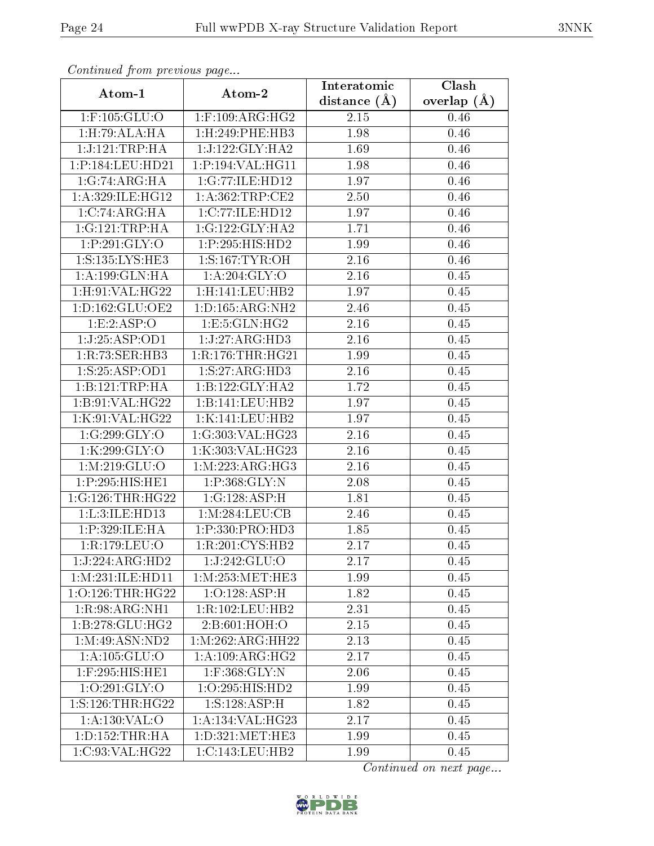| Continual from previous page |                              | Interatomic    | Clash         |
|------------------------------|------------------------------|----------------|---------------|
| Atom-1                       | Atom-2                       | distance $(A)$ | overlap $(A)$ |
| $1:$ F:105:GLU:O             | $1:$ F:109:ARG:HG2           | 2.15           | 0.46          |
| 1: H: 79: ALA: HA            | 1:H:249:PHE:HB3              | 1.98           | 0.46          |
| 1:J:121:TRP:HA               | 1:J:122:GLY:HA2              | 1.69           | 0.46          |
| 1:P:184:LEU:HD21             | 1:P:194:VAL:HG11             | 1.98           | 0.46          |
| 1:G:74:ARG:HA                | 1:G:77:ILE:HD12              | 1.97           | 0.46          |
| 1: A:329: ILE: HG12          | 1: A:362:TRP:CE2             | 2.50           | 0.46          |
| 1:C:74:ARG:HA                | 1:C:77:ILE:HD12              | 1.97           | 0.46          |
| 1:G:121:TRP:HA               | 1:G:122:GLY:HA2              | 1.71           | 0.46          |
| 1:P:291:GLY:O                | 1:P:295:HIS:HD2              | 1.99           | 0.46          |
| 1:S:135:LYS:HE3              | 1: S: 167: TYR: OH           | 2.16           | 0.46          |
| 1: A: 199: GLN: HA           | 1: A:204: GLY:O              | 2.16           | 0.45          |
| 1: H:91: VAL:HG22            | 1:H:141:LEU:HB2              | 1.97           | 0.45          |
| 1: D: 162: GLU: OE2          | 1: D: 165: ARG: NH2          | 2.46           | 0.45          |
| 1:E:2:ASP:O                  | 1: E: 5: GLN: HG2            | 2.16           | 0.45          |
| 1:J:25:ASP:OD1               | 1:J:27:ARG:HD3               | 2.16           | 0.45          |
| 1:R:73:SER:HB3               | 1:R:176:THR:HG21             | 1.99           | 0.45          |
| 1:S:25:ASP:OD1               | 1: S: 27: ARG: HD3           | 2.16           | 0.45          |
| 1:B:121:TRP:HA               | $1:B:122:GLY:H\overline{A2}$ | 1.72           | 0.45          |
| 1:B:91:VAL:HG22              | 1:B:141:LEU:HB2              | 1.97           | 0.45          |
| 1:K:91:VAL:HG22              | 1:K:141:LEU:HB2              | 1.97           | 0.45          |
| 1:G:299:GLY:O                | 1:G:303:VAL:HG23             | 2.16           | 0.45          |
| 1:K:299:GLY:O                | 1:K:303:VAL:HG23             | 2.16           | 0.45          |
| 1: M:219: GLU:O              | 1: M: 223: ARG: HG3          | 2.16           | 0.45          |
| 1:P:295:HIS:HE1              | 1:P:368:GLY:N                | 2.08           | 0.45          |
| 1:G:126:THR:HG22             | 1:G:128:ASP:H                | 1.81           | 0.45          |
| 1:L:3:ILE:HD13               | 1:M:284:LEU:CB               | 2.46           | 0.45          |
| 1:P:329:ILE:HA               | 1:P:330:PRO:HD3              | 1.85           | 0.45          |
| 1:R:179:LEU:O                | 1:R:201:CYS:HB2              | 2.17           | 0.45          |
| 1:J:224:ARG:HD2              | 1:J:242:GLU:O                | 2.17           | 0.45          |
| 1: M: 231: ILE: HD11         | 1: M: 253: MET: HE3          | 1.99           | 0.45          |
| $1:0:126$ : THR: HG22        | 1:0:128:ASP:H                | 1.82           | 0.45          |
| 1:R:98:ARG:NH1               | 1:R:102:LEU:HB2              | 2.31           | 0.45          |
| 1:B:278:GLU:HG2              | 2: B:601: HOH:O              | 2.15           | 0.45          |
| 1:M:49:ASN:ND2               | 1: M:262: ARG: HH22          | 2.13           | 0.45          |
| 1: A: 105: GLU: O            | 1: A:109: ARG: HG2           | 2.17           | 0.45          |
| $1:$ F:295:HIS:HE1           | $1:$ F:368: $GLY:$ N         | 2.06           | 0.45          |
| 1:0:291:GLY:O                | 1:O:295:HIS:HD2              | 1.99           | 0.45          |
| 1:S:126:THR:HG22             | 1: S: 128: ASP:H             | 1.82           | 0.45          |
| 1:A:130:VAL:O                | 1: A: 134: VAL: HG23         | 2.17           | 0.45          |
| 1: D: 152: THR: HA           | 1: D: 321: MET: HE3          | 1.99           | 0.45          |
| 1:C:93:VAL:HG22              | 1:C:143:LEU:HB2              | 1.99           | 0.45          |

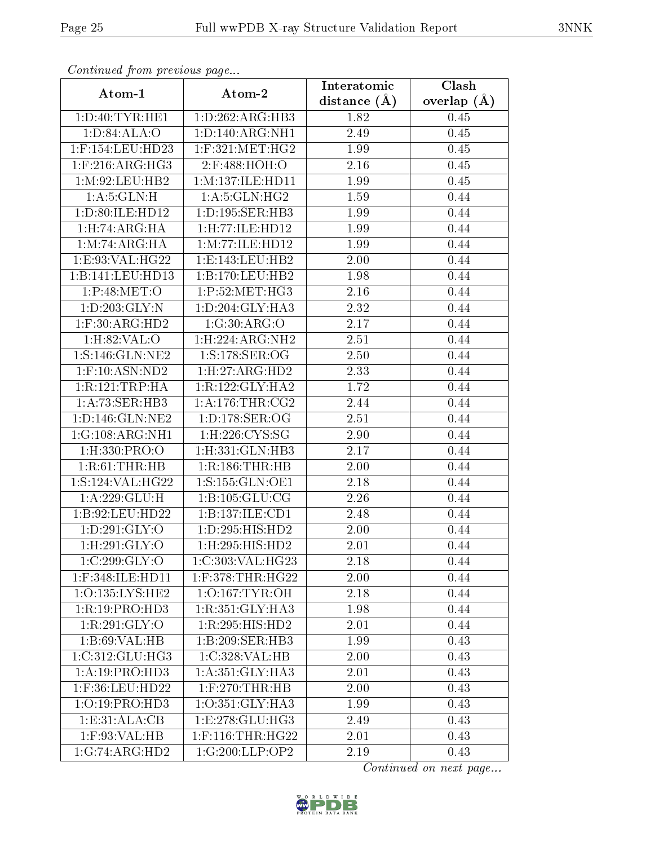| Continueu from previous page   |                        | Interatomic    | Clash           |
|--------------------------------|------------------------|----------------|-----------------|
| Atom-1                         | Atom-2                 | distance $(A)$ | overlap $(\AA)$ |
| 1: D: 40: TYR: HE1             | 1: D:262: ARG: HB3     | 1.82           | 0.45            |
| 1: D:84: ALA:O                 | 1: D: 140: ARG: NH1    | 2.49           | 0.45            |
| $1:$ F:154:LEU:HD23            | $1:$ F:321:MET:HG2     | 1.99           | 0.45            |
| $1:$ F:216:ARG:HG3             | 2:F:488:HOH:O          | 2.16           | 0.45            |
| 1: M:92: LEU: HB2              | 1: M: 137: ILE: HD11   | 1.99           | 0.45            |
| 1: A:5: GLN:H                  | 1: A:5: GLN: HG2       | 1.59           | 0.44            |
| 1:D:80:ILE:HD12                | 1:D:195:SER:HB3        | 1.99           | 0.44            |
| 1: H: 74: ARG: HA              | 1: H: 77: ILE: HD12    | 1.99           | 0.44            |
| 1: M: 74: ARG: HA              | 1:M:77:ILE:HD12        | 1.99           | 0.44            |
| 1:E:93:VAL:HG22                | 1: E: 143: LEU: HB2    | 2.00           | 0.44            |
| 1:B:141:LEU:HD13               | 1:B:170:LEU:HB2        | 1.98           | 0.44            |
| 1:P:48:MET:O                   | 1:P:52:MET:HG3         | 2.16           | 0.44            |
| 1: D: 203: GLY:N               | 1: D:204: GLY:HA3      | 2.32           | 0.44            |
| $1:$ F:30:ARG:HD2              | 1:G:30:ARG:O           | 2.17           | 0.44            |
| 1: H:82: VAL:O                 | 1: H: 224: ARG: NH2    | 2.51           | 0.44            |
| 1:S:146:GLN:NE2                | 1:S:178:SER:OG         | 2.50           | 0.44            |
| $1:$ F:10:ASN:ND2              | 1: H: 27: ARG: HD2     | 2.33           | 0.44            |
| 1:R:121:TRP:HA                 | 1:R:122:GLY:HA2        | 1.72           | 0.44            |
| 1:A:73:SER:HB3                 | 1: A:176:THR:CG2       | 2.44           | 0.44            |
| 1: D: 146: GLN: NE2            | 1: D: 178: SER: OG     | 2.51           | 0.44            |
| 1:G:108:ARG:NH1                | 1:H:226:CYS:SG         | 2.90           | 0.44            |
| $1:$ H $:330:$ PRO $:$ O       | $1:$ H $:331:$ GLN:HB3 | 2.17           | 0.44            |
| 1:R:61:THR:HB                  | 1:R:186:THR:HB         | 2.00           | 0.44            |
| 1:S:124:VAL:HG22               | 1:S:155:GLN:OE1        | 2.18           | 0.44            |
| 1:A:229:GLU:H                  | 1: B: 105: GLU: CG     | 2.26           | 0.44            |
| 1:B:92:LEU:HD22                | 1:B:137:ILE:CD1        | 2.48           | 0.44            |
| 1:D:291:GLY:O                  | 1: D: 295: HIS: HD2    | 2.00           | 0.44            |
| $1:$ H:29 $1:\overline{GLY:O}$ | 1: H: 295: HIS: HD2    | 2.01           | 0.44            |
| 1:C:299:GLY:O                  | 1:C:303:VAL:HG23       | 2.18           | 0.44            |
| 1:F:348:ILE:HD11               | $1:$ F:378:THR:HG22    | 2.00           | 0.44            |
| 1:O:135:LYS:HE2                | $1:0:167$ : TYR: OH    | 2.18           | 0.44            |
| 1:R:19:PRO:HD3                 | 1:R:351:GLY:HA3        | 1.98           | 0.44            |
| 1:R:291:GLY:O                  | 1:R:295:HIS:HD2        | 2.01           | 0.44            |
| 1:B:69:VAL:HB                  | 1:B:209:SER:HB3        | 1.99           | 0.43            |
| 1:C:312:GLU:HG3                | 1:C:328:VAL:HB         | 2.00           | 0.43            |
| 1:A:19:PRO:HD3                 | 1:A:351:GLY:HA3        | 2.01           | 0.43            |
| 1:F:36:LEU:HD22                | $1:$ F:270:THR:HB      | 2.00           | 0.43            |
| 1:O:19:PRO:HD3                 | 1:O:351:GLY:HA3        | 1.99           | 0.43            |
| 1: E: 31: ALA: CB              | 1: E: 278: GLU: HG3    | 2.49           | 0.43            |
| $1:$ F:93:VAL:HB               | $1:$ F:116:THR:HG22    | 2.01           | 0.43            |
| 1:G:74:ARG:HD2                 | 1:G:200:LLP:OP2        | 2.19           | 0.43            |

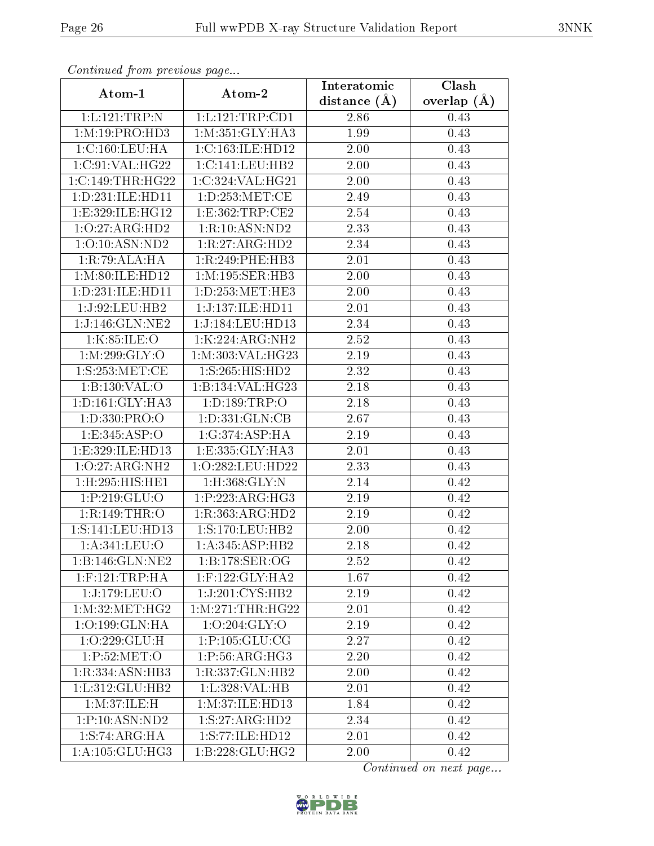| Continueu from previous page |                      | Interatomic    | Clash           |
|------------------------------|----------------------|----------------|-----------------|
| Atom-1                       | Atom-2               | distance $(A)$ | overlap $(\AA)$ |
| 1:L:121:TRP:N                | 1:L:121:TRP:CD1      | 2.86           | 0.43            |
| 1: M: 19: PRO: HD3           | 1: M: 351: GLY: HA3  | 1.99           | 0.43            |
| 1:C:160:LEU:HA               | 1:C:163:ILE:HD12     | 2.00           | 0.43            |
| 1:C:91:VAL:HG22              | 1:C:141:LEU:HB2      | 2.00           | 0.43            |
| 1:C:149:THR:HG22             | 1:C:324:VAL:HG21     | 2.00           | 0.43            |
| 1: D: 231: ILE: HD11         | 1: D: 253: MET:CE    | 2.49           | 0.43            |
| 1:E:329:ILE:HG12             | 1:E:362:TRP:CE2      | 2.54           | 0.43            |
| 1:O:27:ARG:HD2               | 1:R:10:ASN:ND2       | 2.33           | 0.43            |
| 1:0:10:ASN:ND2               | 1:R:27:ARG:HD2       | 2.34           | 0.43            |
| 1:R:79:ALA:HA                | 1:R:249:PHE:HB3      | 2.01           | 0.43            |
| 1: M:80: ILE: HD12           | 1:M:195:SER:HB3      | 2.00           | 0.43            |
| 1:D:231:ILE:HD11             | 1:D:253:MET:HE3      | 2.00           | 0.43            |
| 1:J:92:LEU:HB2               | 1:J:137:ILE:HD11     | 2.01           | 0.43            |
| 1:J:146:GLN:NE2              | 1:J:184:LEU:HD13     | 2.34           | 0.43            |
| 1:K:85:ILE:O                 | 1:K:224:ARG:NH2      | 2.52           | 0.43            |
| 1:M:299:GLY:O                | 1:M:303:VAL:HG23     | 2.19           | 0.43            |
| 1:S:253:MET:CE               | 1:S:265:HIS:HD2      | 2.32           | 0.43            |
| 1:B:130:VAL:O                | 1:B:134:VAL:HG23     | 2.18           | 0.43            |
| 1: D: 161: GLY: HA3          | 1: D: 189: TRP: O    | 2.18           | 0.43            |
| 1: D: 330: PRO: O            | 1: D: 331: GLN: CB   | 2.67           | 0.43            |
| 1: E: 345: ASP:O             | 1:G:374:ASP:HA       | 2.19           | 0.43            |
| 1:E:329:ILE:HD13             | 1:E:335:GLY:HA3      | 2.01           | 0.43            |
| 1:O:27:ARG:NH2               | 1:O:282:LEU:HD22     | 2.33           | 0.43            |
| 1:H:295:HIS:HEL              | $1:$ H $:368:$ GLY:N | 2.14           | 0.42            |
| 1:P:219:GLU:O                | 1:P:223:ARG:HG3      | 2.19           | 0.42            |
| 1:R:149:THR:O                | 1:R:363:ARG:HD2      | 2.19           | 0.42            |
| 1: S: 141: LEU: HD13         | 1: S: 170: LEU: HB2  | 2.00           | 0.42            |
| 1:A:341:LEU:O                | 1:A:345:ASP:HB2      | 2.18           | 0.42            |
| 1:B:146:GLN:NE2              | 1: B: 178: SER: OG   | 2.52           | 0.42            |
| $1:$ F:121:TRP:HA            | $1:$ F:122:GLY:HA2   | 1.67           | 0.42            |
| 1:J:179:LEU:O                | 1:J:201:CYS:HB2      | 2.19           | 0.42            |
| 1: M:32:MET:HG2              | 1: M:271:THR:HG22    | 2.01           | 0.42            |
| 1:O:199:GLN:HA               | 1:0:204:GLY:O        | 2.19           | 0.42            |
| 1:O:229:GLU:H                | 1:P:105:GLU:CG       | 2.27           | 0.42            |
| 1:P:52:MET:O                 | 1:P:56:ARG:HG3       | 2.20           | 0.42            |
| 1:R:334:ASN:HB3              | 1:R:337:GLN:HB2      | 2.00           | 0.42            |
| 1: L: 312: GLU: HB2          | 1:L:328: VAL: HB     | 2.01           | 0.42            |
| 1: M:37: ILE:H               | 1: M:37: ILE: HD13   | 1.84           | 0.42            |
| 1:P:10:ASN:ND2               | 1: S: 27: ARG: HD2   | 2.34           | 0.42            |
| 1: S: 74: ARG: HA            | 1:S:77:ILE:HD12      | 2.01           | 0.42            |
| 1: A: 105: GLU: HG3          | 1:B:228:GLU:HG2      | 2.00           | 0.42            |

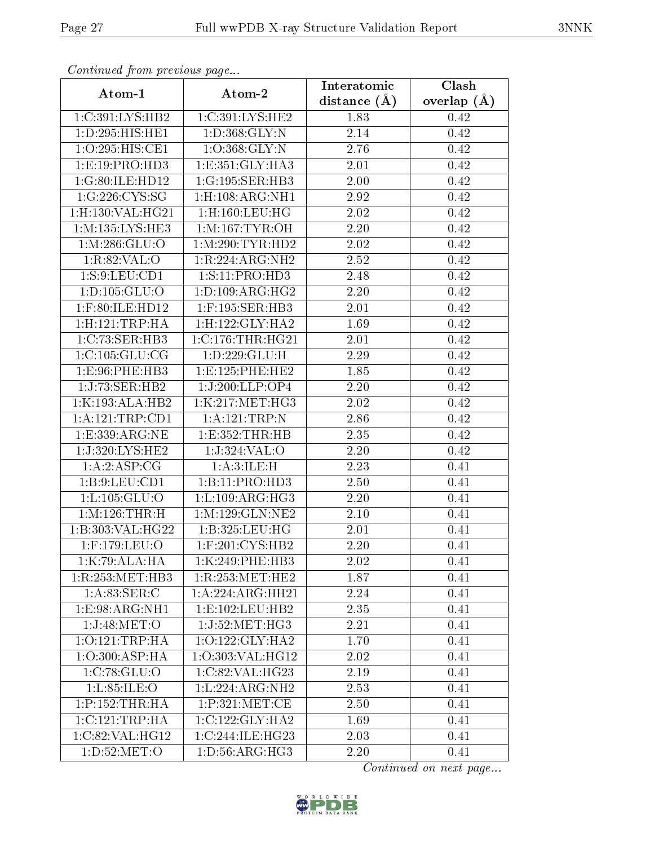| connunction proctotic page |                                | Interatomic    | Clash         |
|----------------------------|--------------------------------|----------------|---------------|
| Atom-1                     | Atom-2                         | distance $(A)$ | overlap $(A)$ |
| 1:C:391:LYS:HB2            | 1:C:391:LYS:HE2                | 1.83           | 0.42          |
| 1:D:295:HIS:HE1            | 1: D: 368: GLY: N              | 2.14           | 0.42          |
| 1:O:295:HIS:CE1            | 1:O:368:GLY:N                  | 2.76           | 0.42          |
| 1: E: 19: PRO: HD3         | 1: E: 351: GLY: HA3            | 2.01           | 0.42          |
| 1:G:80:ILE:HD12            | 1:G:195:SER:HB3                | 2.00           | 0.42          |
| 1:G:226:CYS:SG             | $1:$ H $:108:$ ARG:NH $1$      | 2.92           | 0.42          |
| 1:H:130:VAL:HG21           | $1:$ H $:160:$ LEU $:$ H $G$   | 2.02           | 0.42          |
| 1: M: 135: LYS: HE3        | 1: M: 167: TYR: OH             | 2.20           | 0.42          |
| 1: M: 286: GLU:O           | 1: M:290: TYR: HD2             | 2.02           | 0.42          |
| 1:R:82:VAL:O               | 1:R:224:ARG:NH2                | 2.52           | 0.42          |
| 1: S: 9: LEU: CD1          | 1:S:11:PRO:HD3                 | 2.48           | 0.42          |
| 1: D: 105: GLU: O          | 1: D: 109: ARG: HG2            | 2.20           | 0.42          |
| $1:$ F:80:ILE:HD12         | $1:$ F:195:SER:HB3             | 2.01           | 0.42          |
| 1: H: 121: TRP: HA         | 1:H:122:GLY:HA2                | 1.69           | 0.42          |
| 1:C:73:SER:HB3             | $1:C:176$ : THR: HG21          | 2.01           | 0.42          |
| 1: C: 105: GLU: CG         | 1:D:229:GLU:H                  | 2.29           | 0.42          |
| 1:E:96:PHE:HB3             | 1:E:125:PHE:HE2                | 1.85           | 0.42          |
| 1:J:73:SER:HB2             | 1:J:200:LLP:OP4                | 2.20           | 0.42          |
| 1:K:193:ALA:HB2            | 1:K:217:MET:HG3                | 2.02           | 0.42          |
| 1:A:121:TRP:CD1            | 1:A:121:TRP:N                  | 2.86           | 0.42          |
| 1: E: 339: ARG: NE         | 1: E: 352: THR: HB             | 2.35           | 0.42          |
| 1:J:320:LYS:HE2            | 1:J:324:VAL:O                  | 2.20           | 0.42          |
| 1:A:2:ASP:CG               | 1:A:3:ILE:H                    | 2.23           | 0.41          |
| 1: B:9: LEU:CD1            | 1:B:11:PRO:HD3                 | 2.50           | 0.41          |
| 1: L: 105: GLU: O          | 1: L: 109: ARG: HG3            | 2.20           | 0.41          |
| 1:M:126:THR:H              | 1:M:129:GLN:NE2                | 2.10           | 0.41          |
| 1:B:303:VAL:HG22           | 1:B:325:LEU:HG                 | 2.01           | 0.41          |
| $1:$ F:179:LEU:O           | $1:$ F:201:CYS:HB2             | 2.20           | 0.41          |
| 1:K:79:ALA:HA              | 1:K:249:PHE:HB3                | 2.02           | 0.41          |
| 1:R:253:MET:HB3            | 1:R:253:MET:HE2                | 1.87           | 0.41          |
| 1: A:83: SER: C            | 1:A:224:ARG:HH21               | 2.24           | 0.41          |
| 1: E: 98: ARG: NH1         | 1: E: 102: LEU: HB2            | 2.35           | 0.41          |
| 1:J:48:MET:O               | 1:J:52:MET:HG3                 | 2.21           | 0.41          |
| 1:O:121:TRP:HA             | 1:O:122:GLY:HA2                | 1.70           | 0.41          |
| 1:O:300:ASP:HA             | 1:O:303:VAL:HG12               | 2.02           | 0.41          |
| 1:C:78:GLU:O               | 1:C:82:VAL:HG23                | 2.19           | 0.41          |
| 1: L:85: ILE: O            | 1: L: 224: ARG: NH2            | 2.53           | 0.41          |
| 1:P:152:THR:H              | 1:P:321:MET:CE                 | 2.50           | 0.41          |
| 1:C:121:TRP:HA             | 1:C:122:GLY:HA2                | 1.69           | 0.41          |
| 1:C:82:VAL:HG12            | 1:C:244:ILE:HG23               | 2.03           | 0.41          |
| 1: D: 52: MET:O            | $1: D: 56: \overline{ARG:HG3}$ | 2.20           | 0.41          |

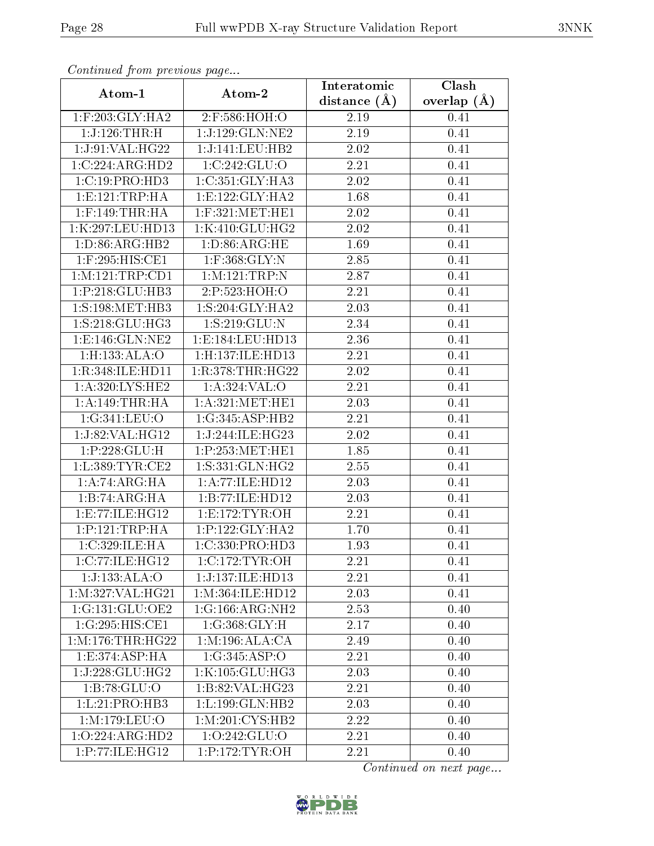| Continued from precious page                   |                    | Interatomic      | Clash         |  |
|------------------------------------------------|--------------------|------------------|---------------|--|
| Atom-1                                         | Atom-2             | distance $(\AA)$ | overlap $(A)$ |  |
| $1:$ F:203:GLY:HA2                             | 2:F:586:HOH:O      | 2.19             | 0.41          |  |
| 1:J:126:THR:H                                  | 1:J:129:GLN:NE2    | 2.19             | 0.41          |  |
| 1:J:91:VAL:HG22                                | 1:J:141:LEU:HB2    | 2.02             | 0.41          |  |
| 1:C:224:ARG:HD2                                | 1:C:242:GLU:O      | 2.21             | 0.41          |  |
| 1:C:19:PRO:HD3                                 | 1:C:351:GLY:HA3    | 2.02             | 0.41          |  |
| 1: E: 121: TRP: HA                             | 1:E:122:GLY:HA2    | 1.68             | 0.41          |  |
| $1:$ F:149:THR:HA                              | $1:$ F:321:MET:HE1 | 2.02             | 0.41          |  |
| 1:K:297:LEU:HD13                               | 1:K:410:GLU:HG2    | 2.02             | 0.41          |  |
| 1: D:86: ARG: HB2                              | 1: D:86: ARG: HE   | 1.69             | 0.41          |  |
| 1:F:295:HIS:CE1                                | $1:$ F:368:GLY:N   | 2.85             | 0.41          |  |
| 1: M: 121: TRP: CD1                            | 1:M:121:TRP:N      | 2.87             | 0.41          |  |
| 1:P:218:GLU:HB3                                | 2:P:523:HOH:O      | 2.21             | 0.41          |  |
| 1:S:198:MET:HB3                                | 1: S:204: GLY:HA2  | 2.03             | 0.41          |  |
| 1: S:218: GLU: HG3                             | 1:S:219:GLU:N      | 2.34             | 0.41          |  |
| $1: E: 146: GLN: \overline{NE2}$               | 1:E:184:LEU:HD13   | 2.36             | 0.41          |  |
| $1:$ H:133:ALA: $O$                            | 1:H:137:ILE:HD13   | 2.21             | 0.41          |  |
| 1:R:348:ILE:HD11                               | 1:R:378:THR:HG22   | 2.02             | 0.41          |  |
| 1: A:320: LYS: HE2                             | 1: A:324: VAL:O    | 2.21             | 0.41          |  |
| 1:A:149:THR:HA                                 | 1: A:321: MET:HE1  | 2.03             | 0.41          |  |
| 1:G:341:LEU:O                                  | 1:G:345:ASP:HB2    | 2.21             | 0.41          |  |
| $1:J:82:V\overline{\mathrm{AL}:\mathrm{HG}12}$ | 1:J:244:ILE:HG23   | 2.02             | 0.41          |  |
| 1:P:228:GLU:H                                  | 1:P:253:MET:HE1    | 1.85             | 0.41          |  |
| 1: L: 389: TYR: CE2                            | 1:S:331:GLN:HG2    | 2.55             | 0.41          |  |
| 1:A:74:ARG:HA                                  | 1:A:77:ILE:HD12    | 2.03             | 0.41          |  |
| 1:B:74:ARG:HA                                  | 1:B:77:ILE:HD12    | 2.03             | 0.41          |  |
| 1:E:77:ILE:HG12                                | 1: E:172: TYR: OH  | 2.21             | 0.41          |  |
| 1:P:121:TRP:HA                                 | 1:P:122:GLY:HA2    | 1.70             | 0.41          |  |
| 1:C:329:JLE:HA                                 | 1:C:330:PRO:HD3    | 1.93             | 0.41          |  |
| 1:C:77:ILE:HG12                                | 1:C:172:TYR:OH     | 2.21             | 0.41          |  |
| 1:J:133:ALA:O                                  | 1:J:137:ILE:HD13   | 2.21             | 0.41          |  |
| 1:M:327:VAL:HG21                               | 1:M:364:ILE:HD12   | 2.03             | 0.41          |  |
| 1:G:131:GLU:OE2                                | 1:G:166:ARG:NH2    | 2.53             | 0.40          |  |
| 1:G:295:HIS:CE1                                | 1:G:368:GLY:H      | 2.17             | 0.40          |  |
| 1: M: 176: THR: HG22                           | 1: M: 196: ALA: CA | 2.49             | 0.40          |  |
| 1:E:374:ASP:HA                                 | 1:G:345:ASP:O      | 2.21             | 0.40          |  |
| 1:J:228:GLU:HG2                                | 1:K:105:GLU:HG3    | 2.03             | 0.40          |  |
| 1:B:78:GLU:O                                   | 1:B:82:VAL:HG23    | 2.21             | 0.40          |  |
| 1:L:21:PRO:HB3                                 | 1:L:199:GLN:HB2    | 2.03             | 0.40          |  |
| 1:M:179:LEU:O                                  | 1: M:201: CYS:HB2  | 2.22             | 0.40          |  |
| 1:O:224:ARG:HD2                                | 1:0:242:GLU:O      | 2.21             | 0.40          |  |
| 1:P:77:ILE:HG12                                | 1:P:172:TYR:OH     | 2.21             | 0.40          |  |

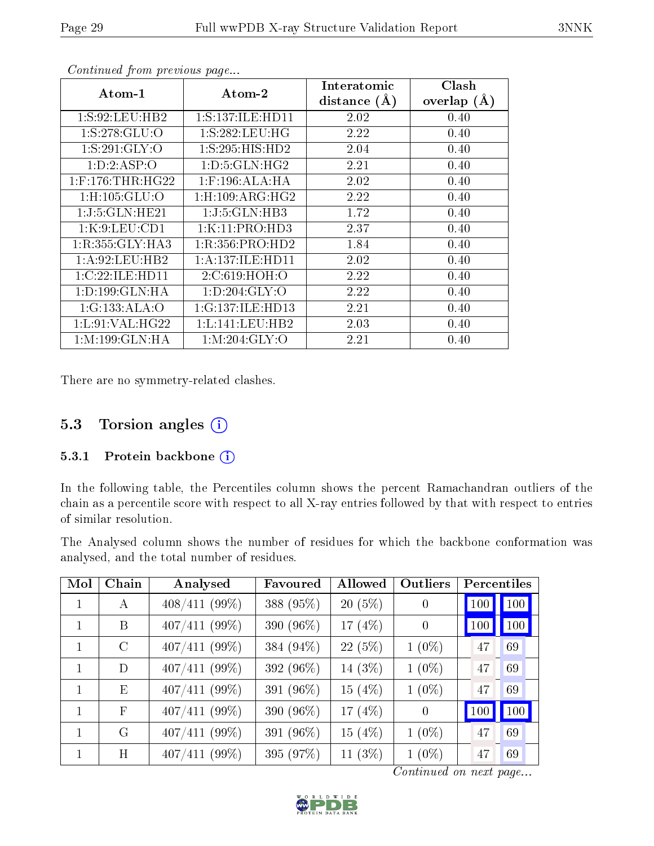| $Atom-1$                 | $\boldsymbol{\mathrm{Atom}\text{-}2}$ | Interatomic    | Clash           |
|--------------------------|---------------------------------------|----------------|-----------------|
|                          |                                       | distance $(A)$ | overlap $(\AA)$ |
| 1: S:92:LEU:HB2          | 1: S: 137: ILE: HD11                  | 2.02           | 0.40            |
| 1:S:278:GLU:O            | 1: S: 282: LEU: HG                    | 2.22           | 0.40            |
| 1:S:291:GLY:O            | 1:S:295:HIS:HD2                       | 2.04           | 0.40            |
| 1:D:2:ASP:O              | 1: D: 5: GLN: HG2                     | 2.21           | 0.40            |
| $1:$ F:176:THR:HG22      | $1:$ F:196:ALA:HA                     | 2.02           | 0.40            |
| $1:$ H $:105:$ GLU $:$ O | 1: H: 109: ARG: HG2                   | 2.22           | 0.40            |
| 1:J:5:GLN:HE21           | 1:J:5:GLN:HB3                         | 1.72           | 0.40            |
| 1:K:9:LEU:CD1            | 1:K:11:PRO:HD3                        | 2.37           | 0.40            |
| 1:R:355:GLY:HA3          | 1:R:356:PRO:HD2                       | 1.84           | 0.40            |
| 1: A:92:LEU:HB2          | 1:A:137:ILE:HD11                      | 2.02           | 0.40            |
| 1:C:22:ILE:HD11          | 2:C:619:HOH:O                         | 2.22           | 0.40            |
| 1:D:199:GLN:HA           | 1: D:204: GLY:O                       | 2.22           | 0.40            |
| 1:G:133:ALA:O            | 1:G:137:ILE:HD13                      | 2.21           | 0.40            |
| 1: L:91:VAL:HG22         | 1: L: 141: LEU: HB2                   | 2.03           | 0.40            |
| 1: M: 199: GLN: HA       | 1: M:204: GLY:O                       | 2.21           | 0.40            |

There are no symmetry-related clashes.

# 5.3 Torsion angles (i)

### 5.3.1 Protein backbone (i)

In the following table, the Percentiles column shows the percent Ramachandran outliers of the chain as a percentile score with respect to all X-ray entries followed by that with respect to entries of similar resolution.

The Analysed column shows the number of residues for which the backbone conformation was analysed, and the total number of residues.

| Mol | Chain   | Analysed        | Favoured  | Allowed   | Outliers | Percentiles |     |
|-----|---------|-----------------|-----------|-----------|----------|-------------|-----|
|     | A       | $408/411$ (99%) | 388 (95%) | $20(5\%)$ | $\theta$ | 100         | 100 |
|     | B       | $407/411$ (99%) | 390 (96%) | 17 $(4%)$ | $\theta$ | 100         | 100 |
|     | $\rm C$ | $407/411$ (99%) | 384 (94%) | 22(5%)    | $1(0\%)$ | 47          | 69  |
|     | D       | $407/411$ (99%) | 392 (96%) | 14 (3%)   | $1(0\%)$ | 47          | 69  |
| 1   | E       | $407/411$ (99%) | 391 (96%) | 15(4%)    | $1(0\%)$ | 47          | 69  |
| 1   | F       | $407/411$ (99%) | 390 (96%) | 17 $(4%)$ | $\theta$ | 100         | 100 |
|     | G       | $407/411$ (99%) | 391 (96%) | 15 $(4%)$ | $1(0\%)$ | 47          | 69  |
|     | H       | $407/411$ (99%) | 395 (97%) | 11 $(3%)$ | $1(0\%)$ | 47          | 69  |

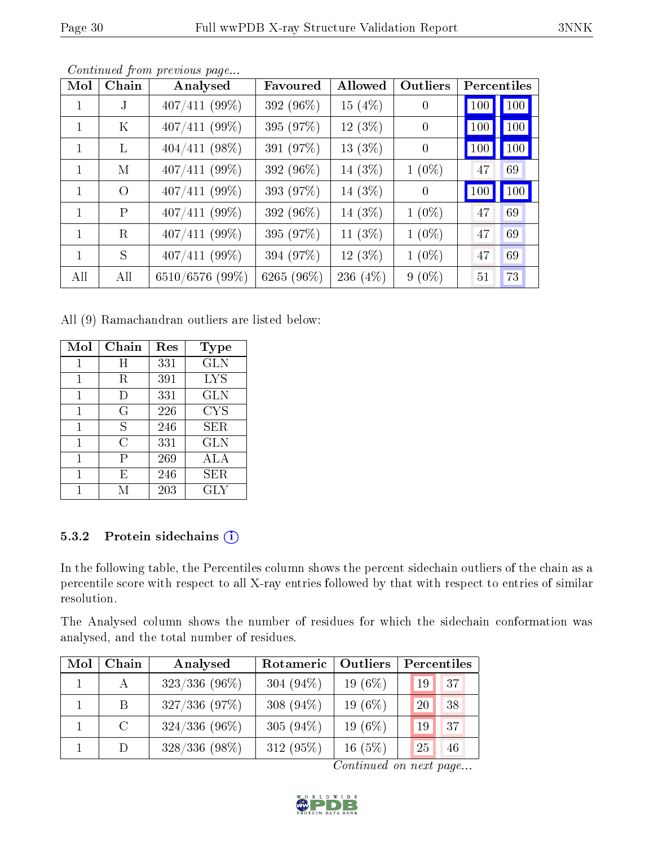| Mol | Chain    | Analysed        | Favoured   | Allowed    | Outliers       | Percentiles |     |
|-----|----------|-----------------|------------|------------|----------------|-------------|-----|
|     | .I       | $407/411(99\%)$ | 392 (96%)  | 15(4%)     | $\theta$       | 100         | 100 |
|     | Κ        | $407/411$ (99%) | 395 (97%)  | $12(3\%)$  | $\overline{0}$ | 100         | 100 |
|     | L        | $404/411$ (98%) | 391 (97%)  | $13(3\%)$  | $\theta$       | 100         | 100 |
| 1   | М        | $407/411(99\%)$ | 392 (96%)  | 14 (3%)    | $1(0\%)$       | 47          | 69  |
| 1   | $\Omega$ | $407/411$ (99%) | 393 (97%)  | 14 (3%)    | $\theta$       | 100         | 100 |
| 1   | P        | $407/411(99\%)$ | 392 (96%)  | 14 (3%)    | $1(0\%)$       | 47          | 69  |
|     | R        | $407/411(99\%)$ | 395 (97%)  | 11 $(3\%)$ | $1(0\%)$       | 47          | 69  |
| 1   | S        | $407/411$ (99%) | 394 (97%)  | $12(3\%)$  | $1(0\%)$       | 47          | 69  |
| All | All      | 6510/6576 (99%) | 6265 (96%) | 236 (4%)   | $9(0\%)$       | 51          | 73  |

All (9) Ramachandran outliers are listed below:

| Mol | Chain  | Res | Type       |
|-----|--------|-----|------------|
|     | Η      | 331 | <b>GLN</b> |
| 1   | R      | 391 | <b>LYS</b> |
| 1   | $\Box$ | 331 | GLN        |
| 1   | G      | 226 | <b>CYS</b> |
| 1   | S      | 246 | SER.       |
| 1   | C      | 331 | GLN        |
| 1   | P      | 269 | ALA        |
|     | E      | 246 | SER.       |
|     | М      | 203 | GLY        |

## 5.3.2 Protein sidechains (i)

In the following table, the Percentiles column shows the percent sidechain outliers of the chain as a percentile score with respect to all X-ray entries followed by that with respect to entries of similar resolution.

The Analysed column shows the number of residues for which the sidechain conformation was analysed, and the total number of residues.

| Mol | Chain           | Analysed        | Rotameric    | Outliers   | Percentiles |
|-----|-----------------|-----------------|--------------|------------|-------------|
|     | $\mathbf{A}$    | $323/336$ (96%) | 304 $(94\%)$ | 19 $(6\%)$ | 37<br>19    |
|     | $\vert B \vert$ | 327/336(97%)    | 308 $(94\%)$ | 19 $(6\%)$ | 38<br>20    |
|     | $\mathcal{C}$   | $324/336(96\%)$ | 305 $(94\%)$ | 19 $(6\%)$ | 37<br>19    |
|     |                 | $328/336(98\%)$ | 312 (95%)    | 16(5%)     | 25<br>46    |

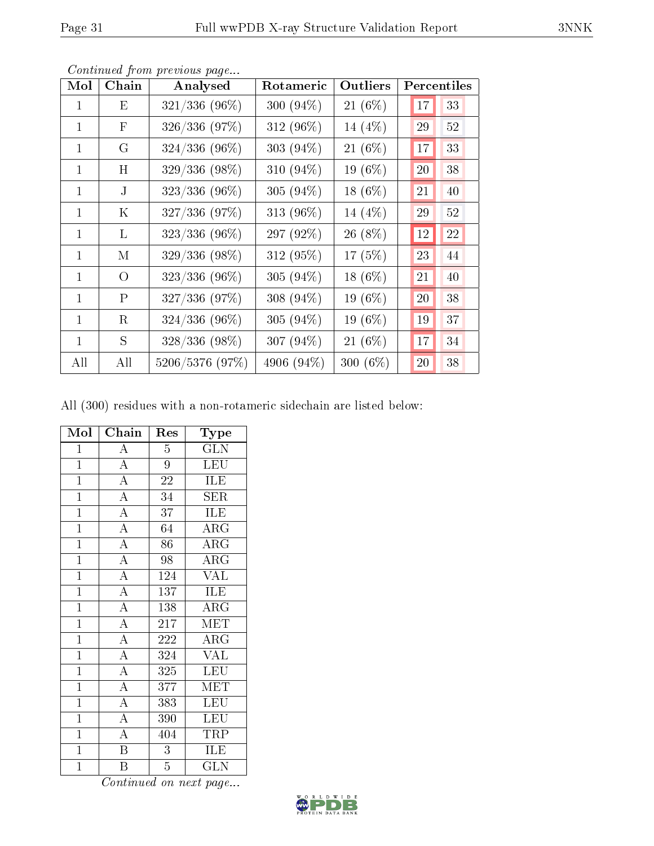| Mol          | Chain        | Analysed        | Rotameric    | Outliers   |    | Percentiles |
|--------------|--------------|-----------------|--------------|------------|----|-------------|
| 1            | Ε            | $321/336$ (96%) | 300 $(94\%)$ | 21 (6%)    | 17 | 33          |
| 1            | $\mathbf{F}$ | 326/336 (97%)   | 312 (96%)    | 14 (4%)    | 29 | 52          |
| 1            | G            | $324/336$ (96%) | 303 (94%)    | 21 (6%)    | 17 | 33          |
| $\mathbf{1}$ | H            | 329/336 (98%)   | 310 (94%)    | 19 (6%)    | 20 | 38          |
| 1            | J            | 323/336 (96%)   | 305 (94%)    | $18(6\%)$  | 21 | 40          |
| 1            | Κ            | $327/336$ (97%) | 313 (96%)    | 14 (4%)    | 29 | 52          |
| $\mathbf{1}$ | L            | $323/336$ (96%) | 297 (92%)    | 26 (8%)    | 12 | 22          |
| $\mathbf{1}$ | M            | 329/336 (98%)   | 312 (95%)    | 17(5%)     | 23 | 44          |
| 1            | $\Omega$     | $323/336$ (96%) | 305 (94%)    | 18 (6%)    | 21 | 40          |
| $\mathbf{1}$ | P            | 327/336 (97%)   | 308 (94%)    | 19 (6%)    | 20 | 38          |
| $\mathbf{1}$ | R            | $324/336$ (96%) | 305 (94%)    | 19 $(6\%)$ | 19 | 37          |
| $\mathbf{1}$ | S            | 328/336 (98%)   | 307 (94%)    | 21 (6%)    | 17 | 34          |
| All          | All          | 5206/5376 (97%) | 4906 (94%)   | 300 (6%)   | 20 | 38          |

All (300) residues with a non-rotameric sidechain are listed below:

| Mol            | Chain                               | Res              | Type                                           |
|----------------|-------------------------------------|------------------|------------------------------------------------|
| $\mathbf{1}$   | $\overline{\rm A}$                  | 5                | $\operatorname{GL}\overline{\operatorname{N}}$ |
| $\overline{1}$ | $\overline{A}$                      | $\overline{9}$   | $\overline{\text{LEU}}$                        |
| $\mathbf{1}$   | $\overline{A}$                      | 22               | <b>ILE</b>                                     |
| $\overline{1}$ | $\frac{\overline{A}}{\overline{A}}$ | 34               | $\rm{SER}$                                     |
| $\mathbf{1}$   |                                     | 37               | ILE                                            |
| $\mathbf{1}$   | $\frac{\overline{A}}{\overline{A}}$ | 64               | $\overline{\rm ARG}$                           |
| $\overline{1}$ |                                     | 86               | $\overline{\rm{ARG}}$                          |
| $\mathbf{1}$   |                                     | 98               | $\rm{ARG}$                                     |
| $\overline{1}$ | $\overline{A}$                      | 124              | $\overline{\text{VAL}}$                        |
| $\overline{1}$ | $\overline{A}$                      | 137              | ILE                                            |
| $\overline{1}$ | $\overline{A}$                      | 138              | $\rm{ARG}$                                     |
| $\overline{1}$ | $\overline{A}$                      | 217              | $\overline{\text{MET}}$                        |
| $\mathbf{1}$   | $\overline{A}$                      | 222              | $\rm{ARG}$                                     |
| $\mathbf{1}$   | $\frac{1}{\underline{A}}$           | 324              | $\overline{\text{VAL}}$                        |
| $\mathbf{1}$   | $\overline{A}$                      | 325              | LEU                                            |
| $\mathbf{1}$   | $\frac{\overline{A}}{\overline{A}}$ | $\overline{3}77$ | MET                                            |
| $\mathbf{1}$   |                                     | 383              | <b>LEU</b>                                     |
| $\mathbf{1}$   | $\overline{A}$                      | 390              | <b>LEU</b>                                     |
| $\mathbf{1}$   | $\overline{A}$                      | 404              | <b>TRP</b>                                     |
| $\overline{1}$ | $\overline{\mathbf{B}}$             | 3                | <b>ILE</b>                                     |
| $\mathbf{1}$   | $\overline{B}$                      | $\overline{5}$   | $\overline{\text{GLN}}$                        |

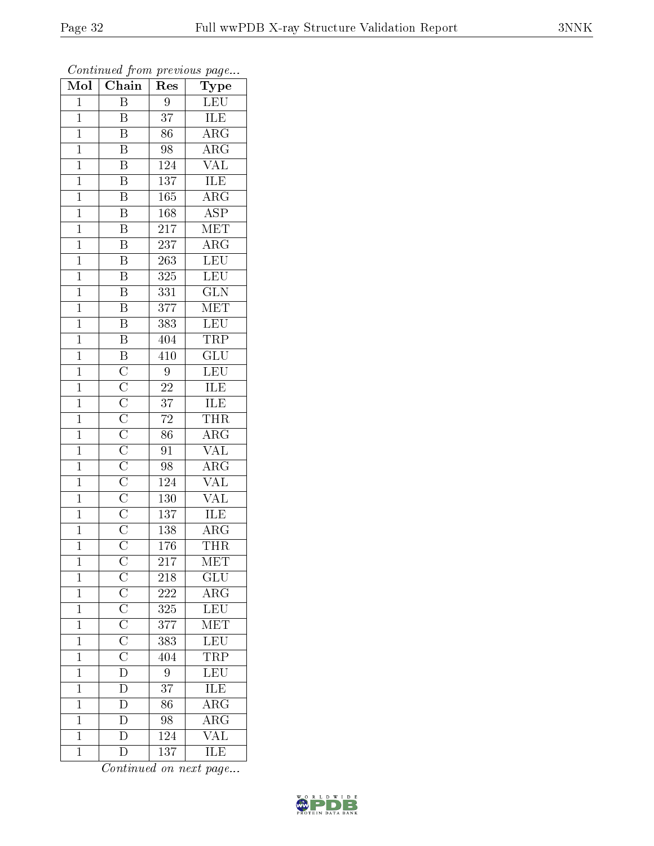| Mol            | $\overline{\text{Chain}}$                                                                                                                                                                                                                         | Res              | Type                                       |
|----------------|---------------------------------------------------------------------------------------------------------------------------------------------------------------------------------------------------------------------------------------------------|------------------|--------------------------------------------|
| $\mathbf{1}$   | $\overline{\mathrm{B}}$                                                                                                                                                                                                                           | 9                | <b>LEU</b>                                 |
| $\overline{1}$ | B                                                                                                                                                                                                                                                 | $\overline{37}$  | ILE                                        |
| $\mathbf{1}$   | $\overline{\mathbf{B}}$                                                                                                                                                                                                                           | $\overline{86}$  | $\overline{\rm{ARG}}$                      |
| $\mathbf{1}$   | $\overline{\mathrm{B}}$                                                                                                                                                                                                                           | 98               | $\overline{\rm{ARG}}$                      |
| $\overline{1}$ | $\overline{\mathbf{B}}$                                                                                                                                                                                                                           | 124              | <b>VAL</b>                                 |
| $\mathbf{1}$   | $\overline{\mathbf{B}}$                                                                                                                                                                                                                           | 137              | ILE                                        |
| $\overline{1}$ | $\overline{\mathrm{B}}$                                                                                                                                                                                                                           | 165              | $\overline{\rm ARG}$                       |
| $\overline{1}$ | $\overline{\mathrm{B}}$                                                                                                                                                                                                                           | $\overline{168}$ | $\overline{\text{ASP}}$                    |
| $\mathbf{1}$   | $\overline{\mathrm{B}}$                                                                                                                                                                                                                           | 217              | MET                                        |
| $\mathbf{1}$   | $\overline{\mathbf{B}}$                                                                                                                                                                                                                           | 237              | $\overline{\text{ARG}}$                    |
| $\mathbf{1}$   | $\overline{\mathrm{B}}$                                                                                                                                                                                                                           | 263              | LEU                                        |
| $\overline{1}$ | $\overline{\mathrm{B}}$                                                                                                                                                                                                                           | 325              |                                            |
| $\overline{1}$ | $\overline{\mathrm{B}}$                                                                                                                                                                                                                           | 331              | $\frac{\overline{\text{LEU}}}{\text{GLN}}$ |
| $\mathbf{1}$   | $\overline{\mathbf{B}}$                                                                                                                                                                                                                           | $\overline{377}$ | MET                                        |
| $\overline{1}$ | $\overline{\text{B}}$                                                                                                                                                                                                                             | 383              | LEU                                        |
| $\mathbf 1$    | $\overline{\mathrm{B}}$                                                                                                                                                                                                                           | 404              | <b>TRP</b>                                 |
| $\overline{1}$ | $\overline{B}$                                                                                                                                                                                                                                    | $\overline{410}$ | $\overline{\text{GLU}}$                    |
| $\mathbf{1}$   |                                                                                                                                                                                                                                                   | 9                | LEU                                        |
| $\overline{1}$ |                                                                                                                                                                                                                                                   | $\overline{22}$  | $\overline{\text{ILE}}$                    |
| $\mathbf{1}$   | $\overline{\text{C}}$ $\overline{\text{C}}$ $\overline{\text{C}}$ $\overline{\text{C}}$ $\overline{\text{C}}$ $\overline{\text{C}}$ $\overline{\text{C}}$ $\overline{\text{C}}$ $\overline{\text{C}}$ $\overline{\text{C}}$ $\overline{\text{C}}$ | $\overline{37}$  | ILE                                        |
| $\overline{1}$ |                                                                                                                                                                                                                                                   | $\overline{72}$  | <b>THR</b>                                 |
| $\overline{1}$ |                                                                                                                                                                                                                                                   | $\overline{86}$  | $\overline{\text{ARG}}$                    |
| $\mathbf{1}$   |                                                                                                                                                                                                                                                   | 91               | <b>VAL</b>                                 |
| $\overline{1}$ |                                                                                                                                                                                                                                                   | 98               | $\overline{\rm{ARG}}$                      |
| $\mathbf{1}$   |                                                                                                                                                                                                                                                   | 124              | $\overline{\text{VAL}}$                    |
| $\overline{1}$ |                                                                                                                                                                                                                                                   | 130              | $\overline{\text{VAL}}$                    |
| $\overline{1}$ |                                                                                                                                                                                                                                                   | $\overline{137}$ | <b>ILE</b>                                 |
| $\mathbf{1}$   |                                                                                                                                                                                                                                                   | $138\,$          | $\rm \overline{ARG}$                       |
| $\mathbf 1$    |                                                                                                                                                                                                                                                   | 176              | <b>THR</b>                                 |
| $\mathbf{1}$   |                                                                                                                                                                                                                                                   | 217              | MET                                        |
| $\mathbf 1$    |                                                                                                                                                                                                                                                   | 218              | GLU                                        |
| $\overline{1}$ | $\overline{C}\ \overline{C}\ \overline{C}\ \overline{C}\ \overline{C}\ \overline{C}\ \overline{D}\ \overline{D}\ \overline{D}\ \overline{D}\ \overline{D}$                                                                                        | <b>222</b>       | $\frac{1}{\text{ARG}}$                     |
| $\mathbf{1}$   |                                                                                                                                                                                                                                                   | 325              | LEU<br>MET                                 |
| $\mathbf{1}$   |                                                                                                                                                                                                                                                   | $\overline{377}$ |                                            |
| $\mathbf{1}$   |                                                                                                                                                                                                                                                   | 383              | LEU<br>TRP                                 |
| $\mathbf{1}$   |                                                                                                                                                                                                                                                   | 404              |                                            |
| $\mathbf{1}$   |                                                                                                                                                                                                                                                   | 9                | $\frac{\overline{\text{LEU}}}{\text{ILE}}$ |
| $\mathbf 1$    |                                                                                                                                                                                                                                                   | 37               |                                            |
| $\mathbf{1}$   |                                                                                                                                                                                                                                                   | 86               | $\overline{\rm{ARG}}$                      |
| $\mathbf{1}$   |                                                                                                                                                                                                                                                   | 98               | $\overline{\rm ARG}$                       |
| $\mathbf{1}$   | $\overline{\mathbf{D}}$                                                                                                                                                                                                                           | 124              | <b>VAL</b>                                 |
| $\mathbf{1}$   | $\overline{\rm D}$                                                                                                                                                                                                                                | 137              | ILE                                        |

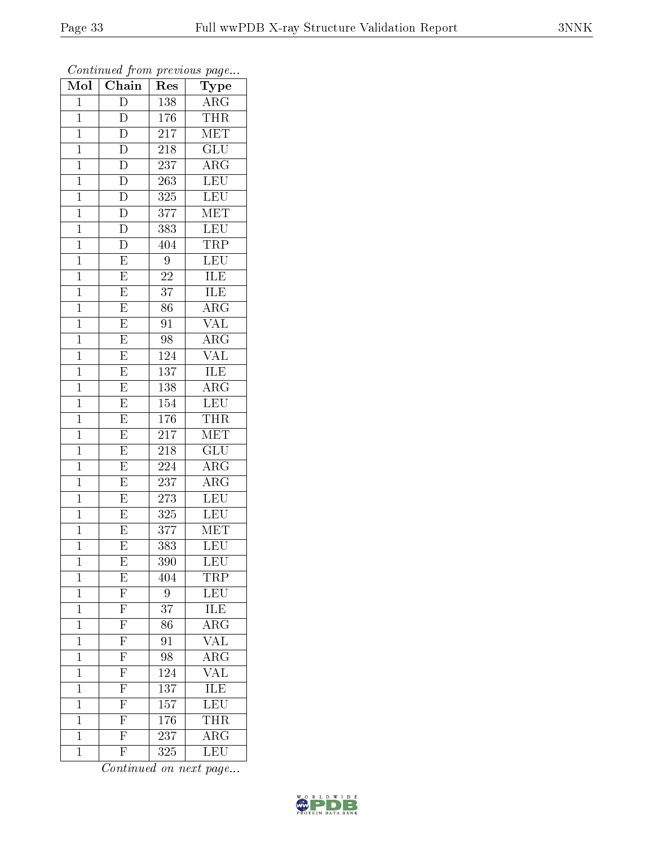| Mol            | Chain                               | Res                         | ${\rm \bar{Type}}$                             |
|----------------|-------------------------------------|-----------------------------|------------------------------------------------|
| $\mathbf{1}$   | $\overline{D}$                      | 138                         | $\rm{ARG}$                                     |
| $\mathbf{1}$   | $\overline{D}$                      | 176                         | <b>THR</b>                                     |
| $\mathbf{1}$   | $\overline{\rm D}$                  | $21\overline{7}$            | $\overline{\text{MET}}$                        |
| $\mathbf{1}$   | $\overline{\rm D}$                  | 218                         | $\overline{\text{GLU}}$                        |
| $\mathbf{1}$   | $\overline{D}$                      | 237                         | $\rm{ARG}$                                     |
| $\mathbf{1}$   | $\overline{\rm D}$                  | 263                         | <b>LEU</b>                                     |
| $\mathbf{1}$   | $\overline{\rm D}$                  | 325                         | LEU                                            |
| $\mathbf{1}$   | $\overline{D}$                      | 377                         | $\overline{\text{MET}}$                        |
| $\mathbf{1}$   | $\overline{D}$                      | 383                         | <b>LEU</b>                                     |
| $\mathbf 1$    | $\overline{\mathrm{D}}$             | 404                         | <b>TRP</b>                                     |
| $\mathbf{1}$   | $\overline{\mathrm{E}}$             | $\boldsymbol{9}$            | LEU                                            |
| $\overline{1}$ | $\overline{\mathrm{E}}$             | 22                          | $\overline{\text{ILE}}$                        |
| $\mathbf{1}$   | $\overline{\mathrm{E}}$             | $\overline{37}$             | ILE                                            |
| $\mathbf{1}$   | $\overline{E}$                      | 86                          | $\overline{\text{ARG}}$                        |
| $\overline{1}$ | $\overline{\mathrm{E}}$             | $\overline{91}$             | $\overline{\text{VAL}}$                        |
| $\mathbf{1}$   | $\mathbf E$                         | 98                          | $\rm{AR}\bar{\rm{G}}$                          |
| $\overline{1}$ | $\overline{\mathrm{E}}$             | 124                         | $\overline{\text{VAL}}$                        |
| $\mathbf{1}$   | $\overline{E}$                      | 137                         | $\overline{\text{ILE}}$                        |
| $\mathbf 1$    | $\overline{\mathrm{E}}$             | 138                         | $\overline{\rm{ARG}}$                          |
| $\mathbf{1}$   | $\overline{E}$                      | 154                         | $\overline{\text{LEU}}$                        |
| $\overline{1}$ | $\overline{\mathrm{E}}$             | 176                         | <b>THR</b>                                     |
| $\overline{1}$ | $\overline{E}$                      | 217                         | <b>MET</b>                                     |
| $\mathbf{1}$   | $\overline{\mathrm{E}}$             | 218                         | GLU                                            |
| $\mathbf{1}$   | $\overline{\mathrm{E}}$             | $\overline{224}$            | $\rm{A}R\overline{G}$                          |
| $\mathbf{1}$   | $\overline{E}$                      | 237                         | $\rm{ARG}$                                     |
| $\mathbf{1}$   | $\overline{\mathrm{E}}$             | 273                         | LEU                                            |
| $\mathbf{1}$   | $\overline{E}$                      | 325                         | <b>LEU</b>                                     |
| $\mathbf{1}$   | E                                   | 377                         | MET                                            |
| $\mathbf 1$    | $\overline{\mathrm{E}}$             | 383                         | $\overline{\text{LEU}}$                        |
| 1              | E                                   | 390                         | $\overline{\text{LEU}}$                        |
| $\mathbf 1$    | E                                   | 404                         | TRP                                            |
| $\mathbf 1$    |                                     | $\overline{9}$              | $\overline{\text{LEU}}$                        |
| $\mathbf 1$    | $\frac{\overline{F}}{\overline{F}}$ | 37                          | $\frac{\overline{\textrm{ILE}}}{\textrm{ARG}}$ |
| $\mathbf 1$    |                                     | $\overline{86}$             |                                                |
| $\mathbf 1$    | $\overline{F}$                      | $\overline{9}1$             | <b>VAL</b>                                     |
| $\overline{1}$ | $\frac{\overline{F}}{\overline{F}}$ | $\overline{98}$             | $\overline{\rm{ARG}}$                          |
| $\mathbf 1$    |                                     | 124                         | $\overline{\text{VAL}}$                        |
| $\overline{1}$ | $\overline{\mathrm{F}}$             | 137                         | $\overline{\text{ILE}}$                        |
| $\mathbf 1$    | $\overline{\mathrm{F}}$             | 157                         | $\overline{\text{LEU}}$                        |
| $\mathbf 1$    | $\frac{\overline{F}}{\overline{F}}$ | 176                         | <b>THR</b>                                     |
| $\mathbf 1$    |                                     | $2\overline{3}\overline{7}$ | $\overline{\rm{ARG}}$                          |
| $\mathbf 1$    | $\overline{\mathrm{F}}$             | 325                         | <b>LEU</b>                                     |

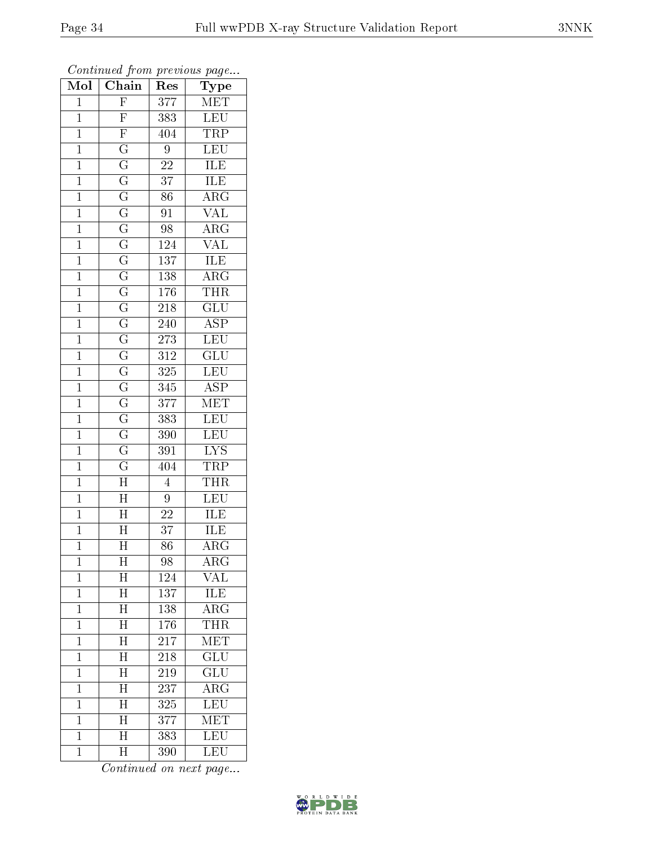| Mol            | Chain                                  | ${\mathop{\mathrm{Res}}\nolimits}$ | Type                    |
|----------------|----------------------------------------|------------------------------------|-------------------------|
| $\mathbf{1}$   | $\overline{F}$                         | 377                                | MET                     |
| $\mathbf{1}$   | $\overline{F}$                         | 383                                | LEU                     |
| $\overline{1}$ | $\overline{F}$                         | 404                                | TRP                     |
| $\mathbf{1}$   | $\overline{\mathrm{G}}$                | 9                                  | LEU                     |
| $\overline{1}$ | $\overline{\mathrm{G}}$                | $\overline{22}$                    | ILE                     |
| $\mathbf{1}$   | $\overline{\mathbf{G}}$                | 37                                 | ILE                     |
| $\mathbf 1$    | $\overline{\mathrm{G}}$                | 86                                 | $\overline{\rm ARG}$    |
| $\mathbf{1}$   | $\overline{\mathrm{G}}$                | 91                                 | $\overline{\text{VAL}}$ |
| $\mathbf{1}$   | $\overline{\mathrm{G}}$                | $\overline{98}$                    | $\overline{\rm ARG}$    |
| $\overline{1}$ | $\frac{\overline{\text{G}}}{\text{G}}$ | 124                                | $\overline{\text{VAL}}$ |
| $\mathbf{1}$   |                                        | 137                                | $\overline{\text{ILE}}$ |
| $\mathbf{1}$   |                                        | 138                                | $\overline{\rm ARG}$    |
| $\mathbf{1}$   | $\overline{\mathrm{G}}$                | 176                                | <b>THR</b>              |
| $\mathbf 1$    | $\overline{\rm G}$                     | 218                                | $\overline{\text{GLU}}$ |
| $\overline{1}$ | $\overline{\mathrm{G}}$                | 240                                | $\overline{\text{ASP}}$ |
| $\mathbf{1}$   | $\overline{\rm G}$                     | 273                                | $\overline{\text{LEU}}$ |
| $\mathbf 1$    | $\overline{\mathrm{G}}$                | $\overline{312}$                   | $\overline{\text{GLU}}$ |
| $\mathbf{1}$   | $\overline{G}$                         | 325                                | LEU                     |
| $\overline{1}$ | $\overline{\mathrm{G}}$                | $\overline{345}$                   | $\overline{\text{ASP}}$ |
| $\mathbf{1}$   | $\overline{\mathrm{G}}$                | 377                                | $\overline{\text{MET}}$ |
| $\mathbf{1}$   | $\overline{\mathrm{G}}$                | 383                                | LEU                     |
| $\overline{1}$ | $\overline{\mathrm{G}}$                | 390                                | LEU                     |
| $\mathbf{1}$   | $\overline{\mathrm{G}}$                | 391                                | <b>LYS</b>              |
| $\overline{1}$ | $\overline{\rm G}$                     | 404                                | TRP                     |
| $\mathbf{1}$   | $\overline{\rm H}$                     | $\overline{4}$                     | <b>THR</b>              |
| $\mathbf 1$    | $\overline{H}$                         | 9                                  | LEU                     |
| $\mathbf{1}$   | $\overline{H}$                         | $\overline{22}$                    | ILE                     |
| $\mathbf 1$    | $\overline{\rm H}$                     | 37                                 | ILE                     |
| $\overline{1}$ | $\overline{\rm H}$                     | $\overline{86}$                    | $\overline{\rm{ARG}}$   |
| 1              | $\overline{\rm H}$                     | 98                                 | $\overline{\rm{ARG}}$   |
| $\mathbf 1$    | $\overline{\mathrm{H}}$                | 124                                | VAL                     |
| $\mathbf 1$    | $\overline{\rm H}$                     | 137                                | ILE                     |
| $\mathbf{1}$   | $\overline{\mathrm{H}}$                | 138                                | $\overline{\rm{ARG}}$   |
| $\overline{1}$ | $\overline{\rm H}$                     | 176                                | <b>THR</b>              |
| $\mathbf 1$    | $\overline{\text{H}}$                  | 217                                | $\overline{\text{MET}}$ |
| $\mathbf 1$    | $\overline{\rm H}$                     | 218                                | $\overline{\text{GLU}}$ |
| $\mathbf 1$    | $\overline{\mathrm{H}}$                | 219                                | $\overline{{\rm GLU}}$  |
| $\overline{1}$ | $\overline{\text{H}}$                  | 237                                | $\rm{ARG}$              |
| $\mathbf 1$    | $\overline{\rm H}$                     | 325                                | $\overline{\text{LEU}}$ |
| $\mathbf{1}$   | $\overline{\rm H}$                     | 377                                | MET                     |
| $\mathbf 1$    | $\overline{\rm H}$                     | 383                                | LEU                     |
| $\mathbf{1}$   | $\overline{\mathrm{H}}$                | 390                                | LEU                     |

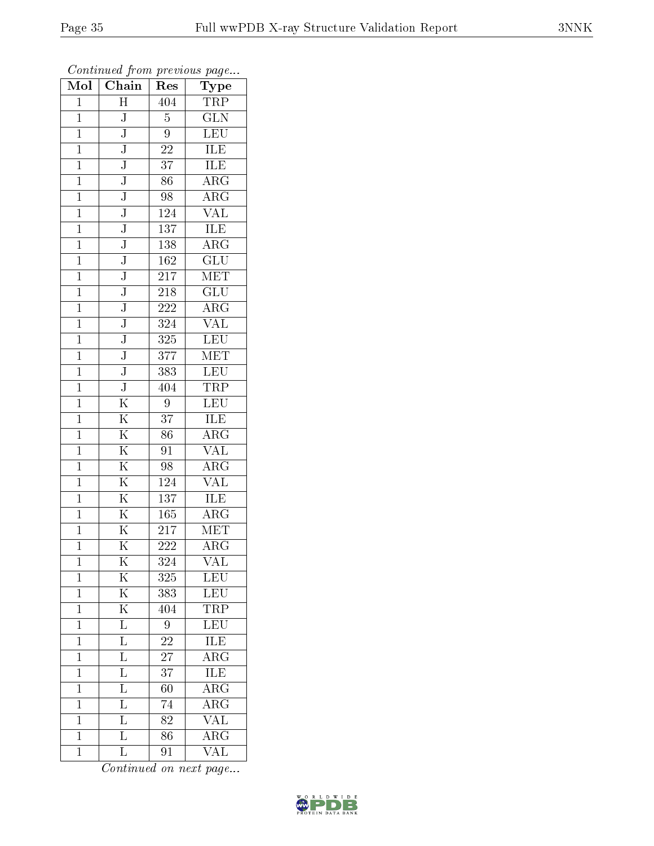| Mol            | Chain                   | Res             | ${\bf Type}$                                   |
|----------------|-------------------------|-----------------|------------------------------------------------|
| $\mathbf{1}$   | $\overline{H}$          | 404             | TRP                                            |
| $\mathbf{1}$   | J                       | $\overline{5}$  | $\overline{\text{GLN}}$                        |
| $\mathbf{1}$   | $\overline{\text{J}}$   | $\overline{9}$  | $\overline{\text{LEU}}$                        |
| $\mathbf{1}$   | ${\bf J}$               | $\sqrt{22}$     | <b>ILE</b>                                     |
| $\overline{1}$ | $\overline{\text{J}}$   | $\overline{37}$ | <b>ILE</b>                                     |
| $\mathbf{1}$   | J                       | 86              | $\overline{\rm ARG}$                           |
| $\overline{1}$ | $\overline{\text{J}}$   | 98              | $\overline{\rm{ARG}}$                          |
| $\mathbf{1}$   | $\overline{\mathsf{J}}$ | 124             | $\overline{\text{VAL}}$                        |
| $\mathbf{1}$   | $\mathbf J$             | 137             | <b>ILE</b>                                     |
| $\mathbf 1$    | $\overline{\text{J}}$   | 138             | $\overline{\text{ARG}}$                        |
| $\mathbf{1}$   | $\overline{\text{J}}$   | 162             | $\overline{\mathrm{GLU}}$                      |
| $\overline{1}$ | $\overline{\text{J}}$   | 217             | $\overline{\text{MET}}$                        |
| $\mathbf{1}$   | $\overline{\text{J}}$   | 218             | $\overline{GLU}$                               |
| $\mathbf{1}$   | $\overline{\text{J}}$   | 222             | $\rm{ARG}$                                     |
| $\overline{1}$ | $\overline{\text{J}}$   | 324             | $\overline{\text{VAL}}$                        |
| $\mathbf{1}$   | $\overline{\text{J}}$   | 325             | <b>LEU</b>                                     |
| $\overline{1}$ | $\overline{\text{J}}$   | 377             | MET                                            |
| $\mathbf{1}$   | $\overline{\text{J}}$   | 383             | LEU                                            |
| $\mathbf 1$    | $\overline{\text{J}}$   | 404             | TRP                                            |
| $\mathbf{1}$   | $\overline{\mathrm{K}}$ | 9               | LEU                                            |
| $\overline{1}$ | $\overline{\mathrm{K}}$ | 37              | ILE                                            |
| $\overline{1}$ | $\overline{\mathrm{K}}$ | $\overline{86}$ | $\overline{\rm{ARG}}$                          |
| $\mathbf{1}$   | $\overline{\mathrm{K}}$ | 91              | <b>VAL</b>                                     |
| $\overline{1}$ | $\overline{\mathrm{K}}$ | 98              | $\rm{ARG}$                                     |
| $\mathbf{1}$   | $\overline{\mathrm{K}}$ | 124             | $\overline{\text{VAL}}$                        |
| $\mathbf{1}$   | $\overline{\mathrm{K}}$ | 137             | <b>ILE</b>                                     |
| $\mathbf{1}$   | $\overline{\mathrm{K}}$ | 165             | $\overline{\rm{ARG}}$                          |
| $\mathbf{1}$   | $\overline{\mathrm{K}}$ | 217             | <b>MET</b>                                     |
| $\mathbf 1$    | $\overline{\mathrm{K}}$ | 222             | $\overline{\rm{ARG}}$                          |
| 1              | Κ                       | 324             | VAL                                            |
| $\mathbf 1$    | $\overline{\mathrm{K}}$ | 325             | $\overline{\text{LEU}}$                        |
| $\mathbf 1$    | $\overline{\mathrm{K}}$ | 383             | $\overline{\text{LEU}}$                        |
| $\mathbf 1$    | $\overline{\mathrm{K}}$ | 404             | TRP<br>LEU                                     |
| $\mathbf{1}$   | $\overline{\text{L}}$   | $\overline{9}$  |                                                |
| $\mathbf{1}$   | $\overline{\mathbf{L}}$ | 22              | $\frac{\overline{\textrm{ILE}}}{\textrm{ARG}}$ |
| $\mathbf 1$    | $\overline{\mathrm{L}}$ | $\overline{27}$ |                                                |
| $\mathbf{1}$   | $\overline{\mathrm{L}}$ | 37              | ILE                                            |
| $\mathbf{1}$   | $\overline{\mathrm{L}}$ | 60              | $\overline{\rm ARG}$                           |
| $\mathbf{1}$   | $\overline{\mathrm{L}}$ | 74              | $\overline{\rm{ARG}}$                          |
| $\mathbf{1}$   | $\overline{\mathrm{L}}$ | 82              | $\overline{\text{VAL}}$                        |
| $\mathbf{1}$   | $\overline{\mathrm{L}}$ | $\overline{86}$ | $\overline{\rm{ARG}}$                          |
| $\mathbf{1}$   | $\overline{\mathbf{L}}$ | 91              | $\overline{\text{VAL}}$                        |

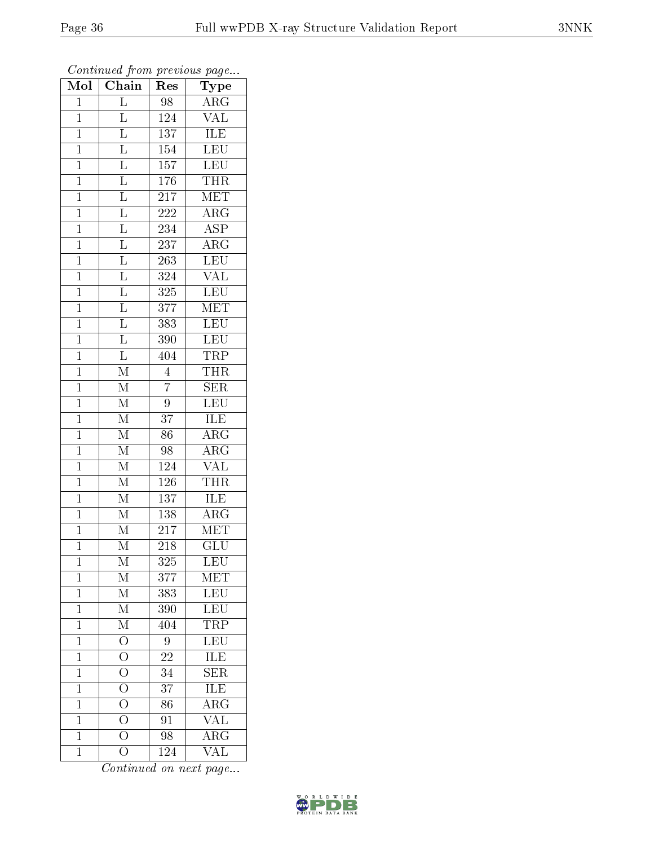| Mol            | Chain                                  | Res              | ${\rm \bar{T}ype}$      |
|----------------|----------------------------------------|------------------|-------------------------|
| $\mathbf{1}$   |                                        | 98               | $\overline{\rm ARG}$    |
| $\overline{1}$ | $\frac{\overline{L}}{\overline{L}}$    | 124              | $\overline{\text{VAL}}$ |
| $\mathbf{1}$   |                                        | 137              | ILE                     |
| $\mathbf{1}$   |                                        | $\overline{154}$ | LEU                     |
| $\overline{1}$ | $\frac{\overline{L}}{\overline{L}}$    | 157              | <b>LEU</b>              |
| $\mathbf{1}$   |                                        | 176              | <b>THR</b>              |
| $\overline{1}$ | $\frac{\overline{L}}{L}$               | $\overline{217}$ | <b>MET</b>              |
| $\mathbf{1}$   |                                        | 222              | $\overline{\rm ARG}$    |
| $\mathbf{1}$   |                                        | 234              | $\overline{\text{ASP}}$ |
| $\mathbf 1$    | $\frac{\overline{\text{L}}}{\text{L}}$ | 237              | $\overline{\rm{ARG}}$   |
| $\mathbf{1}$   |                                        | 263              | LEU                     |
| $\overline{1}$ | $\frac{\overline{L}}{\overline{L}}$    | 324              | $\overline{\text{VAL}}$ |
| $\overline{1}$ |                                        | 325              | LEU                     |
| $\mathbf{1}$   | $\frac{\overline{L}}{L}$               | 377              | <b>MET</b>              |
| $\overline{1}$ |                                        | 383              | LEU                     |
| $\mathbf 1$    | $\frac{1}{L}$                          | 390              | <b>LEU</b>              |
| $\overline{1}$ | $\overline{\mathrm{L}}$                | 404              | <b>TRP</b>              |
| $\mathbf{1}$   | $\overline{\rm M}$                     | $\overline{4}$   | <b>THR</b>              |
| $\mathbf 1$    | $\overline{\mathrm{M}}$                | $\overline{7}$   | $\overline{\text{SER}}$ |
| $\mathbf{1}$   | $\overline{\mathbf{M}}$                | $\overline{9}$   | $\overline{\text{LEU}}$ |
| $\overline{1}$ | $\mathbf M$                            | $\overline{37}$  | <b>ILE</b>              |
| $\overline{1}$ | $\overline{\mathrm{M}}$                | $\overline{86}$  | $\overline{\rm{ARG}}$   |
| $\mathbf{1}$   | $\overline{\mathrm{M}}$                | 98               | $\overline{\rm{ARG}}$   |
| $\overline{1}$ | $\overline{\mathrm{M}}$                | $\overline{124}$ | $\overline{\text{VAL}}$ |
| $\mathbf{1}$   | $\overline{\rm M}$                     | 126              | <b>THR</b>              |
| $\mathbf{1}$   | $\overline{\mathrm{M}}$                | $\overline{137}$ | ILE                     |
| $\overline{1}$ | $\overline{\mathrm{M}}$                | 138              | $\overline{\rm{ARG}}$   |
| $\mathbf{1}$   | $\overline{\mathrm{M}}$                | 217              | MET                     |
| $\mathbf 1$    | $\overline{\mathrm{M}}$                | 218              | $\overline{{\rm GLU}}$  |
| $\mathbf 1$    | М                                      | 325              | LEU                     |
| $\mathbf 1$    | $\mathbf M$                            | 377              | MET                     |
| $\mathbf 1$    | $\overline{\mathrm{M}}$                | 383              | <b>LEU</b>              |
| $\mathbf 1$    | $\overline{\mathrm{M}}$                | 390              | <b>LEU</b>              |
| $\mathbf{1}$   | $\overline{\mathrm{M}}$                | 404              | TRP                     |
| $\mathbf{1}$   | $\overline{O}$                         | 9                | LEU                     |
| $\mathbf 1$    | $\overline{O}$                         | $\overline{22}$  | ILE                     |
| $\mathbf 1$    | $\overline{O}$                         | 34               | <b>SER</b>              |
| $\mathbf 1$    | $\overline{O}$                         | 37               | $\overline{\text{ILE}}$ |
| $\mathbf{1}$   | $\overline{O}$                         | 86               | $\overline{\rm{ARG}}$   |
| $\mathbf{1}$   | $\frac{\overline{O}}{O}$               | 91               | $\overline{\text{VAL}}$ |
| $\mathbf{1}$   |                                        | 98               | $\overline{\rm{ARG}}$   |
| $\mathbf{1}$   | $\overline{\rm O}$                     | 124              | $\overline{\text{VAL}}$ |

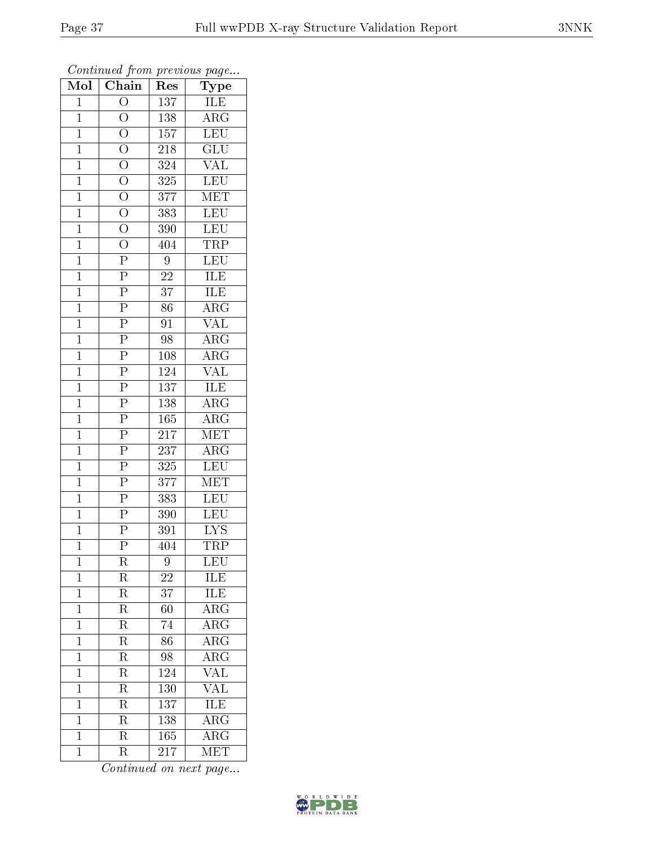| Mol            | $\overline{\text{Chain}}$                                                                                                                   | Res              | Type                    |
|----------------|---------------------------------------------------------------------------------------------------------------------------------------------|------------------|-------------------------|
| $\mathbf{1}$   | $\overline{O}$                                                                                                                              | 137              | ILE                     |
| $\mathbf 1$    | $\overline{O}$                                                                                                                              | 138              | $\rm{ARG}$              |
| $\mathbf{1}$   |                                                                                                                                             | 157              | LEU                     |
| $\mathbf{1}$   |                                                                                                                                             | 218              | $\overline{\text{GLU}}$ |
| $\overline{1}$ | $\frac{\overline{O}}{\overline{O}}$ $\frac{\overline{O}}{\overline{O}}$                                                                     | 324              | <b>VAL</b>              |
| $\mathbf{1}$   |                                                                                                                                             | 325              | <b>LEU</b>              |
| $\mathbf{1}$   |                                                                                                                                             | 377              | $\overline{\text{MET}}$ |
| $\mathbf{1}$   |                                                                                                                                             | 383              | LEU                     |
| $\mathbf{1}$   |                                                                                                                                             | 390              | LEU                     |
| $\mathbf{1}$   |                                                                                                                                             | 404              | <b>TRP</b>              |
| $\mathbf{1}$   |                                                                                                                                             | $\boldsymbol{9}$ | LEU                     |
| $\overline{1}$ |                                                                                                                                             | $\sqrt{22}$      | <b>ILE</b>              |
| $\mathbf{1}$   |                                                                                                                                             | 37               | <b>ILE</b>              |
| $\mathbf{1}$   | $\frac{\overline{O}}{O} \frac{\overline{O}}{O} \frac{\overline{O}}{P} \frac{\overline{P}}{P} \frac{\overline{P}}{P} \frac{\overline{P}}{P}$ | 86               | $\overline{\rm{ARG}}$   |
| $\overline{1}$ |                                                                                                                                             | $\overline{91}$  | $\overline{\text{VAL}}$ |
| $\mathbf{1}$   | $\overline{P}$                                                                                                                              | 98               | $\overline{\rm{ARG}}$   |
| $\overline{1}$ | $\frac{\overline{P}}{P}$                                                                                                                    | 108              | $\overline{\rm{ARG}}$   |
| $\mathbf{1}$   |                                                                                                                                             | 124              | VAL                     |
| $\mathbf 1$    | $\overline{P}$                                                                                                                              | 137              | ILE                     |
| $\mathbf{1}$   | $\frac{\overline{P}}{\overline{P}}$                                                                                                         | 138              | $\rm{ARG}$              |
| $\overline{1}$ |                                                                                                                                             | 165              | $\rm{ARG}$              |
| $\overline{1}$ |                                                                                                                                             | $\overline{217}$ | MET                     |
| $\mathbf{1}$   | $\frac{\overline{P}}{\overline{P}}$                                                                                                         | $23\overline{7}$ | $\rm{ARG}$              |
| $\overline{1}$ |                                                                                                                                             | $\overline{325}$ | LEU                     |
| $\mathbf{1}$   | $\overline{P}$                                                                                                                              | 377              | MET                     |
| $\mathbf{1}$   | $\frac{\overline{P}}{\overline{P}}$                                                                                                         | 383              | LEU                     |
| $\mathbf{1}$   |                                                                                                                                             | 390              | LEU                     |
| $\mathbf{1}$   | $\frac{\overline{P}}{\overline{P}}$                                                                                                         | 391              | $\overline{\text{LYS}}$ |
| $\mathbf 1$    |                                                                                                                                             | 404              | TRP                     |
| $\mathbf 1$    | R                                                                                                                                           | 9                | LEU                     |
| $\mathbf 1$    | R                                                                                                                                           | 22               | ILE                     |
| $\mathbf 1$    | $\overline{\mathrm{R}}$                                                                                                                     | $\overline{37}$  | ILE                     |
| $\mathbf 1$    | $_{\rm R}$                                                                                                                                  | 60               | $\rm{ARG}$              |
| $\mathbf{1}$   | $\overline{\mathrm{R}}$                                                                                                                     | $\overline{74}$  | $\overline{\rm{ARG}}$   |
| $\mathbf 1$    | R                                                                                                                                           | 86               | $\rm{ARG}$              |
| $\mathbf 1$    | $\overline{\mathrm{R}}$                                                                                                                     | $\overline{98}$  | $\overline{\rm{ARG}}$   |
| $\mathbf 1$    | $\overline{\mathrm{R}}$                                                                                                                     | 124              | VAL                     |
| $\mathbf 1$    | $\rm R$                                                                                                                                     | 130              | $\overline{\text{VAL}}$ |
| $\mathbf{1}$   | $\overline{\mathrm{R}}$                                                                                                                     | 137              | ILE                     |
| $\mathbf{1}$   | $\rm R$                                                                                                                                     | 138              | $\rm{ARG}$              |
| $\overline{1}$ | $\overline{\mathrm{R}}$                                                                                                                     | 165              | $\overline{\rm{ARG}}$   |
| $\overline{1}$ | R                                                                                                                                           | 217              | <b>MET</b>              |

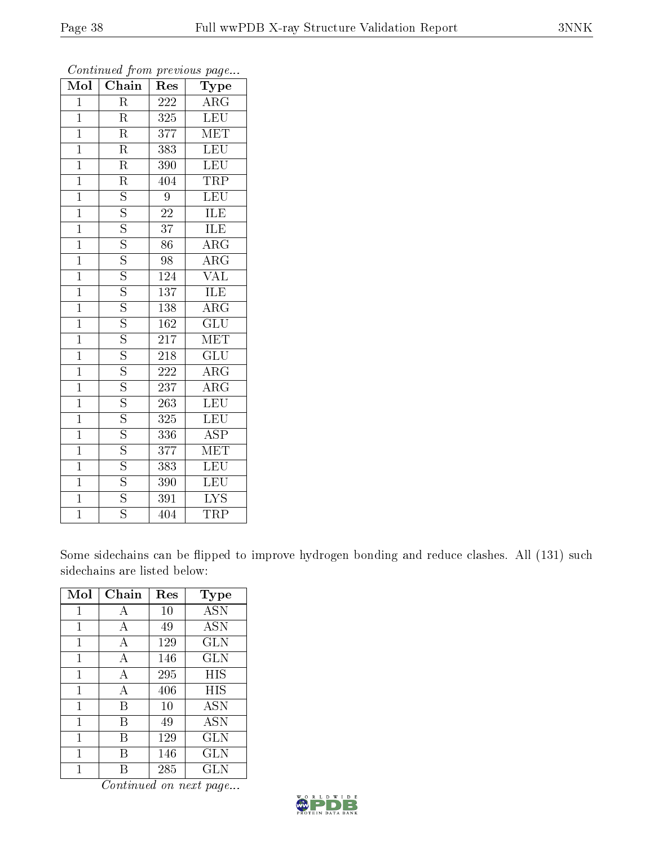| Mol            | $\overline{\text{Chain}}$ | Res              | Type                    |
|----------------|---------------------------|------------------|-------------------------|
| $\overline{1}$ | $\overline{\mathrm{R}}$   | 222              | $\overline{\rm ARG}$    |
| $\mathbf{1}$   | $\overline{\mathrm{R}}$   | 325              | $\overline{\text{LEU}}$ |
| $\overline{1}$ | $\overline{\mathrm{R}}$   | 377              | MET                     |
| $\overline{1}$ | $\overline{\mathrm{R}}$   | 383              | $\overline{\text{LEU}}$ |
| $\overline{1}$ | $\overline{\mathrm{R}}$   | 390              | LEU                     |
| $\overline{1}$ | $\overline{\mathrm{R}}$   | 404              | TRP                     |
| $\overline{1}$ | $\overline{\mathrm{s}}$   | 9                | $\overline{\text{LEU}}$ |
| $\mathbf{1}$   | $\overline{\mathrm{S}}$   | $\overline{22}$  | <b>ILE</b>              |
| $\overline{1}$ | $\overline{\mathrm{s}}$   | $\overline{37}$  | ILE                     |
| $\overline{1}$ | $\overline{\mathrm{s}}$   | $\overline{86}$  | $\overline{\rm{ARG}}$   |
| $\mathbf{1}$   | $\overline{\mathrm{s}}$   | 98               | $\overline{\rm{ARG}}$   |
| $\overline{1}$ | $\overline{\mathrm{s}}$   | 124              | $\overline{\text{VAL}}$ |
| $\overline{1}$ | $\overline{\mathrm{S}}$   | 137              | ILE                     |
| $\mathbf{1}$   | $\overline{\mathrm{s}}$   | 138              | ARG                     |
| $\overline{1}$ | $\overline{\mathrm{s}}$   | 162              | $\overline{\text{GLU}}$ |
| $\mathbf{1}$   | $\overline{\mathrm{s}}$   | 217              | MET                     |
| $\overline{1}$ | $\overline{\mathrm{s}}$   | 218              | $\overline{{\rm GLU}}$  |
| $\overline{1}$ | $\overline{\mathrm{s}}$   | 222              | $\rm{ARG}$              |
| $\overline{1}$ | $\overline{\mathrm{s}}$   | $\overline{237}$ | $\overline{\rm{ARG}}$   |
| $\overline{1}$ | $\overline{\mathrm{S}}$   | $\overline{263}$ | <b>LEU</b>              |
| $\overline{1}$ | $\overline{\mathrm{s}}$   | 325              | LEU                     |
| $\overline{1}$ | $\overline{\mathrm{s}}$   | 336              | $\overline{\text{ASP}}$ |
| $\overline{1}$ | $\overline{\mathrm{s}}$   | 377              | $\overline{\text{MET}}$ |
| $\overline{1}$ | $\overline{\mathrm{s}}$   | $\overline{383}$ | LEU                     |
| $\overline{1}$ | $\overline{\mathrm{S}}$   | 390              | $\overline{\text{LEU}}$ |
| $\overline{1}$ | $\overline{\mathrm{s}}$   | 391              | $\overline{\text{LYS}}$ |
| $\overline{1}$ | $\overline{\mathrm{s}}$   | 404              | $\overline{\text{TRP}}$ |

Some sidechains can be flipped to improve hydrogen bonding and reduce clashes. All (131) such sidechains are listed below:

| Mol          | Chain | Res | Type       |
|--------------|-------|-----|------------|
| 1            | А     | 10  | <b>ASN</b> |
| $\mathbf{1}$ | А     | 49  | <b>ASN</b> |
| 1            | А     | 129 | GLN        |
| 1            | А     | 146 | <b>GLN</b> |
| 1            | А     | 295 | HIS        |
| 1            | А     | 406 | HIS        |
| 1            | В     | 10  | <b>ASN</b> |
| 1            | В     | 49  | <b>ASN</b> |
| $\mathbf{1}$ | В     | 129 | <b>GLN</b> |
| 1            | В     | 146 | GLN        |
| 1            | R     | 285 | GLN        |

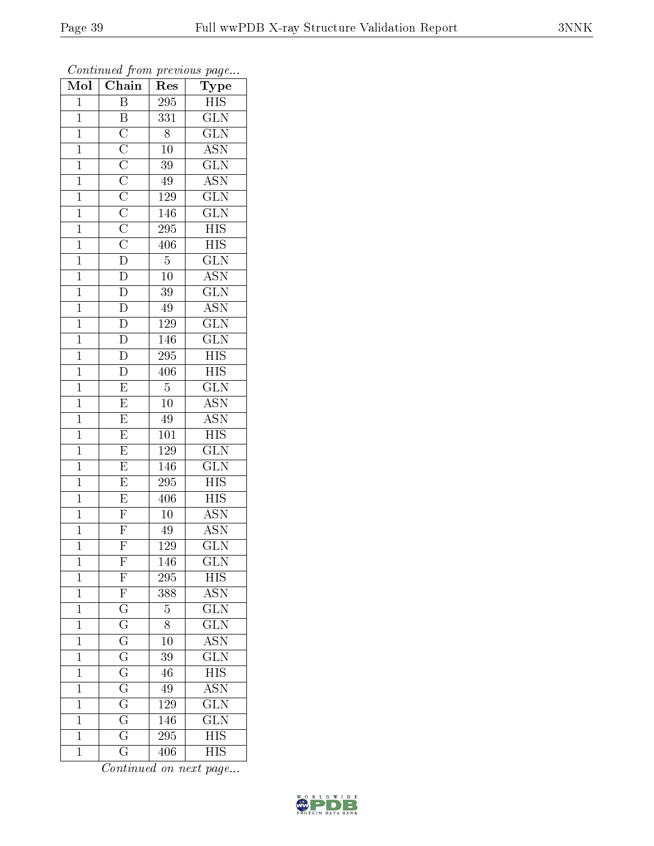| $\overline{\text{Mol}}$ | $\overline{\text{Chain}}$                                                                                                                                                                             | Res              | ${\rm \bar{Type}}$        |
|-------------------------|-------------------------------------------------------------------------------------------------------------------------------------------------------------------------------------------------------|------------------|---------------------------|
| $\mathbf{1}$            | $\, {\bf B}$                                                                                                                                                                                          | 295              | HIS                       |
| $\overline{1}$          | $\boldsymbol{B}$                                                                                                                                                                                      | 331              | $\overline{\text{GLN}}$   |
| $\mathbf{1}$            |                                                                                                                                                                                                       | 8                | $\overline{\text{GLN}}$   |
| $\mathbf{1}$            |                                                                                                                                                                                                       | $10\,$           | $\overline{\mathrm{ASN}}$ |
| $\overline{1}$          |                                                                                                                                                                                                       | $\overline{39}$  | $\overline{\text{GLN}}$   |
| $\mathbf{1}$            |                                                                                                                                                                                                       | 49               | $\overline{\text{ASN}}$   |
| $\overline{1}$          | $\overline{\text{C}}$ $\overline{\text{C}}$ $\overline{\text{C}}$ $\overline{\text{C}}$ $\overline{\text{C}}$ $\overline{\text{C}}$ $\overline{\text{C}}$ $\overline{\text{C}}$ $\overline{\text{D}}$ | <b>129</b>       | $\overline{\text{GLN}}$   |
| $\mathbf{1}$            |                                                                                                                                                                                                       | 146              | $\overline{\text{GLN}}$   |
| $\mathbf{1}$            |                                                                                                                                                                                                       | 295              | HIS                       |
| $\mathbf{1}$            |                                                                                                                                                                                                       | 406              | $\overline{\mathrm{HIS}}$ |
| $\mathbf{1}$            |                                                                                                                                                                                                       | $\overline{5}$   | $\overline{\text{GLN}}$   |
| $\overline{1}$          | $\overline{D}$                                                                                                                                                                                        | $\overline{10}$  | <b>ASN</b>                |
| $\overline{1}$          |                                                                                                                                                                                                       | $\overline{39}$  | $\overline{\text{GLN}}$   |
| $\mathbf{1}$            | $\frac{\overline{D}}{\overline{D}}$                                                                                                                                                                   | 49               | $\overline{\text{ASN}}$   |
| $\overline{1}$          |                                                                                                                                                                                                       | <sup>129</sup>   | $\overline{\text{GLN}}$   |
| $\mathbf{1}$            | $\overline{\rm D}$                                                                                                                                                                                    | 146              | $\overline{\text{GLN}}$   |
| $\overline{1}$          | $\overline{D}$                                                                                                                                                                                        | $\overline{295}$ | $\overline{HIS}$          |
| $\mathbf{1}$            | $\overline{\mathbb{D}}$                                                                                                                                                                               | 406              | <b>HIS</b>                |
| $\mathbf 1$             | $\overline{E}$                                                                                                                                                                                        | $\bf 5$          | $\overline{\text{GLN}}$   |
| $\mathbf{1}$            | $\overline{E}$                                                                                                                                                                                        | $10\,$           | $\overline{\text{ASN}}$   |
| $\overline{1}$          | $\overline{E}$                                                                                                                                                                                        | 49               | $\overline{\mathrm{ASN}}$ |
| $\overline{1}$          | $\overline{E}$                                                                                                                                                                                        | $\overline{101}$ | $\overline{HIS}$          |
| $\mathbf{1}$            | $\overline{E}$                                                                                                                                                                                        | 129              | $\overline{\text{GLN}}$   |
| $\overline{1}$          | $\overline{E}$                                                                                                                                                                                        | 146              | $\overline{\text{GLN}}$   |
| $\mathbf{1}$            | $\overline{E}$                                                                                                                                                                                        | 295              | <b>HIS</b>                |
| $\mathbf{1}$            | $\frac{\overline{E}}{\overline{F}}$                                                                                                                                                                   | 406              | $\overline{HIS}$          |
| $\mathbf{1}$            |                                                                                                                                                                                                       | $\overline{10}$  | $\overline{\mathrm{ASN}}$ |
| $\mathbf{1}$            | $\frac{\overline{\text{F}}}{\overline{\text{F}}}$                                                                                                                                                     | 49               | $\overline{\text{ASN}}$   |
| $\mathbf 1$             |                                                                                                                                                                                                       | 129              | $\overline{\text{GLN}}$   |
| 1                       | $\mathbf{F}$                                                                                                                                                                                          | 146              | $\overline{\text{GLN}}$   |
| $\mathbf 1$             | $\overline{F}$                                                                                                                                                                                        | 295              | <b>HIS</b>                |
| $\mathbf 1$             | $\overline{\mathrm{F}}$                                                                                                                                                                               | 388              | $\overline{\mathrm{ASN}}$ |
| $\mathbf 1$             | $\mathbf G$                                                                                                                                                                                           | $\overline{5}$   | $\widetilde{\text{GLN}}$  |
| $\mathbf 1$             | $\overline{\mathrm{G}}$                                                                                                                                                                               | $\overline{8}$   | $\overline{\text{GLN}}$   |
| $\mathbf 1$             | $\overline{\mathrm{G}}$                                                                                                                                                                               | 10               | $\overline{\rm{ASN}}$     |
| $\mathbf 1$             | $\overline{\mathrm{G}}$                                                                                                                                                                               | $\overline{39}$  | $\overline{\text{GLN}}$   |
| $\mathbf 1$             | $\overline{\mathrm{G}}$                                                                                                                                                                               | 46               | <b>HIS</b>                |
| $\mathbf 1$             | $\overline{\rm G}$                                                                                                                                                                                    | 49               | $\overline{\mathrm{ASN}}$ |
| $\mathbf 1$             | $\overline{\mathrm{G}}$                                                                                                                                                                               | 129              | $\overline{\text{GLN}}$   |
| $\mathbf 1$             | $\overline{\mathrm{G}}$                                                                                                                                                                               | 146              | $\overline{\text{GLN}}$   |
| $\mathbf 1$             | $\overline{\mathrm{G}}$                                                                                                                                                                               | 295              | $\overline{\mathrm{HIS}}$ |
| $\mathbf 1$             | $\overline{\rm G}$                                                                                                                                                                                    | 406              | $\overline{\mathrm{HIS}}$ |

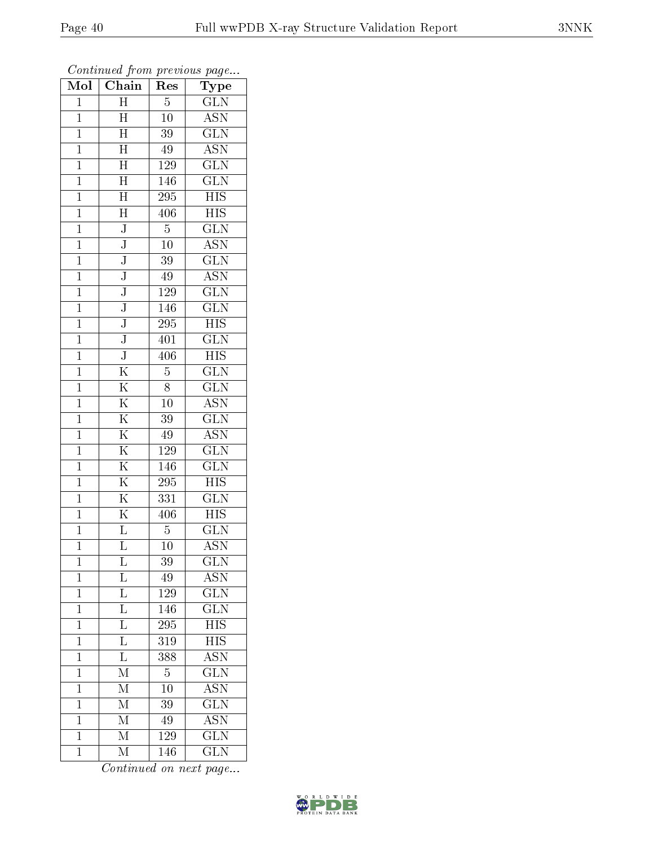| Mol            | Chain                   | $\operatorname{Res}% \left( \mathcal{N}\right) \equiv\operatorname{Res}(\mathcal{N}_{0})\cap\mathcal{N}_{1}$ | Type                      |
|----------------|-------------------------|--------------------------------------------------------------------------------------------------------------|---------------------------|
| $\mathbf{1}$   | $\overline{H}$          | $\overline{5}$                                                                                               | $\overline{\text{GLN}}$   |
| $\mathbf{1}$   | H                       | $\overline{1}0$                                                                                              | <b>ASN</b>                |
| $\mathbf{1}$   | $\overline{H}$          | $\overline{39}$                                                                                              | $\overline{\text{GLN}}$   |
| $\mathbf{1}$   | $\overline{\rm H}$      | 49                                                                                                           | $\overline{\mathrm{ASN}}$ |
| $\overline{1}$ | $\overline{\rm H}$      | <sup>129</sup>                                                                                               | $\overline{\text{GLN}}$   |
| $\mathbf{1}$   | $\mathbf H$             | 146                                                                                                          | <b>GLN</b>                |
| $\mathbf 1$    | $\overline{\rm H}$      | 295                                                                                                          | $H\overline{IS}$          |
| $\mathbf{1}$   | $\overline{\mathrm{H}}$ | 406                                                                                                          | <b>HIS</b>                |
| $\mathbf{1}$   | $\overline{\text{J}}$   | $\overline{5}$                                                                                               | $\overline{\text{GLN}}$   |
| $\overline{1}$ | $\overline{\text{J}}$   | $\overline{10}$                                                                                              | $\overline{\mathrm{ASN}}$ |
| $\mathbf{1}$   | $\overline{\text{J}}$   | 39                                                                                                           | $\overline{\text{GLN}}$   |
| $\mathbf{1}$   | $\overline{\text{J}}$   | 49                                                                                                           | $\overline{\rm ASN}$      |
| $\mathbf{1}$   | $\overline{\text{J}}$   | 129                                                                                                          | $\overline{\text{GLN}}$   |
| $\mathbf 1$    | $\overline{\text{J}}$   | $\overline{1}$ 46                                                                                            | $\overline{\text{GLN}}$   |
| $\overline{1}$ | $\overline{\text{J}}$   | 295                                                                                                          | $\overline{HIS}$          |
| $\mathbf 1$    | $\overline{\text{J}}$   | 401                                                                                                          | $\widetilde{{\rm GLN}}$   |
| $\mathbf 1$    | $\overline{\text{J}}$   | 406                                                                                                          | $\overline{\mathrm{HIS}}$ |
| $\mathbf{1}$   | $\overline{\mathrm{K}}$ | $\overline{5}$                                                                                               | $\overline{\text{GLN}}$   |
| $\overline{1}$ | $\overline{\mathrm{K}}$ | 8                                                                                                            | $\overline{\text{GLN}}$   |
| $\mathbf{1}$   | $\overline{\mathrm{K}}$ | 10                                                                                                           | $\overline{\text{ASN}}$   |
| $\mathbf{1}$   | $\overline{\mathrm{K}}$ | 39                                                                                                           | $\overline{\text{GLN}}$   |
| $\overline{1}$ | $\overline{\mathrm{K}}$ | 49                                                                                                           | $\overline{\text{ASN}}$   |
| $\mathbf{1}$   | $\overline{\mathrm{K}}$ | 129                                                                                                          | $\overline{\text{GLN}}$   |
| $\overline{1}$ | $\overline{\mathrm{K}}$ | 146                                                                                                          | $\overline{\text{GLN}}$   |
| $\mathbf{1}$   | $\overline{\mathrm{K}}$ | 295                                                                                                          | <b>HIS</b>                |
| $\mathbf{1}$   | $\overline{\mathrm{K}}$ | $\overline{331}$                                                                                             | $\overline{\text{GLN}}$   |
| $\mathbf 1$    | $\overline{\mathrm{K}}$ | 406                                                                                                          | $\overline{HIS}$          |
| $\mathbf 1$    | $\overline{\mathrm{L}}$ | $\overline{5}$                                                                                               | $\overline{\text{GLN}}$   |
| $\overline{1}$ | $\overline{\mathrm{L}}$ | 10                                                                                                           | $\overline{\mathrm{ASN}}$ |
| 1              | L                       | 39                                                                                                           | $\overline{\text{GLN}}$   |
| $\mathbf 1$    | L                       | 49                                                                                                           | $\overline{\text{ASN}}$   |
| $\mathbf 1$    | $\overline{\mathrm{L}}$ | 129                                                                                                          | $\overline{\text{GLN}}$   |
| $\mathbf{1}$   | $\overline{\mathrm{L}}$ | 146                                                                                                          | $\widetilde{{\rm GLN}}$   |
| $\mathbf 1$    | $\overline{\mathrm{L}}$ | 295                                                                                                          | $\overline{\mathrm{HIS}}$ |
| $\mathbf{1}$   | L                       | 319                                                                                                          | <b>HIS</b>                |
| $\mathbf 1$    | $\overline{\mathrm{L}}$ | 388                                                                                                          | $\overline{\mathrm{ASN}}$ |
| $\mathbf{1}$   | М                       | 5                                                                                                            | $\overline{\text{GLN}}$   |
| $\mathbf 1$    | $\overline{\rm M}$      | $\overline{10}$                                                                                              | $\overline{\mathrm{ASN}}$ |
| $\mathbf 1$    | М                       | 39                                                                                                           | $\overline{\text{GLN}}$   |
| $\mathbf{1}$   | М                       | 49                                                                                                           | <b>ASN</b>                |
| $\mathbf{1}$   | $\overline{\mathrm{M}}$ | 129                                                                                                          | $\overline{\text{GLN}}$   |
| $\mathbf{1}$   | $\overline{\rm M}$      | 146                                                                                                          | $\overline{\text{GLN}}$   |

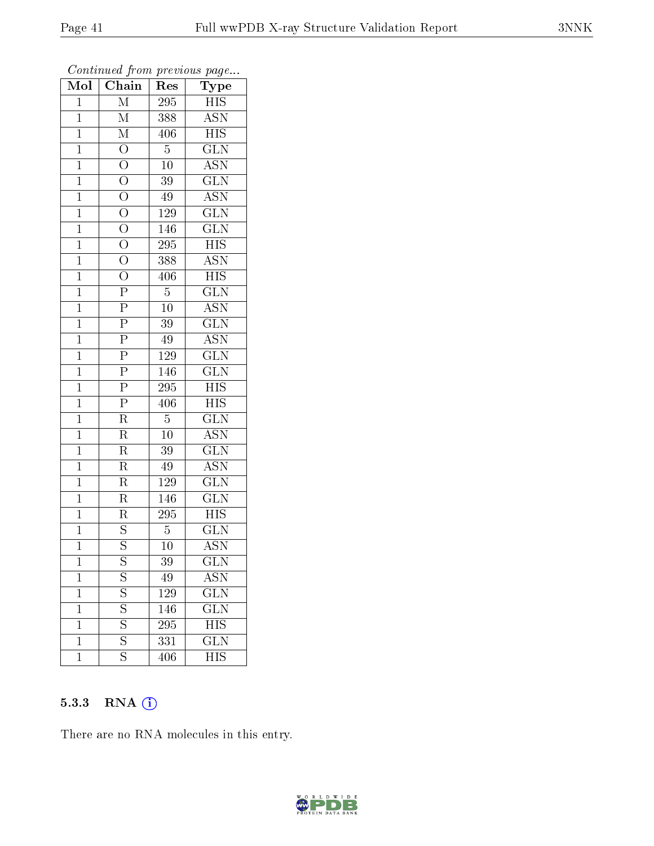| $\overline{\text{Mol}}$ | $\cdots$ $\cdots$<br>$\overline{\text{Chain}}$                                                          | r -<br>Res       | $\mathbf{r}$ $\mathbf{v}$<br>Type |
|-------------------------|---------------------------------------------------------------------------------------------------------|------------------|-----------------------------------|
| $\mathbf 1$             | $\mathbf{M}$                                                                                            | 295              | HIS                               |
| $\mathbf{1}$            | $\overline{\mathrm{M}}$                                                                                 | 388              | <b>ASN</b>                        |
| $\overline{1}$          | $\overline{\mathrm{M}}$                                                                                 | 406              | <b>HIS</b>                        |
| $\mathbf{1}$            | $\overline{\mathrm{o}}$                                                                                 | $\overline{5}$   | $\overline{\text{GLN}}$           |
| $\overline{1}$          | $\overline{O}$                                                                                          | $\overline{10}$  | $\overline{\mathrm{ASN}}$         |
| $\mathbf 1$             |                                                                                                         | 39               | $\overline{\text{GLN}}$           |
| $\overline{1}$          | $\frac{\overline{O}}{O}$                                                                                | $\rm 49$         | $\mathrm{\overline{ASN}}$         |
| $\mathbf{1}$            |                                                                                                         | 129              | $\overline{\text{GLN}}$           |
| $\overline{1}$          |                                                                                                         | 146              | $\widetilde{{\rm GLN}}$           |
| $\mathbf{1}$            |                                                                                                         | 295              | $\overline{HIS}$                  |
| $\mathbf{1}$            | $\frac{\overline{O}}{\overline{O}}$ $\frac{\overline{O}}{\overline{O}}$                                 | 388              | $\rm \overline{ASN}$              |
| $\mathbf{1}$            |                                                                                                         | 406              | $\overline{\mathrm{HIS}}$         |
| $\overline{1}$          | $\frac{\overline{O}}{\overline{P}}$                                                                     | $\overline{5}$   | $\overline{\text{GLN}}$           |
| $\mathbf{1}$            |                                                                                                         | 10               | $\overline{\mathrm{ASN}}$         |
| $\overline{1}$          |                                                                                                         | 39               | $\overline{\text{GLN}}$           |
| $\mathbf{1}$            |                                                                                                         | 49               | <b>ASN</b>                        |
| $\mathbf{1}$            | $\frac{\overline{P}}{\overline{P}} \frac{\overline{P}}{\overline{P}} \frac{\overline{P}}{\overline{P}}$ | 129              | $\overline{\text{GLN}}$           |
| $\overline{1}$          |                                                                                                         | 146              | <b>GLN</b>                        |
| $\overline{1}$          |                                                                                                         | $\overline{295}$ | $H\overline{IS}$                  |
| $\overline{1}$          |                                                                                                         | 406              | $\overline{HIS}$                  |
| $\mathbf{1}$            | $\overline{\mathrm{R}}$                                                                                 | $\overline{5}$   | $\overline{\text{GLN}}$           |
| $\overline{1}$          | $\overline{\mathrm{R}}$                                                                                 | $\overline{10}$  | $\overline{\text{ASN}}$           |
| $\mathbf 1$             | R                                                                                                       | 39               | $\overline{\text{GLN}}$           |
| $\overline{1}$          | $\overline{\mathrm{R}}$                                                                                 | 49               | $\overline{\mathrm{ASN}}$         |
| $\overline{1}$          | $\overline{\mathrm{R}}$                                                                                 | 129              | $\overline{\text{GLN}}$           |
| $\overline{1}$          | $\overline{\mathrm{R}}$                                                                                 | 146              | <b>GLN</b>                        |
| $\mathbf{1}$            | $\overline{\mathrm{R}}$                                                                                 | 295              | <b>HIS</b>                        |
| $\overline{1}$          | $\frac{S}{S}$                                                                                           | $\overline{5}$   | $\rm G\overline{LN}$              |
| $\overline{1}$          |                                                                                                         | 10               | $\overline{\mathrm{ASN}}$         |
| 1                       | $\mathbf S$                                                                                             | 39               | $_{\rm GLN}$                      |
| $\mathbf{1}$            | $\overline{\mathrm{s}}$                                                                                 | 49               | $A\overline{SN}$                  |
| $\mathbf{1}$            | $\overline{\mathrm{s}}$                                                                                 | 129              | $\overline{\text{GLN}}$           |
| $\mathbf{1}$            | $\overline{S}$                                                                                          | 146              | $\overline{\text{GLN}}$           |
| $\overline{1}$          | $\overline{\mathrm{s}}$                                                                                 | 295              | $\overline{\rm HIS}$              |
| $\mathbf{1}$            | $\overline{\mathrm{s}}$                                                                                 | 331              | $_{\rm GLN}$                      |
| $\mathbf 1$             | $\overline{\mathrm{s}}$                                                                                 | 406              | $\overline{\mathrm{HIS}}$         |

Continued from previous page...

## 5.3.3 RNA (1)

There are no RNA molecules in this entry.

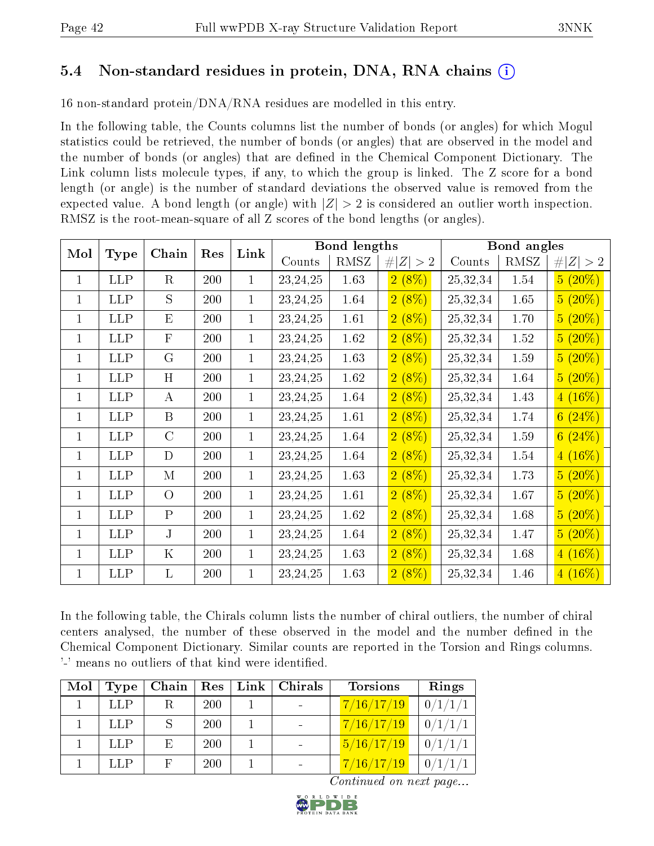# 5.4 Non-standard residues in protein, DNA, RNA chains (i)

16 non-standard protein/DNA/RNA residues are modelled in this entry.

In the following table, the Counts columns list the number of bonds (or angles) for which Mogul statistics could be retrieved, the number of bonds (or angles) that are observed in the model and the number of bonds (or angles) that are dened in the Chemical Component Dictionary. The Link column lists molecule types, if any, to which the group is linked. The Z score for a bond length (or angle) is the number of standard deviations the observed value is removed from the expected value. A bond length (or angle) with  $|Z| > 2$  is considered an outlier worth inspection. RMSZ is the root-mean-square of all Z scores of the bond lengths (or angles).

| Mol          |             | Chain          | Res | Link         |            | <b>Bond lengths</b> |             |          | Bond angles |             |
|--------------|-------------|----------------|-----|--------------|------------|---------------------|-------------|----------|-------------|-------------|
|              | <b>Type</b> |                |     |              | Counts     | RMSZ                | # $ Z  > 2$ | Counts   | RMSZ        | Z  > 2<br># |
| 1            | <b>LLP</b>  | R              | 200 | $\mathbf{1}$ | 23, 24, 25 | 1.63                | $2(8\%)$    | 25,32,34 | 1.54        | $5(20\%)$   |
| 1            | <b>LLP</b>  | S              | 200 | $\mathbf{1}$ | 23, 24, 25 | 1.64                | $2(8\%)$    | 25,32,34 | 1.65        | $5(20\%)$   |
| $\mathbf{1}$ | <b>LLP</b>  | E              | 200 | $\mathbf{1}$ | 23, 24, 25 | 1.61                | $2(8\%)$    | 25,32,34 | 1.70        | $5(20\%)$   |
| $\mathbf{1}$ | <b>LLP</b>  | $\mathbf F$    | 200 | $\mathbf{1}$ | 23, 24, 25 | 1.62                | $2(8\%)$    | 25,32,34 | $1.52\,$    | $5(20\%)$   |
| 1            | <b>LLP</b>  | $\mathbf G$    | 200 | $\mathbf{1}$ | 23, 24, 25 | 1.63                | $2(8\%)$    | 25,32,34 | 1.59        | $5(20\%)$   |
| 1            | <b>LLP</b>  | H              | 200 | $\mathbf{1}$ | 23, 24, 25 | 1.62                | $2(8\%)$    | 25,32,34 | 1.64        | $5(20\%)$   |
| $\mathbf{1}$ | <b>LLP</b>  | $\bf{A}$       | 200 | $\mathbf{1}$ | 23, 24, 25 | 1.64                | $2(8\%)$    | 25,32,34 | 1.43        | $4(16\%)$   |
| $\mathbf{1}$ | <b>LLP</b>  | $\mathbf{B}$   | 200 | $\mathbf{1}$ | 23, 24, 25 | 1.61                | $2(8\%)$    | 25,32,34 | 1.74        | 6(24%)      |
| 1            | <b>LLP</b>  | $\mathcal{C}$  | 200 | $\mathbf{1}$ | 23, 24, 25 | 1.64                | $2(8\%)$    | 25,32,34 | 1.59        | 6(24%)      |
| 1            | LLP         | D              | 200 | $\mathbf{1}$ | 23, 24, 25 | $1.64\,$            | $2(8\%)$    | 25,32,34 | 1.54        | $4(16\%)$   |
| $\mathbf{1}$ | <b>LLP</b>  | М              | 200 | $\mathbf{1}$ | 23, 24, 25 | 1.63                | $2(8\%)$    | 25,32,34 | 1.73        | $5(20\%)$   |
| $\mathbf{1}$ | <b>LLP</b>  | $\overline{O}$ | 200 | $\mathbf{1}$ | 23, 24, 25 | 1.61                | $2(8\%)$    | 25,32,34 | 1.67        | $5(20\%)$   |
| $\mathbf{1}$ | <b>LLP</b>  | $\mathbf{P}$   | 200 | $\mathbf{1}$ | 23, 24, 25 | 1.62                | $2(8\%)$    | 25,32,34 | 1.68        | $5(20\%)$   |
| 1            | <b>LLP</b>  | $J_{\cdot}$    | 200 | $\mathbf{1}$ | 23, 24, 25 | 1.64                | $2(8\%)$    | 25,32,34 | 1.47        | $5(20\%)$   |
| $\mathbf{1}$ | <b>LLP</b>  | $\mathbf K$    | 200 | $\mathbf{1}$ | 23, 24, 25 | 1.63                | 2(8%)       | 25,32,34 | 1.68        | $4(16\%)$   |
| $\mathbf{1}$ | <b>LLP</b>  | $\mathbf{L}$   | 200 | $\mathbf{1}$ | 23, 24, 25 | $1.63\,$            | $2(8\%)$    | 25,32,34 | 1.46        | $4(16\%)$   |

In the following table, the Chirals column lists the number of chiral outliers, the number of chiral centers analysed, the number of these observed in the model and the number defined in the Chemical Component Dictionary. Similar counts are reported in the Torsion and Rings columns. '-' means no outliers of that kind were identified.

| Mol | <b>Type</b> | Chain | . Res $^{\circ}$ | Link | Chirals | <b>Torsions</b>                         | Rings   |
|-----|-------------|-------|------------------|------|---------|-----------------------------------------|---------|
|     | LLP         | R.    | <b>200</b>       |      |         | 7/16/17/19                              | 0/1/1/1 |
|     | LLP         |       | <b>200</b>       |      |         | 7/16/17/19                              | 0/1/1/1 |
|     | LLP         | E.    | <b>200</b>       |      |         | 5/16/17/19                              | 0/1/1/1 |
|     | LLP         |       | <b>200</b>       |      |         | $\left\lfloor 7/16/17/19 \right\rfloor$ | 0/1/1/1 |

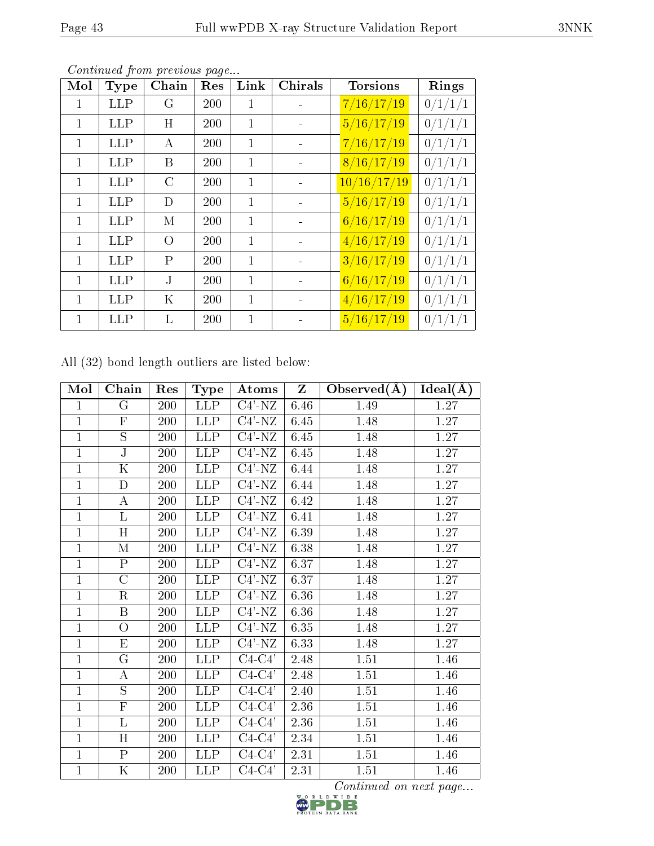|--|--|

| Mol          | Type       | ${\bf Chain}$ | Res | Link         | Chirals | <b>Torsions</b> | Rings   |
|--------------|------------|---------------|-----|--------------|---------|-----------------|---------|
| 1            | <b>LLP</b> | G             | 200 | 1            |         | 7/16/17/19      | 0/1/1/1 |
| $\mathbf{1}$ | LLP        | Η             | 200 | 1            |         | 5/16/17/19      | 0/1/1/1 |
| 1            | <b>LLP</b> | А             | 200 | 1            |         | 7/16/17/19      | 0/1/1/1 |
| 1            | <b>LLP</b> | Β             | 200 | 1            |         | 8/16/17/19      | 0/1/1/1 |
| $\mathbf{1}$ | <b>LLP</b> | $\rm C$       | 200 | 1            |         | 10/16/17/19     | 0/1/1/1 |
| 1            | <b>LLP</b> | D             | 200 | $\mathbf{1}$ |         | 5/16/17/19      | 0/1/1/1 |
| $\mathbf{1}$ | <b>LLP</b> | М             | 200 | 1            |         | 6/16/17/19      | 0/1/1/1 |
| $\mathbf{1}$ | LLP        | $\Omega$      | 200 | 1            |         | 4/16/17/19      | 0/1/1/1 |
| $\mathbf{1}$ | <b>LLP</b> | P             | 200 | 1            |         | 3/16/17/19      | 0/1/1/1 |
| $\mathbf{1}$ | LLP        | J.            | 200 | $\mathbf{1}$ |         | 6/16/17/19      | 0/1/1/1 |
| 1            | <b>LLP</b> | Κ             | 200 | $\mathbf{1}$ |         | 4/16/17/19      | 0/1/1/1 |
| 1            | <b>LLP</b> | L             | 200 | 1            |         | 5/16/17/19      | 0/1/1/1 |

All (32) bond length outliers are listed below:

| Mol            | Chain                   | Res | <b>Type</b>             | Atoms               | $\mathbf{Z}$ | Observed $(A)$ | $Ideal(\AA)$ |
|----------------|-------------------------|-----|-------------------------|---------------------|--------------|----------------|--------------|
| $\mathbf{1}$   | $\mathbf G$             | 200 | <b>LLP</b>              | $C4'$ -NZ           | 6.46         | 1.49           | 1.27         |
| $\mathbf{1}$   | $\overline{F}$          | 200 | <b>LLP</b>              | $C4'$ -NZ           | 6.45         | 1.48           | 1.27         |
| $\mathbf{1}$   | $\overline{S}$          | 200 | <b>LLP</b>              | $C4'$ -NZ           | 6.45         | 1.48           | 1.27         |
| $\mathbf{1}$   | $\overline{\mathrm{J}}$ | 200 | <b>LLP</b>              | $C4'$ -NZ           | 6.45         | 1.48           | 1.27         |
| $\overline{1}$ | K                       | 200 | <b>LLP</b>              | $\overline{C4'$ -NZ | 6.44         | 1.48           | 1.27         |
| $\mathbf{1}$   | D                       | 200 | <b>LLP</b>              | $C4'$ -NZ           | 6.44         | 1.48           | 1.27         |
| $\overline{1}$ | А                       | 200 | <b>LLP</b>              | $\overline{C4'$ -NZ | 6.42         | 1.48           | 1.27         |
| $\mathbf{1}$   | L                       | 200 | <b>LLP</b>              | $C4'$ -NZ           | 6.41         | 1.48           | 1.27         |
| $\mathbf{1}$   | H                       | 200 | <b>LLP</b>              | $C4'$ -NZ           | 6.39         | 1.48           | 1.27         |
| $\mathbf{1}$   | M                       | 200 | <b>LLP</b>              | $C4'$ -NZ           | 6.38         | 1.48           | 1.27         |
| $\mathbf{1}$   | $\mathbf P$             | 200 | <b>LLP</b>              | $\overline{C4'-}NZ$ | 6.37         | 1.48           | 1.27         |
| $\mathbf{1}$   | $\mathcal{C}$           | 200 | <b>LLP</b>              | $C4'$ -NZ           | 6.37         | 1.48           | 1.27         |
| $\mathbf{1}$   | $\rm R$                 | 200 | <b>LLP</b>              | $C4'$ -NZ           | 6.36         | 1.48           | 1.27         |
| $\mathbf{1}$   | B                       | 200 | <b>LLP</b>              | $C4'$ -NZ           | 6.36         | 1.48           | 1.27         |
| $\mathbf 1$    | O                       | 200 | <b>LLP</b>              | $C4'$ -NZ           | 6.35         | 1.48           | 1.27         |
| $\mathbf{1}$   | E                       | 200 | <b>LLP</b>              | $C4'$ -NZ           | 6.33         | 1.48           | 1.27         |
| $\mathbf{1}$   | $\mathbf G$             | 200 | <b>LLP</b>              | $C4-C4'$            | 2.48         | 1.51           | 1.46         |
| $\mathbf{1}$   | А                       | 200 | <b>LLP</b>              | $C4-C4'$            | 2.48         | 1.51           | 1.46         |
| $\mathbf{1}$   | S                       | 200 | $\overline{\text{LIP}}$ | $C4-C4'$            | 2.40         | 1.51           | 1.46         |
| $\mathbf{1}$   | $\overline{F}$          | 200 | <b>LLP</b>              | $C4-C4'$            | 2.36         | 1.51           | 1.46         |
| $\mathbf{1}$   | $\overline{\mathrm{L}}$ | 200 | <b>LLP</b>              | $C4-C4'$            | 2.36         | 1.51           | 1.46         |
| $\mathbf{1}$   | $\overline{H}$          | 200 | <b>LLP</b>              | $C4-C4'$            | 2.34         | 1.51           | 1.46         |
| $\mathbf{1}$   | $\mathbf{P}$            | 200 | <b>LLP</b>              | $C4-C4'$            | 2.31         | 1.51           | 1.46         |
| $\mathbf{1}$   | $\overline{\mathrm{K}}$ | 200 | <b>LLP</b>              | C4-C4'              | 2.31         | 1.51           | 1.46         |

 $\overline{\text{Continued on next page...}}$ <br> $\overline{\text{D}}$ <br> $\overline{\text{D}}$ <br> $\overline{\text{B}}$ <br> $\overline{\text{B}}$ 

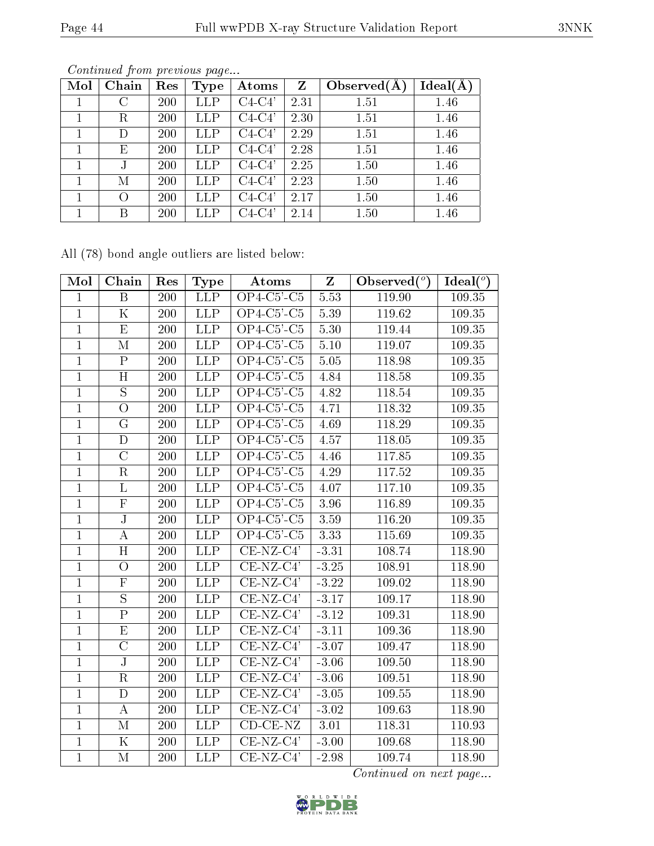| Mol | Chain    | Res | Type        | Atoms               | Z    | Observed $(A)$ | $Ideal(\AA)$ |
|-----|----------|-----|-------------|---------------------|------|----------------|--------------|
|     | С        | 200 | <b>LLP</b>  | $\overline{C4-C4'}$ | 2.31 | 1.51           | 1.46         |
|     | R        | 200 | <b>LLP</b>  | $C4-C4'$            | 2.30 | 1.51           | 1.46         |
|     |          | 200 | LLP         | $C4-C4'$            | 2.29 | 1.51           | 1.46         |
|     | Е        | 200 | LLP         | $C4-C4'$            | 2.28 | 1.51           | 1.46         |
|     | J        | 200 | LLP         | $C4-C4'$            | 2.25 | 1.50           | 1.46         |
|     | М        | 200 | LLP         | $C4-C4'$            | 2.23 | 1.50           | 1.46         |
|     | $\left($ | 200 | <b>LLP</b>  | $C4-C4'$            | 2.17 | 1.50           | 1.46         |
|     | Β        | 200 | ${\rm LLP}$ | $C4-C4'$            | 2.14 | 1.50           | 1.46         |

All (78) bond angle outliers are listed below:

| Mol            | Chain                   | Res | Type                    | Atoms                                 | $Z_{\rm}$ | Observed $(°)$ | Ideal $(°)$ |
|----------------|-------------------------|-----|-------------------------|---------------------------------------|-----------|----------------|-------------|
| $\mathbf{1}$   | $\overline{\mathrm{B}}$ | 200 | <b>LLP</b>              | $OP4-C5'$ -C5                         | 5.53      | 119.90         | 109.35      |
| $\mathbf{1}$   | K                       | 200 | <b>LLP</b>              | $OP4-C5'$ -C5                         | 5.39      | 119.62         | 109.35      |
| $\mathbf{1}$   | $\overline{\mathrm{E}}$ | 200 | $\overline{\text{LIP}}$ | $\overline{OP4\text{-}C5}$ '-C5       | 5.30      | 119.44         | 109.35      |
| $\overline{1}$ | $\mathbf{M}$            | 200 | <b>LLP</b>              | $OP4-C5$ '-C5                         | $5.10\,$  | 119.07         | 109.35      |
| $\mathbf{1}$   | $\overline{\mathrm{P}}$ | 200 | $\overline{\text{LIP}}$ | $OP4-C5$ <sup>'</sup> -C <sub>5</sub> | 5.05      | 118.98         | 109.35      |
| $\mathbf{1}$   | $\overline{H}$          | 200 | <b>LLP</b>              | $OP4-C5'$ - $C5$                      | 4.84      | 118.58         | 109.35      |
| $\mathbf{1}$   | $\overline{S}$          | 200 | <b>LLP</b>              | $OP4-C5$ ' $-C5$                      | 4.82      | 118.54         | 109.35      |
| $\mathbf{1}$   | $\overline{O}$          | 200 | <b>LLP</b>              | $\overline{OP4\text{-}C5}$ '-C5       | 4.71      | 118.32         | 109.35      |
| $\mathbf{1}$   | $\overline{\mathrm{G}}$ | 200 | <b>LLP</b>              | $OP4-C5'$ -C5                         | 4.69      | 118.29         | 109.35      |
| $\overline{1}$ | $\mathbf{D}$            | 200 | <b>LLP</b>              | $OP4-C5$ <sup>'</sup> -C <sub>5</sub> | 4.57      | 118.05         | 109.35      |
| $\mathbf{1}$   | $\overline{\rm C}$      | 200 | <b>LLP</b>              | $OP4-C5'$ -C5                         | 4.46      | 117.85         | 109.35      |
| $\mathbf{1}$   | R                       | 200 | <b>LLP</b>              | $OP4$ -C5'-C5                         | 4.29      | 117.52         | 109.35      |
| $\mathbf{1}$   | L                       | 200 | <b>LLP</b>              | $OP4$ -C5'-C5                         | 4.07      | 117.10         | 109.35      |
| $\mathbf{1}$   | $\mathbf F$             | 200 | <b>LLP</b>              | $OP4-C5'$ - $C5$                      | 3.96      | 116.89         | 109.35      |
| $\overline{1}$ | ${\bf J}$               | 200 | <b>LLP</b>              | $OP4-C5'$ - $C5$                      | 3.59      | 116.20         | 109.35      |
| $\mathbf{1}$   | А                       | 200 | $\overline{\text{LLP}}$ | $OP4-C5'$ -C5                         | 3.33      | 115.69         | 109.35      |
| $\mathbf{1}$   | H                       | 200 | <b>LLP</b>              | $CE-NZ-C4'$                           | $-3.31$   | 108.74         | 118.90      |
| $\mathbf{1}$   | $\overline{O}$          | 200 | <b>LLP</b>              | $CE-NZ-C4'$                           | $-3.25$   | 108.91         | 118.90      |
| $\mathbf{1}$   | $\overline{\mathrm{F}}$ | 200 | <b>LLP</b>              | $CE-NZ-C4'$                           | $-3.22$   | 109.02         | 118.90      |
| $\mathbf{1}$   | $\overline{S}$          | 200 | <b>LLP</b>              | $CE-NZ-C4'$                           | $-3.17$   | 109.17         | 118.90      |
| $\overline{1}$ | $\overline{P}$          | 200 | LLP                     | $CE-NZ-C4'$                           | $-3.12$   | 109.31         | 118.90      |
| $\mathbf{1}$   | $\overline{\mathrm{E}}$ | 200 | <b>LLP</b>              | $CE-NZ-C4'$                           | $-3.11$   | 109.36         | 118.90      |
| $\overline{1}$ | $\overline{\rm C}$      | 200 | <b>LLP</b>              | $CE-NZ-C4'$                           | $-3.07$   | 109.47         | 118.90      |
| $\overline{1}$ | $\overline{\rm J}$      | 200 | <b>LLP</b>              | $CE-NZ-C4'$                           | $-3.06$   | 109.50         | 118.90      |
| $\mathbf{1}$   | $\mathbf R$             | 200 | <b>LLP</b>              | $CE-NZ-C4'$                           | $-3.06$   | 109.51         | 118.90      |
| $\mathbf{1}$   | $\mathbf D$             | 200 | <b>LLP</b>              | $CE-NZ-C4'$                           | $-3.05$   | 109.55         | 118.90      |
| $\mathbf{1}$   | $\boldsymbol{A}$        | 200 | $\overline{\text{LLP}}$ | $CE-NZ-C4'$                           | $-3.02$   | 109.63         | 118.90      |
| $\mathbf{1}$   | $\mathbf M$             | 200 | <b>LLP</b>              | $CD$ - $CE$ - $NZ$                    | 3.01      | 118.31         | 110.93      |
| $\mathbf{1}$   | K                       | 200 | <b>LLP</b>              | CE-NZ-C4'                             | $-3.00$   | 109.68         | 118.90      |
| $\mathbf{1}$   | M                       | 200 | <b>LLP</b>              | $CE-NZ-C4'$                           | $-2.98$   | 109.74         | 118.90      |

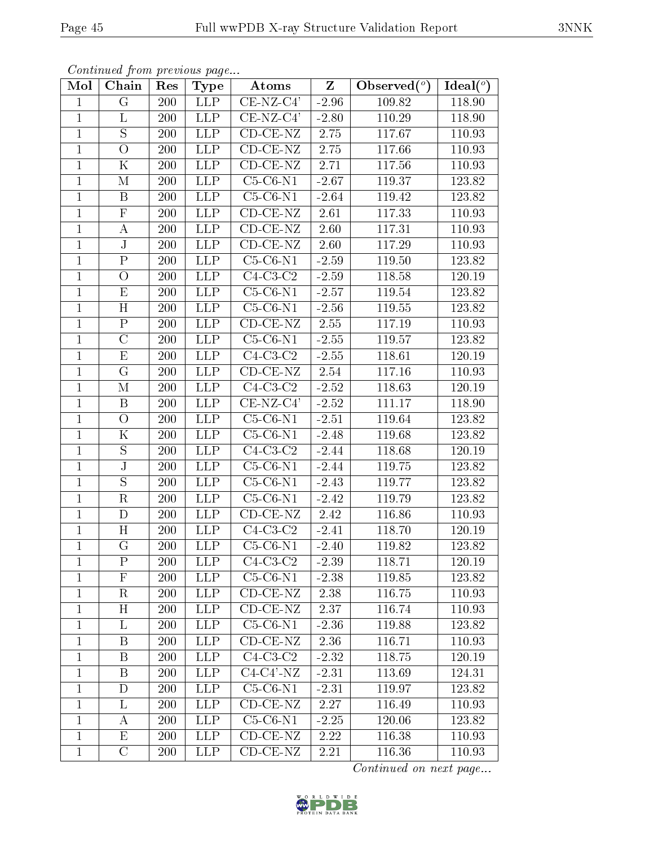| Mol            | Chain                   | Res | <b>Type</b>      | Atoms                         | Z        | Observed $(°)$ | Ideal(°) |
|----------------|-------------------------|-----|------------------|-------------------------------|----------|----------------|----------|
| 1              | $\rm G$                 | 200 | <b>LLP</b>       | $CE-NZ-C4'$                   | $-2.96$  | 109.82         | 118.90   |
| $\mathbf{1}$   | L                       | 200 | <b>LLP</b>       | $CE-NZ-C4'$                   | $-2.80$  | 110.29         | 118.90   |
| $\mathbf{1}$   | S                       | 200 | <b>LLP</b>       | $CD-CE-NZ$                    | 2.75     | 117.67         | 110.93   |
| $\mathbf{1}$   | $\bigcirc$              | 200 | <b>LLP</b>       | $\overline{\text{CD-CE-NZ}}$  | $2.75\,$ | 117.66         | 110.93   |
| $\mathbf{1}$   | $\mathbf K$             | 200 | <b>LLP</b>       | $\overline{\text{CD-CE}}$ -NZ | 2.71     | 117.56         | 110.93   |
| $\mathbf{1}$   | М                       | 200 | <b>LLP</b>       | $C5-C6-N1$                    | $-2.67$  | $119.37\,$     | 123.82   |
| $\mathbf{1}$   | B                       | 200 | <b>LLP</b>       | $C5-C6-N1$                    | $-2.64$  | 119.42         | 123.82   |
| $\mathbf{1}$   | $\overline{F}$          | 200 | <b>LLP</b>       | $\overline{\text{CD-CE-NZ}}$  | 2.61     | 117.33         | 110.93   |
| $\mathbf{1}$   | $\bf{A}$                | 200 | <b>LLP</b>       | $CD$ - $CE$ - $NZ$            | 2.60     | 117.31         | 110.93   |
| $\overline{1}$ | $\overline{\text{J}}$   | 200 | <b>LLP</b>       | $CD-CE-NZ$                    | 2.60     | 117.29         | 110.93   |
| $\mathbf{1}$   | $\mathbf P$             | 200 | <b>LLP</b>       | $C5-C6-N1$                    | $-2.59$  | 119.50         | 123.82   |
| $\mathbf{1}$   | $\overline{O}$          | 200 | <b>LLP</b>       | $C4-C3-C2$                    | $-2.59$  | 118.58         | 120.19   |
| $\mathbf{1}$   | E                       | 200 | <b>LLP</b>       | $C5-C6-N1$                    | $-2.57$  | 119.54         | 123.82   |
| $\mathbf{1}$   | H                       | 200 | $\overline{L}LP$ | $C5-C6-N1$                    | $-2.56$  | 119.55         | 123.82   |
| $\mathbf 1$    | $\overline{\mathrm{P}}$ | 200 | <b>LLP</b>       | $CD$ - $CE$ - $NZ$            | 2.55     | 117.19         | 110.93   |
| $\mathbf{1}$   | $\mathcal{C}$           | 200 | <b>LLP</b>       | $C5-C6-N1$                    | $-2.55$  | 119.57         | 123.82   |
| $\mathbf{1}$   | E                       | 200 | <b>LLP</b>       | $C4-C3-C2$                    | $-2.55$  | 118.61         | 120.19   |
| $\mathbf{1}$   | $\mathbf G$             | 200 | <b>LLP</b>       | $CD$ - $CE$ - $NZ$            | 2.54     | 117.16         | 110.93   |
| $\mathbf{1}$   | М                       | 200 | <b>LLP</b>       | $C4-C3-C2$                    | $-2.52$  | 118.63         | 120.19   |
| $\mathbf{1}$   | $\boldsymbol{B}$        | 200 | <b>LLP</b>       | $CE-NZ-C4'$                   | $-2.52$  | 111.17         | 118.90   |
| $\mathbf{1}$   | $\overline{O}$          | 200 | <b>LLP</b>       | $C5-C6-N1$                    | $-2.51$  | 119.64         | 123.82   |
| $\mathbf{1}$   | $\mathbf K$             | 200 | <b>LLP</b>       | $C5-C6-N1$                    | $-2.48$  | 119.68         | 123.82   |
| $\mathbf{1}$   | $\mathbf S$             | 200 | <b>LLP</b>       | $C4-C3-C2$                    | $-2.44$  | 118.68         | 120.19   |
| $\mathbf{1}$   | $\overline{\rm J}$      | 200 | <b>LLP</b>       | $C5-C6-N1$                    | $-2.44$  | 119.75         | 123.82   |
| $\mathbf{1}$   | S                       | 200 | <b>LLP</b>       | $C5-C6-N1$                    | $-2.43$  | 119.77         | 123.82   |
| $\mathbf{1}$   | $\mathbf R$             | 200 | <b>LLP</b>       | $C5-C6-N1$                    | $-2.42$  | 119.79         | 123.82   |
| $\mathbf{1}$   | D                       | 200 | <b>LLP</b>       | $CD$ - $CE$ - $NZ$            | 2.42     | 116.86         | 110.93   |
| $\mathbf{1}$   | H                       | 200 | <b>LLP</b>       | $C4-C3-C2$                    | $-2.41$  | 118.70         | 120.19   |
| $\mathbf{1}$   | $\overline{G}$          | 200 | <b>LLP</b>       | $C5-C6-N1$                    | $-2.40$  | 119.82         | 123.82   |
| T              | $\mathbf{P}$            | 200 | LLP              | $C4-C3-C2$                    | $-2.39$  | 118.71         | 120.19   |
| 1              | $\mathbf{F}$            | 200 | <b>LLP</b>       | $C5-C6-N1$                    | $-2.38$  | 119.85         | 123.82   |
| $\mathbf{1}$   | $\mathbf R$             | 200 | <b>LLP</b>       | $CD-CE-NZ$                    | 2.38     | 116.75         | 110.93   |
| $\mathbf{1}$   | H                       | 200 | <b>LLP</b>       | $CD-CE-NZ$                    | 2.37     | 116.74         | 110.93   |
| $\mathbf 1$    | L                       | 200 | <b>LLP</b>       | $C5-C6-N1$                    | $-2.36$  | 119.88         | 123.82   |
| 1              | B                       | 200 | <b>LLP</b>       | $CD$ - $CE$ - $NZ$            | 2.36     | 116.71         | 110.93   |
| 1              | B                       | 200 | <b>LLP</b>       | $C4-C3-C2$                    | $-2.32$  | 118.75         | 120.19   |
| $\mathbf{1}$   | B                       | 200 | <b>LLP</b>       | $C4-C4'$ -NZ                  | $-2.31$  | 113.69         | 124.31   |
| $\mathbf{1}$   | D                       | 200 | <b>LLP</b>       | $C5-C6-N1$                    | $-2.31$  | 119.97         | 123.82   |
| $\mathbf{1}$   | L                       | 200 | <b>LLP</b>       | $CD$ - $CE$ - $NZ$            | 2.27     | 116.49         | 110.93   |
| $\mathbf 1$    | А                       | 200 | <b>LLP</b>       | $C5-C6-N1$                    | $-2.25$  | 120.06         | 123.82   |
| $\mathbf{1}$   | E                       | 200 | <b>LLP</b>       | $CD-CE-NZ$                    | 2.22     | 116.38         | 110.93   |
| $\mathbf{1}$   | $\mathcal C$            | 200 | <b>LLP</b>       | $CD-CE-NZ$                    | 2.21     | 116.36         | 110.93   |

Continued from previous page...

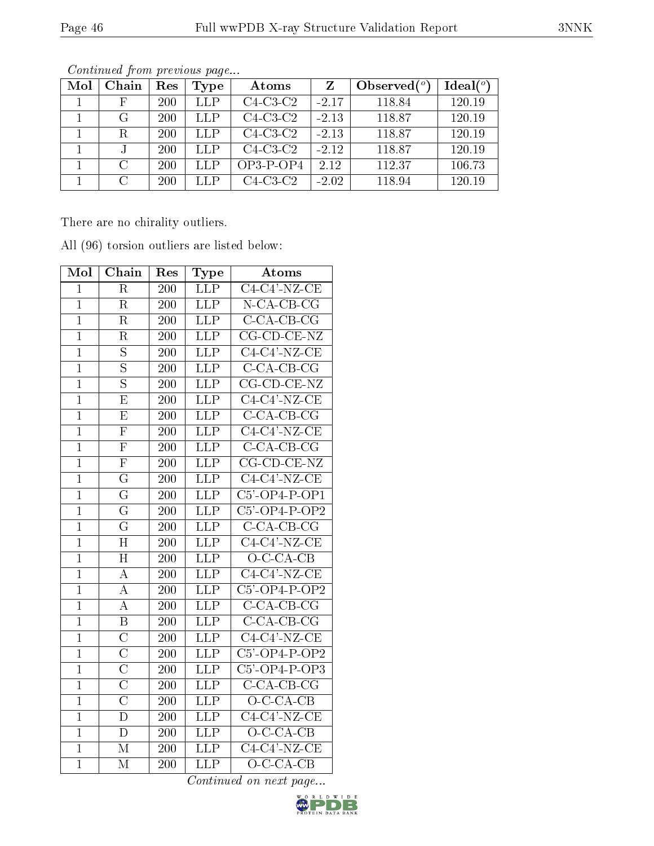| Mol | Chain                       | Res        | Type | Atoms      | Z       | Observed $(°)$ | Ideal(°) |
|-----|-----------------------------|------------|------|------------|---------|----------------|----------|
|     | $_{\rm F}$                  | <b>200</b> | LLP  | $C4-C3-C2$ | $-2.17$ | 118.84         | 120.19   |
|     | G                           | 200        | LLP  | $C4-C3-C2$ | $-2.13$ | 118.87         | 120.19   |
|     | R                           | 200        | LLP  | $C4-C3-C2$ | $-2.13$ | 118.87         | 120.19   |
|     |                             | 200        | LLP  | $C4-C3-C2$ | $-2.12$ | 118.87         | 120.19   |
|     | $\mathcal{C}_{\mathcal{C}}$ | 200        | LLP  | $OP3-POP4$ | 2.12    | 112.37         | 106.73   |
|     | $\cap$                      | 200        | LLP  | $C4-C3-C2$ | $-2.02$ | 118.94         | 120.19   |

There are no chirality outliers.

| Mol            | Chain                   | Res              | Type                    | Atoms                                                     |
|----------------|-------------------------|------------------|-------------------------|-----------------------------------------------------------|
| $\mathbf{1}$   | $\rm R$                 | 200              | <b>LLP</b>              | $C4-C4'$ -NZ-CE                                           |
| $\mathbf{1}$   | $\overline{\mathrm{R}}$ | 200              | <b>LLP</b>              | $N$ -CA-CB-CG                                             |
| $\overline{1}$ | R                       | 200              | LLP                     | $\overline{C\text{-CA-CB-CG}}$                            |
| $\overline{1}$ | R                       | 200              | <b>LLP</b>              | $CG$ - $CD$ - $CE$ - $NZ$                                 |
| $\mathbf{1}$   | S                       | 200              | <b>LLP</b>              | $C4-C4'$ -NZ-CE                                           |
| $\overline{1}$ | $\overline{\mathrm{s}}$ | 200              | $\overline{\text{LLP}}$ | $C$ -CA-CB-CG                                             |
| $\mathbf{1}$   | $\overline{\mathrm{S}}$ | 200              | LLP                     | $CG$ - $CD$ - $CE$ - $NZ$                                 |
| $\mathbf 1$    | E                       | 200              | <b>LLP</b>              | $C4-C4'$ -NZ-CE                                           |
| $\overline{1}$ | $\overline{\mathrm{E}}$ | 200              | LLP                     | $C$ -CA-CB-CG                                             |
| $\mathbf{1}$   | $\overline{\mathrm{F}}$ | 200              | <b>LLP</b>              | $C4-C4'$ -NZ-CE                                           |
| $\mathbf 1$    | $\overline{\mathrm{F}}$ | 200              | $L\overline{LP}$        | $C$ - $\overline{CA}$ - $\overline{CB}$ - $\overline{CG}$ |
| $\overline{1}$ | $\overline{\mathrm{F}}$ | 200              | LLP                     | $CG$ - $CD$ - $CE$ - $NZ$                                 |
| $\mathbf{1}$   | $\overline{G}$          | 200              | <b>LLP</b>              | $C4-C4'$ -NZ-CE                                           |
| $\mathbf 1$    | $\overline{\mathrm{G}}$ | 200              | LLP                     | $C5'$ -OP4-P-OP1                                          |
| $\overline{1}$ | $\overline{\rm G}$      | 200              | <b>LLP</b>              | $C5'$ -OP4-P-OP2                                          |
| $\mathbf{1}$   | $\overline{\mathrm{G}}$ | 200              | <b>LLP</b>              | $C$ -CA-CB-CG                                             |
| $\mathbf 1$    | H                       | 200              | LLP                     | $C4-C4'$ -NZ-CE                                           |
| $\mathbf 1$    | $\overline{\rm H}$      | 200              | $\overline{\text{LIP}}$ | $O-C-CA-CB$                                               |
| $\mathbf{1}$   | A                       | 200              | <b>LLP</b>              | $C4-C4'$ -NZ-CE                                           |
| $\mathbf{1}$   | A                       | 200              | <b>LLP</b>              | $C5'$ -OP4-P-OP2                                          |
| $\overline{1}$ | А                       | 200              | LLP                     | $C$ -CA-CB-CG                                             |
| $\mathbf{1}$   | B                       | 200              | LLP                     | $C$ -CA-CB-CG                                             |
| $\mathbf 1$    | $\overline{\rm C}$      | 200              | $\overline{LIP}$        | $C4-C4'$ -NZ-CE                                           |
| $\mathbf{1}$   | $\overline{\rm C}$      | 200              | <b>LLP</b>              | $C5'$ -OP4-P-OP2                                          |
| $\mathbf{1}$   | $\overline{\text{C}}$   | 200              | <b>LLP</b>              | $C5'$ -OP4-P-OP3                                          |
| $\overline{1}$ | $\overline{\rm C}$      | 200              | $\overline{\text{LIP}}$ | $C$ -CA-CB-CG                                             |
| $\mathbf 1$    | $\overline{\rm C}$      | 200              | $\overline{\text{LLP}}$ | $O-C-CA-CB$                                               |
| $\mathbf{1}$   | $\overline{\rm D}$      | 200              | <b>LLP</b>              | $C4-C4'$ -NZ-CE                                           |
| $\mathbf 1$    | $\overline{\rm D}$      | 200              | LLP                     | $O-C-CA-CB$                                               |
| $\overline{1}$ | $\overline{\rm M}$      | $\overline{200}$ | $\overline{\text{LLP}}$ | $C4-\overline{C4'-NZ-CE}$                                 |
| $\overline{1}$ | $\overline{\mathbf{M}}$ | 200              | $\overline{\text{LLP}}$ | $O-C-CA-CB$                                               |

All (96) torsion outliers are listed below:

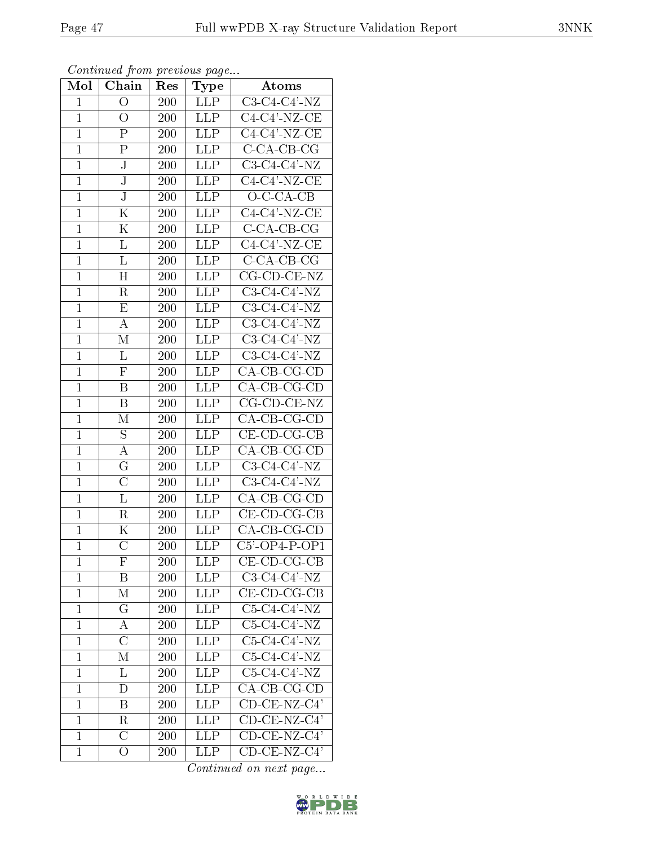|              | contenta ou promo proceso ao pago |                  |            |                           |
|--------------|-----------------------------------|------------------|------------|---------------------------|
| Mol          | Chain                             | Res <sub>1</sub> | Type       | Atoms                     |
| $\mathbf{1}$ | О                                 | 200              | LLP        | $C3-C4-C4'$ -NZ           |
| $\mathbf{1}$ | О                                 | 200              | LLP        | $C4-C4'$ -NZ-CE           |
| $\mathbf{1}$ | P                                 | 200              | LLP        | $C4-C4'$ -NZ-CE           |
| $\mathbf{1}$ | $\mathbf P$                       | 200              | <b>LLP</b> | $C$ -CA-CB-CG             |
| $\mathbf{1}$ | $\overline{\rm J}$                | 200              | LLP        | $C3-C4-C4'$ -NZ           |
| $\mathbf{1}$ | $_{\rm J}$                        | 200              | <b>LLP</b> | $C4-C4'$ -NZ-CE           |
| $\mathbf{1}$ | ${\bf J}$                         | 200              | <b>LLP</b> | $O-C-CA-CB$               |
| $\mathbf{1}$ | K                                 | 200              | <b>LLP</b> | $C4-C4'$ -NZ-CE           |
| $\mathbf{1}$ | Κ                                 | 200              | LLP        | $C$ -CA-CB-CG             |
| $\mathbf{1}$ | L                                 | 200              | <b>LLP</b> | $C4-C4'$ -NZ-CE           |
| $\mathbf{1}$ | L                                 | 200              | LLP        | $C$ -CA-CB-CG             |
| $\mathbf{1}$ | $H_{\rm}$                         | 200              | LLP        | $CG$ - $CD$ - $CE$ - $NZ$ |
| $\mathbf{1}$ | R                                 | 200              | LLP        | $C3-C4-C4'$ -NZ           |
| $\mathbf{1}$ | E                                 | 200              | <b>LLP</b> | $C3-C4-C4'$ -NZ           |
| $\mathbf{1}$ | A                                 | 200              | <b>LLP</b> | $C3-C4-C4'$ -NZ           |
| $\mathbf{1}$ | М                                 | 200              | LLP        | $C3-C4-C4'$ -NZ           |
| $\mathbf{1}$ | $\Gamma$                          | 200              | LLP        | C3-C4-C4'-NZ              |
| $\mathbf{1}$ | $\mathbf{F}$                      | 200              | LLP        | CA-CB-CG-CD               |
| $\mathbf{1}$ | B                                 | 200              | LLP        | $CA$ -CB-CG-CD            |
| $\mathbf{1}$ | B                                 | 200              | LLP        | $CG$ - $CD$ - $CE$ - $NZ$ |
| $\mathbf{1}$ | М                                 | 200              | <b>LLP</b> | $CA$ -CB-CG-CD            |
| $\mathbf{1}$ | $\mathbf S$                       | 200              | <b>LLP</b> | $CE$ - $CD$ - $CG$ - $CB$ |
| $\mathbf{1}$ | А                                 | 200              | <b>LLP</b> | CA-CB-CG-CD               |
| $\mathbf{1}$ | $\overline{\mathrm{G}}$           | 200              | <b>LLP</b> | C3-C4-C4'-NZ              |
| $\mathbf{1}$ | $\overline{\rm C}$                | 200              | LLP        | $C3-C4-C4'$ -NZ           |
| $\mathbf{1}$ | L                                 | 200              | <b>LLP</b> | CA-CB-CG-CD               |
| $\mathbf{1}$ | R                                 | 200              | <b>LLP</b> | $CE$ -CD-CG-CB            |
| $\mathbf{1}$ | Κ                                 | 200              | LLP        | CA-CB-CG-CD               |
| $\mathbf{1}$ | $\overline{\rm C}$                | 200              | LLP        | $C5'$ -OP4-P-OP1          |
| 1            | F                                 | 200              | LLP        | $CE$ -CD-CG-CB            |
| $\mathbf{1}$ | $\overline{B}$                    | 200              | <b>LLP</b> | $C3-C4-C4'$ -NZ           |
| $\mathbf{1}$ | $\mathbf{M}$                      | 200              | <b>LLP</b> | $CE$ -CD-CG-CB            |
| $\mathbf{1}$ | $\rm G$                           | 200              | <b>LLP</b> | $C5-C4-C4'$ -NZ           |
| $\mathbf{1}$ | А                                 | 200              | <b>LLP</b> | $C5-C4-C4'$ -NZ           |
| $\mathbf 1$  | $\overline{C}$                    | 200              | <b>LLP</b> | $C5-C4-C4'$ -NZ           |
| $\mathbf{1}$ | М                                 | 200              | LLP        | $C5-C4-C4'$ -NZ           |
| $\mathbf{1}$ | L                                 | 200              | <b>LLP</b> | $C5-C4-C4'$ -NZ           |
| $\mathbf{1}$ | D                                 | 200              | <b>LLP</b> | CA-CB-CG-CD               |
| $\mathbf{1}$ | B                                 | 200              | <b>LLP</b> | $CD$ -CE-NZ-C4'           |
| $\mathbf 1$  | R                                 | 200              | <b>LLP</b> | $CD$ -CE-NZ-C4'           |
| $\mathbf{1}$ | $\overline{C}$                    | 200              | <b>LLP</b> | $CD$ -CE-NZ-C4'           |

Continued from previous page...

Continued on next page...

 C 200 LLP CD-CE-NZ-C4' O 200 LLP CD-CE-NZ-C4'

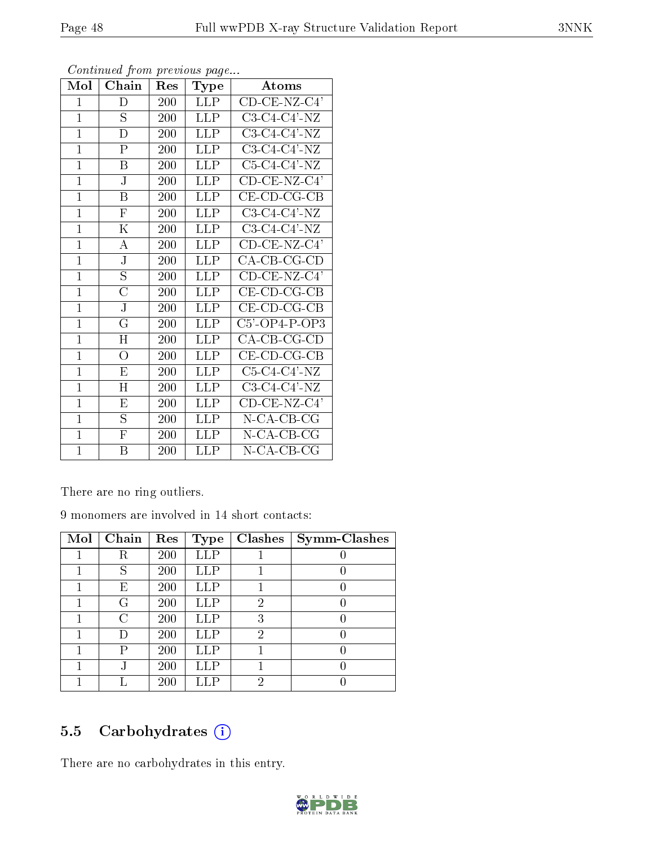| Mol            | Chain                   | $\operatorname{Res}% \left( \mathcal{N}\right) \equiv\operatorname{Res}(\mathcal{N}_{0},\mathcal{N}_{0})$ | <b>Type</b> | Atoms                     |
|----------------|-------------------------|-----------------------------------------------------------------------------------------------------------|-------------|---------------------------|
| $\mathbf{1}$   | D                       | 200                                                                                                       | <b>LLP</b>  | $CD$ -CE-NZ-C4'           |
| $\mathbf{1}$   | S                       | 200                                                                                                       | LLP         | $C3-C4-C4'$ -NZ           |
| $\mathbf{1}$   | D                       | 200                                                                                                       | LLP         | $C3-C4-C4'$ -NZ           |
| $\mathbf{1}$   | ${\bf P}$               | 200                                                                                                       | <b>LLP</b>  | $C3-C4-C4'$ -NZ           |
| $\mathbf{1}$   | B                       | 200                                                                                                       | <b>LLP</b>  | $C5-C4-C4'$ -NZ           |
| $\mathbf{1}$   | J                       | 200                                                                                                       | <b>LLP</b>  | $CD$ -CE-NZ-C4'           |
| $\mathbf{1}$   | $\boldsymbol{B}$        | 200                                                                                                       | <b>LLP</b>  | $CE$ - $CD$ - $CG$ - $CB$ |
| $\mathbf{1}$   | ${\bf F}$               | 200                                                                                                       | <b>LLP</b>  | C3-C4-C4'-NZ              |
| $\mathbf{1}$   | Κ                       | 200                                                                                                       | LLP         | $C3-C4-C4'$ -NZ           |
| $\mathbf{1}$   | А                       | 200                                                                                                       | LLP         | $CD$ -CE-NZ-C4'           |
| $\mathbf{1}$   | ${\bf J}$               | 200                                                                                                       | <b>LLP</b>  | CA-CB-CG-CD               |
| $\mathbf{1}$   | $\overline{\mathrm{S}}$ | 200                                                                                                       | LLP         | $CD$ -CE-NZ-C4'           |
| $\mathbf{1}$   | $\overline{C}$          | 200                                                                                                       | <b>LLP</b>  | $CE$ -CD-CG-CB            |
| $\mathbf{1}$   | J                       | 200                                                                                                       | LLP         | $CE$ -CD-CG-CB            |
| $\overline{1}$ | $\rm G$                 | 200                                                                                                       | <b>LLP</b>  | $C5'$ -OP4-P-OP3          |
| $\mathbf{1}$   | H                       | 200                                                                                                       | LLP         | $CA-CB-CG-CD$             |
| $\mathbf{1}$   | $\overline{O}$          | 200                                                                                                       | LLP         | $CE$ - $CD$ - $CG$ - $CB$ |
| $\mathbf{1}$   | E                       | 200                                                                                                       | LLP         | $C5-C4-C4'$ -NZ           |
| $\overline{1}$ | H                       | 200                                                                                                       | LLP.        | $C3-C4-C4'$ -NZ           |
| $\mathbf{1}$   | E                       | 200                                                                                                       | <b>LLP</b>  | $CD$ -CE-NZ-C4'           |
| $\mathbf{1}$   | S                       | 200                                                                                                       | <b>LLP</b>  | N-CA-CB-CG                |
| $\mathbf{1}$   | $\overline{\mathrm{F}}$ | 200                                                                                                       | <b>LLP</b>  | $N$ -CA-CB-CG             |
| $\mathbf{1}$   | $\boldsymbol{B}$        | 200                                                                                                       | <b>LLP</b>  | N-CA-CB-CG                |

There are no ring outliers.

9 monomers are involved in 14 short contacts:

| Mol | Chain  | Res | Type         | Clashes | <b>Symm-Clashes</b> |
|-----|--------|-----|--------------|---------|---------------------|
|     | R      | 200 | <b>LLP</b>   |         |                     |
|     | S      | 200 | LLP          |         |                     |
|     | Е      | 200 | ${\rm LLP}$  |         |                     |
|     | G      | 200 | $_{\rm LLP}$ | 2       |                     |
|     | C      | 200 | ${\rm LLP}$  | 3       |                     |
|     | $\Box$ | 200 | <b>LLP</b>   | 2       |                     |
|     | Р      | 200 | ${\rm LLP}$  |         |                     |
|     |        | 200 | ${\rm LLP}$  |         |                     |
|     |        | 200 |              | റ       |                     |

# 5.5 Carbohydrates (i)

There are no carbohydrates in this entry.

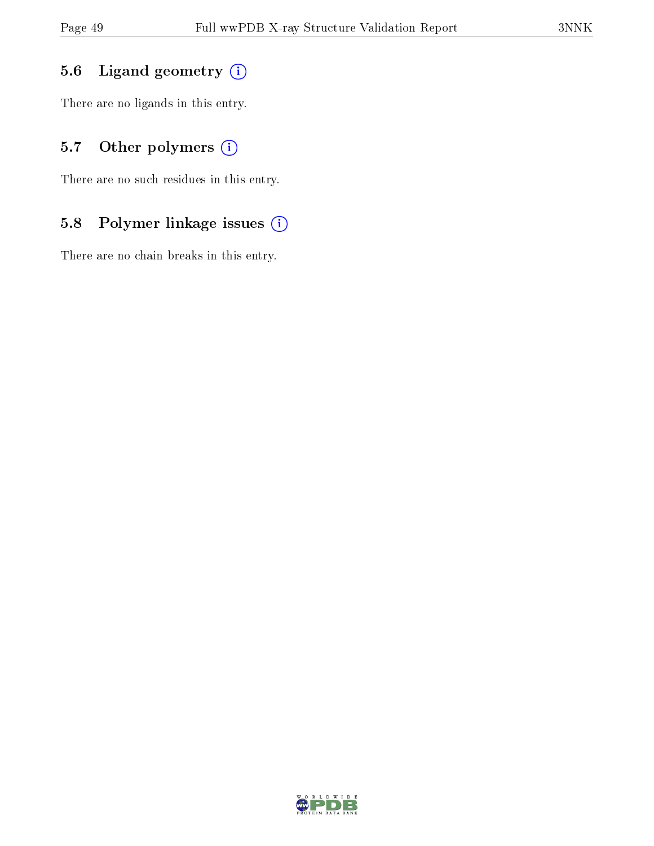# 5.6 Ligand geometry (i)

There are no ligands in this entry.

# 5.7 [O](https://www.wwpdb.org/validation/2017/XrayValidationReportHelp#nonstandard_residues_and_ligands)ther polymers (i)

There are no such residues in this entry.

# 5.8 Polymer linkage issues (i)

There are no chain breaks in this entry.

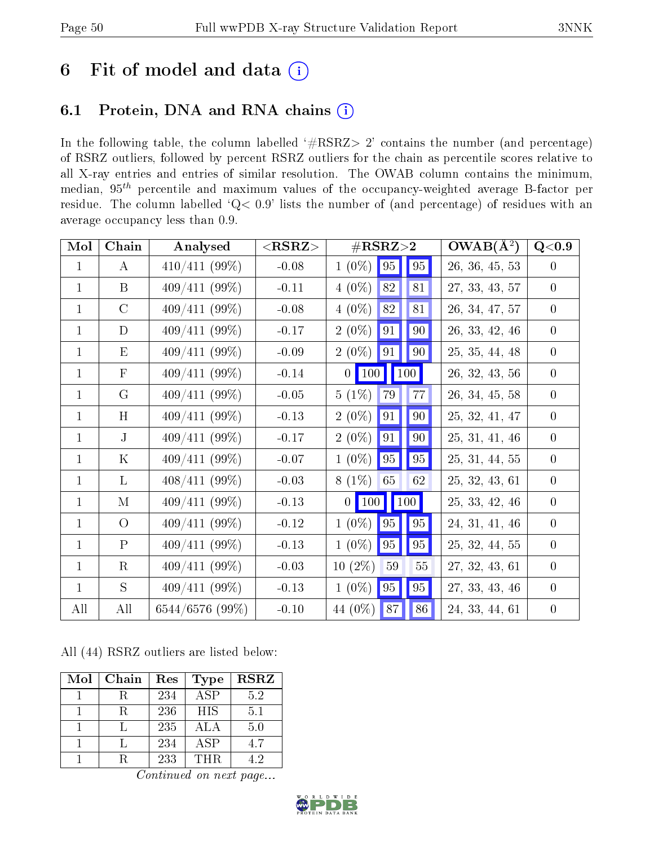# 6 Fit of model and data  $(i)$

# 6.1 Protein, DNA and RNA chains  $(i)$

In the following table, the column labelled  $#RSRZ> 2'$  contains the number (and percentage) of RSRZ outliers, followed by percent RSRZ outliers for the chain as percentile scores relative to all X-ray entries and entries of similar resolution. The OWAB column contains the minimum, median,  $95<sup>th</sup>$  percentile and maximum values of the occupancy-weighted average B-factor per residue. The column labelled ' $Q< 0.9$ ' lists the number of (and percentage) of residues with an average occupancy less than 0.9.

| Mol          | Chain          | Analysed        | $<$ RSRZ $>$ | $\#\text{RSRZ}\text{>2}$      | $OWAB(A^2)$    | Q<0.9            |
|--------------|----------------|-----------------|--------------|-------------------------------|----------------|------------------|
| $\mathbf{1}$ | $\bf{A}$       | $410/411(99\%)$ | $-0.08$      | $1(0\%)$<br>$\vert$ 95<br> 95 | 26, 36, 45, 53 | $\overline{0}$   |
| $\mathbf{1}$ | $\mathbf{B}$   | $409/411(99\%)$ | $-0.11$      | 82<br>$4(0\%)$<br>81          | 27, 33, 43, 57 | $\overline{0}$   |
| $\mathbf{1}$ | $\mathcal{C}$  | $409/411(99\%)$ | $-0.08$      | 82<br>$4(0\%)$<br>81          | 26, 34, 47, 57 | $\overline{0}$   |
| $\mathbf{1}$ | D              | $409/411(99\%)$ | $-0.17$      | 91<br>90<br>$2(0\%)$          | 26, 33, 42, 46 | $\overline{0}$   |
| $\mathbf{1}$ | E              | $409/411(99\%)$ | $-0.09$      | $2(0\%)$<br>91<br>90          | 25, 35, 44, 48 | $\overline{0}$   |
| $\mathbf{1}$ | F              | $409/411(99\%)$ | $-0.14$      | 0   100   100                 | 26, 32, 43, 56 | $\overline{0}$   |
| $\mathbf{1}$ | G              | 409/411(99%)    | $-0.05$      | $5(1\%)$<br>77<br>79          | 26, 34, 45, 58 | $\overline{0}$   |
| $\mathbf{1}$ | H              | $409/411(99\%)$ | $-0.13$      | 91<br>$2(0\%)$<br>90          | 25, 32, 41, 47 | $\overline{0}$   |
| $\mathbf{1}$ | $\mathbf J$    | 409/411(99%)    | $-0.17$      | $2(0\%)$<br>91<br>90          | 25, 31, 41, 46 | $\overline{0}$   |
| $\mathbf{1}$ | $\rm K$        | 409/411(99%)    | $-0.07$      | 95 <br>$1(0\%)$<br>95         | 25, 31, 44, 55 | $\mathbf{0}$     |
| $\mathbf{1}$ | L              | $408/411(99\%)$ | $-0.03$      | $8(1\%)$<br>65<br>62          | 25, 32, 43, 61 | $\overline{0}$   |
| $\mathbf{1}$ | M              | $409/411(99\%)$ | $-0.13$      | $0$ 100 100                   | 25, 33, 42, 46 | $\overline{0}$   |
| $\mathbf{1}$ | $\overline{O}$ | $409/411(99\%)$ | $-0.12$      | $1(0\%)$ 95<br>$\mid$ 95      | 24, 31, 41, 46 | $\overline{0}$   |
| $\mathbf{1}$ | $\mathbf{P}$   | $409/411(99\%)$ | $-0.13$      | 95<br>$1(0\%)$<br>95          | 25, 32, 44, 55 | $\overline{0}$   |
| $\mathbf 1$  | $\rm R$        | $409/411(99\%)$ | $-0.03$      | $10(2\%)$<br>$59\,$<br>55     | 27, 32, 43, 61 | $\overline{0}$   |
| $\mathbf{1}$ | S.             | $409/411(99\%)$ | $-0.13$      | 95<br>$1(0\%)$<br>95          | 27, 33, 43, 46 | $\overline{0}$   |
| All          | All            | 6544/6576 (99%) | $-0.10$      | 87<br>86<br>44 (0\%)          | 24, 33, 44, 61 | $\boldsymbol{0}$ |

All (44) RSRZ outliers are listed below:

| Mol | Chain | Res | <b>Type</b> | <b>RSRZ</b> |
|-----|-------|-----|-------------|-------------|
|     |       | 234 | <b>ASP</b>  | 5.2         |
|     |       | 236 | <b>HIS</b>  | 5.1         |
|     |       | 235 | ALA         | 5.0         |
|     |       | 234 | ASP         | 4.7         |
|     |       | 233 | THR         | 42          |

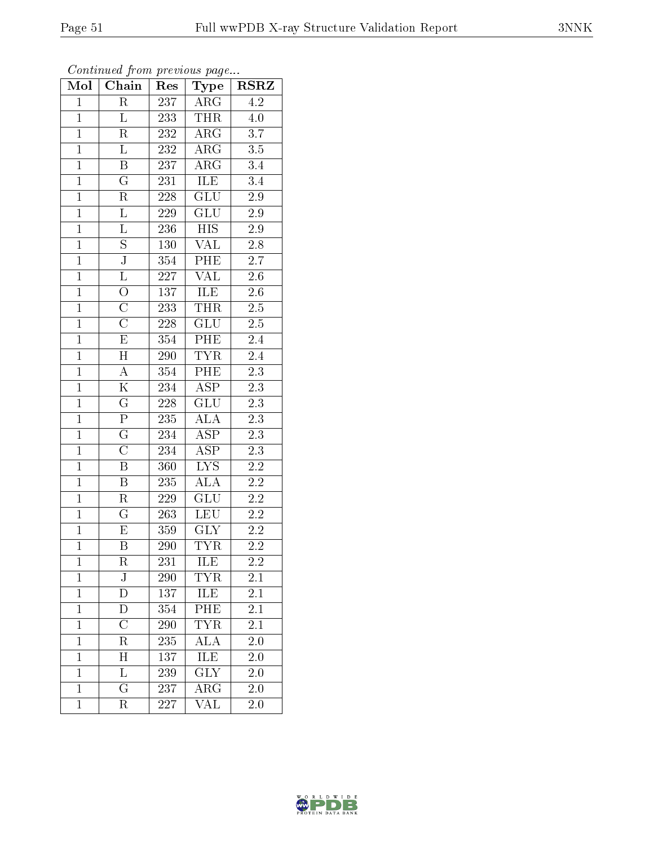| Mol            | Commaca from previous page<br>Chain | Res        | <b>Type</b>             | <b>RSRZ</b>      |
|----------------|-------------------------------------|------------|-------------------------|------------------|
| $\mathbf{1}$   | R                                   | 237        | $\rm{ARG}$              | 4.2              |
| $\mathbf{1}$   | L                                   | 233        | <b>THR</b>              | 4.0              |
| $\overline{1}$ | R                                   | 232        | $\rm{ARG}$              | $\overline{3.7}$ |
| $\overline{1}$ | $\overline{\mathrm{L}}$             | 232        | $\rm{ARG}$              | $3.5\,$          |
| $\overline{1}$ | $\overline{\mathrm{B}}$             | 237        | $\overline{\rm{ARG}}$   | $\overline{3.4}$ |
| $\mathbf{1}$   | $\mathbf G$                         | 231        | ILE                     | 3.4              |
| $\mathbf{1}$   | R                                   | $228\,$    | <b>GLU</b>              | $2.9\,$          |
| $\mathbf{1}$   | $\overline{L}$                      | $229\,$    | <b>GLU</b>              | 2.9              |
| $\overline{1}$ | $\Gamma$                            | 236        | <b>HIS</b>              | $2.9\,$          |
| $\overline{1}$ | $\overline{\mathrm{s}}$             | <b>130</b> | $\overline{\text{VAL}}$ | $\overline{2.8}$ |
| $\mathbf{1}$   | ${\bf J}$                           | 354        | PHE                     | $2.7\,$          |
| $\mathbf{1}$   | $\overline{\mathrm{L}}$             | 227        | $\overline{\text{VAL}}$ | $\overline{2.6}$ |
| $\mathbf{1}$   | $\overline{O}$                      | 137        | ILE                     | $2.6\,$          |
| $\overline{1}$ | $\overline{\rm C}$                  | 233        | <b>THR</b>              | $\overline{2.5}$ |
| $\overline{1}$ | $\overline{\text{C}}$               | $228\,$    | $\overline{\text{GLU}}$ | $\overline{2.5}$ |
| $\mathbf{1}$   | $\overline{\mathrm{E}}$             | 354        | $P\overline{HE}$        | $2.4\,$          |
| $\overline{1}$ | $\overline{\mathrm{H}}$             | 290        | <b>TYR</b>              | $2.4\,$          |
| $\overline{1}$ | $\boldsymbol{A}$                    | 354        | $\overline{\rm{PHE}}$   | 2.3              |
| $\overline{1}$ | K                                   | 234        | $\overline{\rm ASP}$    | $2.\overline{3}$ |
| $\overline{1}$ | $\overline{\rm G}$                  | 228        | GLU                     | $\overline{2.3}$ |
| $\mathbf{1}$   | $\overline{\mathrm{P}}$             | 235        | <b>ALA</b>              | $2.3\,$          |
| $\overline{1}$ | $\overline{\mathrm{G}}$             | 234        | $\overline{\text{ASP}}$ | $2\overline{.3}$ |
| $\overline{1}$ | $\overline{\rm C}$                  | 234        | $A\overline{SP}$        | $2.3\,$          |
| $\overline{1}$ | $\overline{\mathrm{B}}$             | 360        | $\overline{\text{LYS}}$ | $2.2\,$          |
| $\mathbf{1}$   | $\overline{\mathrm{B}}$             | 235        | <b>ALA</b>              | $2.2\,$          |
| $\mathbf{1}$   | $\rm R$                             | 229        | <b>GLU</b>              | $2.2\,$          |
| $\overline{1}$ | $\overline{\mathrm{G}}$             | 263        | <b>LEU</b>              | $\overline{2.2}$ |
| $\mathbf{1}$   | E                                   | 359        | <b>GLY</b>              | $2.2\,$          |
| $\overline{1}$ | $\overline{\mathrm{B}}$             | 290        | $\overline{\text{TYR}}$ | $\overline{2.2}$ |
| 1              | R                                   | 231        | ILE                     | $2.2\,$          |
| $\mathbf 1$    | ${\bf J}$                           | 290        | <b>TYR</b>              | 2.1              |
| $\mathbf{1}$   | D                                   | 137        | ILE                     | 2.1              |
| $\mathbf 1$    | $\bar{\rm D}$                       | 354        | PHE                     | 2.1              |
| $\mathbf 1$    | $\overline{\rm C}$                  | 290        | <b>TYR</b>              | 2.1              |
| $\mathbf{1}$   | $_{\rm R}$                          | 235        | <b>ALA</b>              | 2.0              |
| $\mathbf 1$    | Η                                   | 137        | ILE                     | $2.\overline{0}$ |
| $\mathbf 1$    | Г                                   | 239        | GLY                     | 2.0              |
| $\mathbf{1}$   | $\overline{G}$                      | 237        | ${\rm ARG}$             | 2.0              |
| $\mathbf{1}$   | R                                   | 227        | $\overline{\text{VAL}}$ | 2.0              |

Continued from previous page.